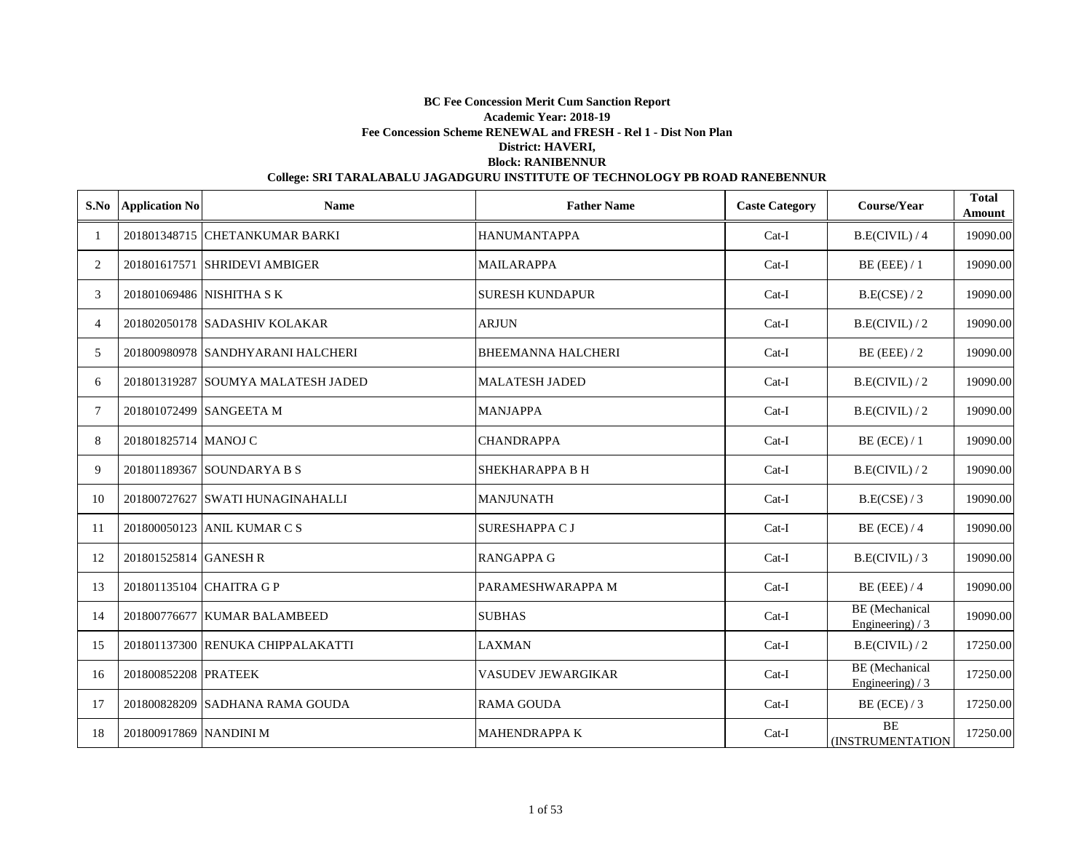| S.No           | <b>Application No</b>  | <b>Name</b>                        | <b>Father Name</b>        | <b>Caste Category</b> | Course/Year                                | <b>Total</b><br>Amount |
|----------------|------------------------|------------------------------------|---------------------------|-----------------------|--------------------------------------------|------------------------|
|                |                        | 201801348715 CHETANKUMAR BARKI     | <b>HANUMANTAPPA</b>       | Cat-I                 | B.E(CIVIL) / 4                             | 19090.00               |
| 2              |                        | 201801617571 SHRIDEVI AMBIGER      | <b>MAILARAPPA</b>         | $Cat-I$               | $BE$ (EEE) / 1                             | 19090.00               |
| 3              |                        | 201801069486 NISHITHA S K          | <b>SURESH KUNDAPUR</b>    | $Cat-I$               | B.E(CSE)/2                                 | 19090.00               |
| $\overline{4}$ |                        | 201802050178 SADASHIV KOLAKAR      | <b>ARJUN</b>              | $Cat-I$               | B.E(CIVIL)/2                               | 19090.00               |
| 5              |                        | 201800980978 SANDHYARANI HALCHERI  | <b>BHEEMANNA HALCHERI</b> | $Cat-I$               | $BE$ (EEE) / 2                             | 19090.00               |
| 6              |                        | 201801319287 SOUMYA MALATESH JADED | <b>MALATESH JADED</b>     | Cat-I                 | B.E(CIVIL)/2                               | 19090.00               |
| 7              |                        | 201801072499 SANGEETA M            | <b>MANJAPPA</b>           | Cat-I                 | B.E(CIVIL)/2                               | 19090.00               |
| 8              | 201801825714 MANOJ C   |                                    | <b>CHANDRAPPA</b>         | Cat-I                 | $BE$ (ECE) / 1                             | 19090.00               |
| 9              |                        | 201801189367 SOUNDARYA B S         | <b>SHEKHARAPPA B H</b>    | $Cat-I$               | B.E(CIVIL)/2                               | 19090.00               |
| 10             |                        | 201800727627 ISWATI HUNAGINAHALLI  | <b>MANJUNATH</b>          | $Cat-I$               | B.E(CSE) / 3                               | 19090.00               |
| 11             |                        | 201800050123 ANIL KUMAR C S        | <b>SURESHAPPA C J</b>     | $Cat-I$               | $BE$ (ECE) / 4                             | 19090.00               |
| 12             | 201801525814 GANESH R  |                                    | <b>RANGAPPA G</b>         | $Cat-I$               | B.E(CIVIL)/3                               | 19090.00               |
| 13             |                        | 201801135104 CHAITRA G P           | PARAMESHWARAPPA M         | $Cat-I$               | $BE$ (EEE) / 4                             | 19090.00               |
| 14             |                        | 201800776677 KUMAR BALAMBEED       | <b>SUBHAS</b>             | Cat-I                 | <b>BE</b> (Mechanical<br>Engineering) $/3$ | 19090.00               |
| 15             |                        | 201801137300 RENUKA CHIPPALAKATTI  | <b>LAXMAN</b>             | Cat-I                 | B.E(CIVIL)/2                               | 17250.00               |
| 16             | 201800852208 PRATEEK   |                                    | <b>VASUDEV JEWARGIKAR</b> | $Cat-I$               | <b>BE</b> (Mechanical<br>Engineering) $/3$ | 17250.00               |
| 17             |                        | 201800828209 SADHANA RAMA GOUDA    | <b>RAMA GOUDA</b>         | Cat-I                 | $BE$ (ECE) / 3                             | 17250.00               |
| 18             | 201800917869 NANDINI M |                                    | <b>MAHENDRAPPA K</b>      | $Cat-I$               | <b>BE</b><br><b>(INSTRUMENTATION)</b>      | 17250.00               |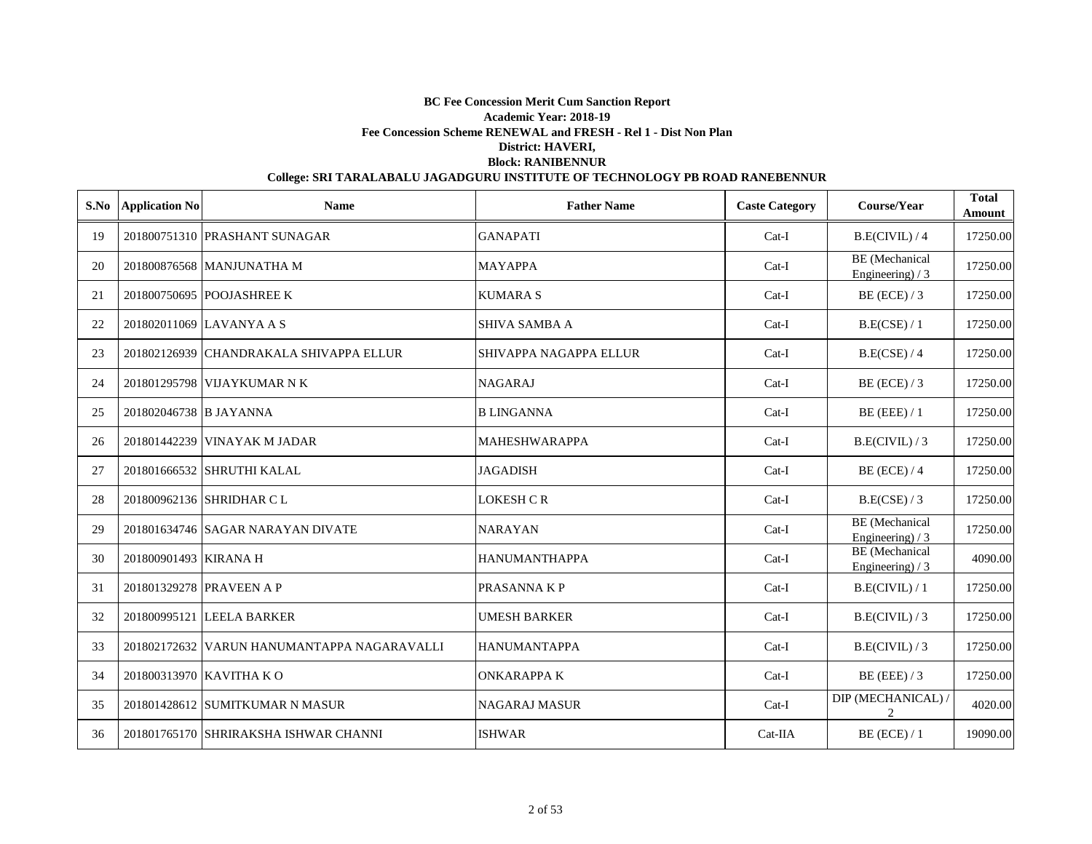| S.No | <b>Application No</b>  | <b>Name</b>                                 | <b>Father Name</b>            | <b>Caste Category</b> | Course/Year                                | <b>Total</b><br>Amount |
|------|------------------------|---------------------------------------------|-------------------------------|-----------------------|--------------------------------------------|------------------------|
| 19   |                        | 201800751310 PRASHANT SUNAGAR               | <b>GANAPATI</b>               | $Cat-I$               | B.E(CIVIL)/4                               | 17250.00               |
| 20   |                        | 201800876568 MANJUNATHA M                   | <b>MAYAPPA</b>                | $Cat-I$               | <b>BE</b> (Mechanical<br>Engineering) / 3  | 17250.00               |
| 21   |                        | 201800750695 POOJASHREE K                   | <b>KUMARA S</b>               | $Cat-I$               | $BE$ (ECE) / 3                             | 17250.00               |
| 22   |                        | 201802011069 LAVANYA A S                    | <b>SHIVA SAMBA A</b>          | $Cat-I$               | B.E(CSE) / 1                               | 17250.00               |
| 23   |                        | 201802126939 CHANDRAKALA SHIVAPPA ELLUR     | <b>SHIVAPPA NAGAPPA ELLUR</b> | $Cat-I$               | B.E(CSE) / 4                               | 17250.00               |
| 24   |                        | 201801295798 VIJAYKUMAR N K                 | <b>NAGARAJ</b>                | $Cat-I$               | $BE$ (ECE) / 3                             | 17250.00               |
| 25   | 201802046738 B JAYANNA |                                             | <b>B LINGANNA</b>             | $Cat-I$               | $BE$ (EEE) / 1                             | 17250.00               |
| 26   |                        | 201801442239 VINAYAK M JADAR                | <b>MAHESHWARAPPA</b>          | Cat-I                 | B.E(CIVIL)/3                               | 17250.00               |
| 27   |                        | 201801666532 SHRUTHI KALAL                  | <b>JAGADISH</b>               | Cat-I                 | $BE$ (ECE) / 4                             | 17250.00               |
| 28   |                        | 201800962136 SHRIDHAR C L                   | LOKESH C R                    | $Cat-I$               | B.E(CSE) / 3                               | 17250.00               |
| 29   |                        | 201801634746 SAGAR NARAYAN DIVATE           | <b>NARAYAN</b>                | $Cat-I$               | <b>BE</b> (Mechanical<br>Engineering) $/3$ | 17250.00               |
| 30   | 201800901493 KIRANA H  |                                             | <b>HANUMANTHAPPA</b>          | $Cat-I$               | <b>BE</b> (Mechanical<br>Engineering) $/3$ | 4090.00                |
| 31   |                        | 201801329278 PRAVEEN A P                    | PRASANNA K P                  | $Cat-I$               | B.E(CIVIL)/1                               | 17250.00               |
| 32   |                        | 201800995121 LEELA BARKER                   | <b>UMESH BARKER</b>           | Cat-I                 | B.E(CIVIL)/3                               | 17250.00               |
| 33   |                        | 201802172632 VARUN HANUMANTAPPA NAGARAVALLI | <b>HANUMANTAPPA</b>           | Cat-I                 | B.E(CIVIL)/3                               | 17250.00               |
| 34   |                        | 201800313970 KAVITHA KO                     | <b>ONKARAPPA K</b>            | $Cat-I$               | $BE$ (EEE) / 3                             | 17250.00               |
| 35   |                        | 201801428612 SUMITKUMAR N MASUR             | <b>NAGARAJ MASUR</b>          | $Cat-I$               | DIP (MECHANICAL) /<br>2                    | 4020.00                |
| 36   |                        | 201801765170 SHRIRAKSHA ISHWAR CHANNI       | <b>ISHWAR</b>                 | $Cat-IIA$             | $BE$ (ECE) / 1                             | 19090.00               |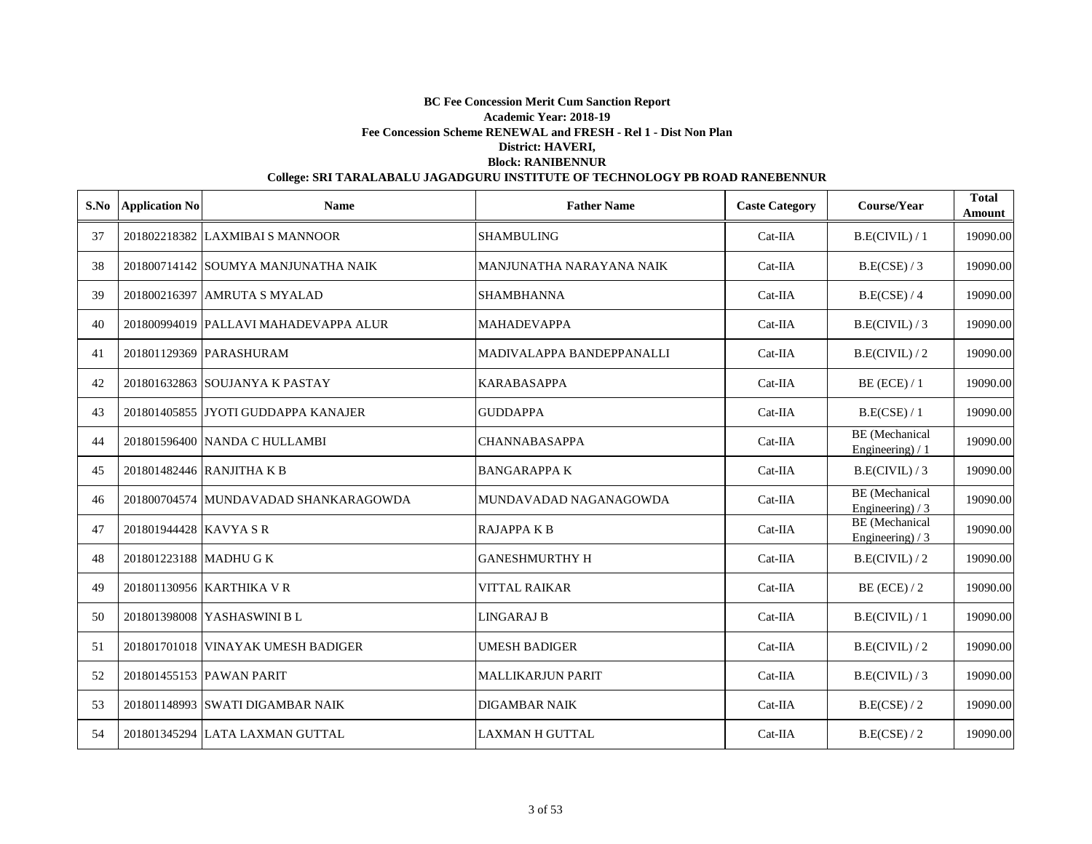| S.No | <b>Application No</b>  | <b>Name</b>                           | <b>Father Name</b>        | <b>Caste Category</b> | Course/Year                                | <b>Total</b><br>Amount |
|------|------------------------|---------------------------------------|---------------------------|-----------------------|--------------------------------------------|------------------------|
| 37   |                        | 201802218382 LAXMIBAI S MANNOOR       | <b>SHAMBULING</b>         | Cat-IIA               | B.E(CIVIL) / 1                             | 19090.00               |
| 38   |                        | 201800714142 SOUMYA MANJUNATHA NAIK   | MANJUNATHA NARAYANA NAIK  | Cat-IIA               | B.E(CSE) / 3                               | 19090.00               |
| 39   |                        | 201800216397 AMRUTA S MYALAD          | <b>SHAMBHANNA</b>         | $Cat-IIA$             | B.E(CSE) / 4                               | 19090.00               |
| 40   |                        | 201800994019 PALLAVI MAHADEVAPPA ALUR | <b>MAHADEVAPPA</b>        | $Cat-IIA$             | B.E(CIVIL)/3                               | 19090.00               |
| 41   |                        | 201801129369 PARASHURAM               | MADIVALAPPA BANDEPPANALLI | $Cat-IIA$             | B.E(CIVIL)/2                               | 19090.00               |
| 42   |                        | 201801632863 SOUJANYA K PASTAY        | <b>KARABASAPPA</b>        | $Cat-IIA$             | $BE$ (ECE) / 1                             | 19090.00               |
| 43   |                        | 201801405855 JYOTI GUDDAPPA KANAJER   | <b>GUDDAPPA</b>           | Cat-IIA               | B.E(CSE) / 1                               | 19090.00               |
| 44   |                        | 201801596400 NANDA C HULLAMBI         | <b>CHANNABASAPPA</b>      | Cat-IIA               | <b>BE</b> (Mechanical<br>Engineering) / 1  | 19090.00               |
| 45   |                        | 201801482446 RANJITHA K B             | <b>BANGARAPPAK</b>        | Cat-IIA               | B.E(CIVIL)/3                               | 19090.00               |
| 46   |                        | 201800704574 MUNDAVADAD SHANKARAGOWDA | MUNDAVADAD NAGANAGOWDA    | $Cat-IIA$             | <b>BE</b> (Mechanical<br>Engineering) $/3$ | 19090.00               |
| 47   | 201801944428 KAVYA SR  |                                       | <b>RAJAPPAKB</b>          | Cat-IIA               | BE (Mechanical<br>Engineering) $/3$        | 19090.00               |
| 48   | 201801223188 MADHU G K |                                       | <b>GANESHMURTHY H</b>     | $Cat-IIA$             | B.E(CIVIL)/2                               | 19090.00               |
| 49   |                        | 201801130956 KARTHIKA VR              | <b>VITTAL RAIKAR</b>      | Cat-IIA               | $BE$ (ECE) / 2                             | 19090.00               |
| 50   |                        | 201801398008 YASHASWINI B L           | LINGARAJ B                | $Cat-IIA$             | B.E(CIVIL)/1                               | 19090.00               |
| 51   |                        | 201801701018 VINAYAK UMESH BADIGER    | <b>UMESH BADIGER</b>      | $Cat-IIA$             | B.E(CIVIL)/2                               | 19090.00               |
| 52   |                        | 201801455153 PAWAN PARIT              | <b>MALLIKARJUN PARIT</b>  | $Cat-IIA$             | B.E(CIVIL)/3                               | 19090.00               |
| 53   |                        | 201801148993 SWATI DIGAMBAR NAIK      | <b>DIGAMBAR NAIK</b>      | $Cat-IIA$             | B.E(CSE)/2                                 | 19090.00               |
| 54   |                        | 201801345294 LATA LAXMAN GUTTAL       | <b>LAXMAN H GUTTAL</b>    | $Cat-IIA$             | B.E(CSE)/2                                 | 19090.00               |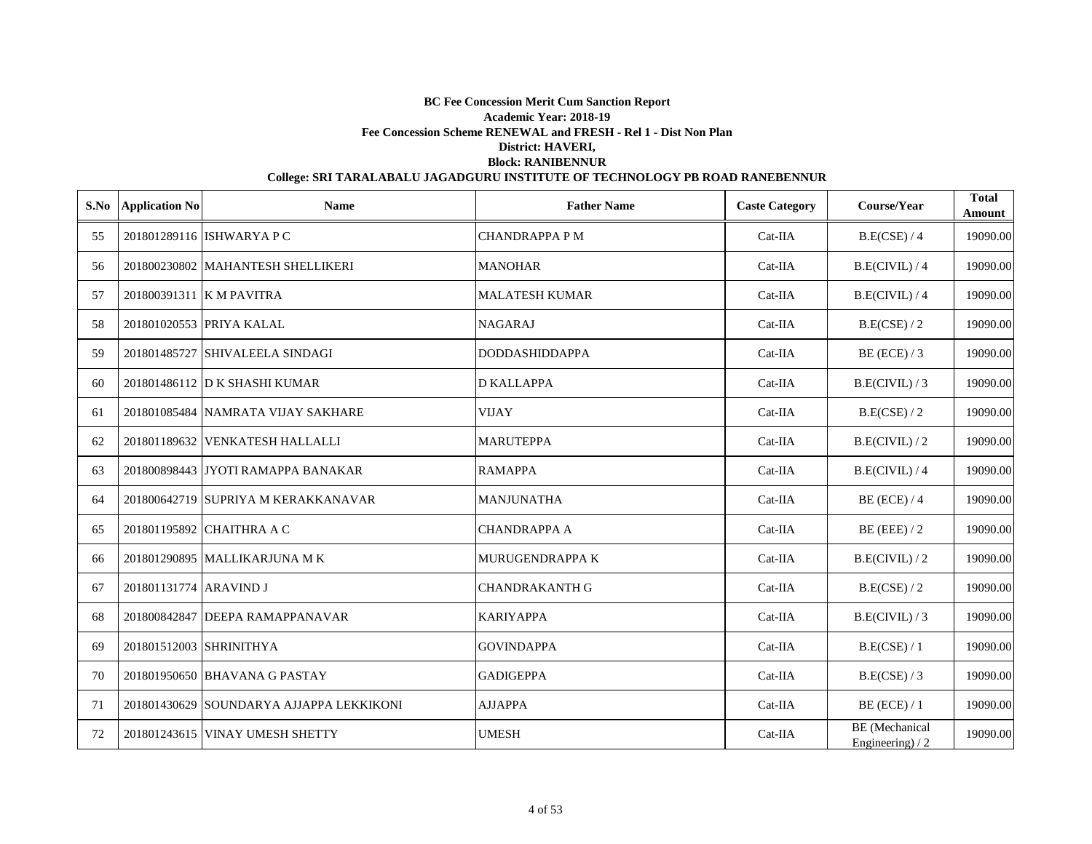| S.No | <b>Application No</b>   | <b>Name</b>                              | <b>Father Name</b>     | <b>Caste Category</b> | Course/Year                                | <b>Total</b><br>Amount |
|------|-------------------------|------------------------------------------|------------------------|-----------------------|--------------------------------------------|------------------------|
| 55   |                         | 201801289116 ISHWARYA P C                | <b>CHANDRAPPA PM</b>   | Cat-IIA               | B.E(CSE) / 4                               | 19090.00               |
| 56   |                         | 201800230802 MAHANTESH SHELLIKERI        | <b>MANOHAR</b>         | Cat-IIA               | B.E(CIVIL)/4                               | 19090.00               |
| 57   |                         | 201800391311 K M PAVITRA                 | <b>MALATESH KUMAR</b>  | Cat-IIA               | B.E(CIVIL)/4                               | 19090.00               |
| 58   |                         | 201801020553 PRIYA KALAL                 | <b>NAGARAJ</b>         | Cat-IIA               | B.E(CSE) / 2                               | 19090.00               |
| 59   |                         | 201801485727 SHIVALEELA SINDAGI          | <b>DODDASHIDDAPPA</b>  | $Cat-IIA$             | $BE$ (ECE) / 3                             | 19090.00               |
| 60   |                         | 201801486112 D K SHASHI KUMAR            | <b>D KALLAPPA</b>      | Cat-IIA               | B.E(CIVIL)/3                               | 19090.00               |
| 61   |                         | 201801085484 NAMRATA VIJAY SAKHARE       | <b>VIJAY</b>           | Cat-IIA               | B.E(CSE) / 2                               | 19090.00               |
| 62   |                         | 201801189632 VENKATESH HALLALLI          | <b>MARUTEPPA</b>       | Cat-IIA               | B.E(CIVIL)/2                               | 19090.00               |
| 63   |                         | 201800898443 JYOTI RAMAPPA BANAKAR       | <b>RAMAPPA</b>         | Cat-IIA               | B.E(CIVIL)/4                               | 19090.00               |
| 64   |                         | 201800642719 SUPRIYA M KERAKKANAVAR      | <b>MANJUNATHA</b>      | Cat-IIA               | $BE$ (ECE) / 4                             | 19090.00               |
| 65   |                         | 201801195892 CHAITHRA A C                | <b>CHANDRAPPA A</b>    | Cat-IIA               | $BE$ (EEE) / 2                             | 19090.00               |
| 66   |                         | 201801290895 MALLIKARJUNA MK             | <b>MURUGENDRAPPA K</b> | Cat-IIA               | B.E(CIVIL)/2                               | 19090.00               |
| 67   | 201801131774 ARAVIND J  |                                          | <b>CHANDRAKANTH G</b>  | Cat-IIA               | B.E(CSE) / 2                               | 19090.00               |
| 68   |                         | 201800842847 DEEPA RAMAPPANAVAR          | <b>KARIYAPPA</b>       | Cat-IIA               | B.E(CIVIL)/3                               | 19090.00               |
| 69   | 201801512003 SHRINITHYA |                                          | <b>GOVINDAPPA</b>      | $Cat-IIA$             | B.E(CSE) / 1                               | 19090.00               |
| 70   |                         | 201801950650 BHAVANA G PASTAY            | <b>GADIGEPPA</b>       | $Cat-IIA$             | B.E(CSE) / 3                               | 19090.00               |
| 71   |                         | 201801430629 SOUNDARYA AJJAPPA LEKKIKONI | <b>AJJAPPA</b>         | Cat-IIA               | $BE$ (ECE) / 1                             | 19090.00               |
| 72   |                         | 201801243615 VINAY UMESH SHETTY          | <b>UMESH</b>           | $Cat-IIA$             | <b>BE</b> (Mechanical<br>Engineering) $/2$ | 19090.00               |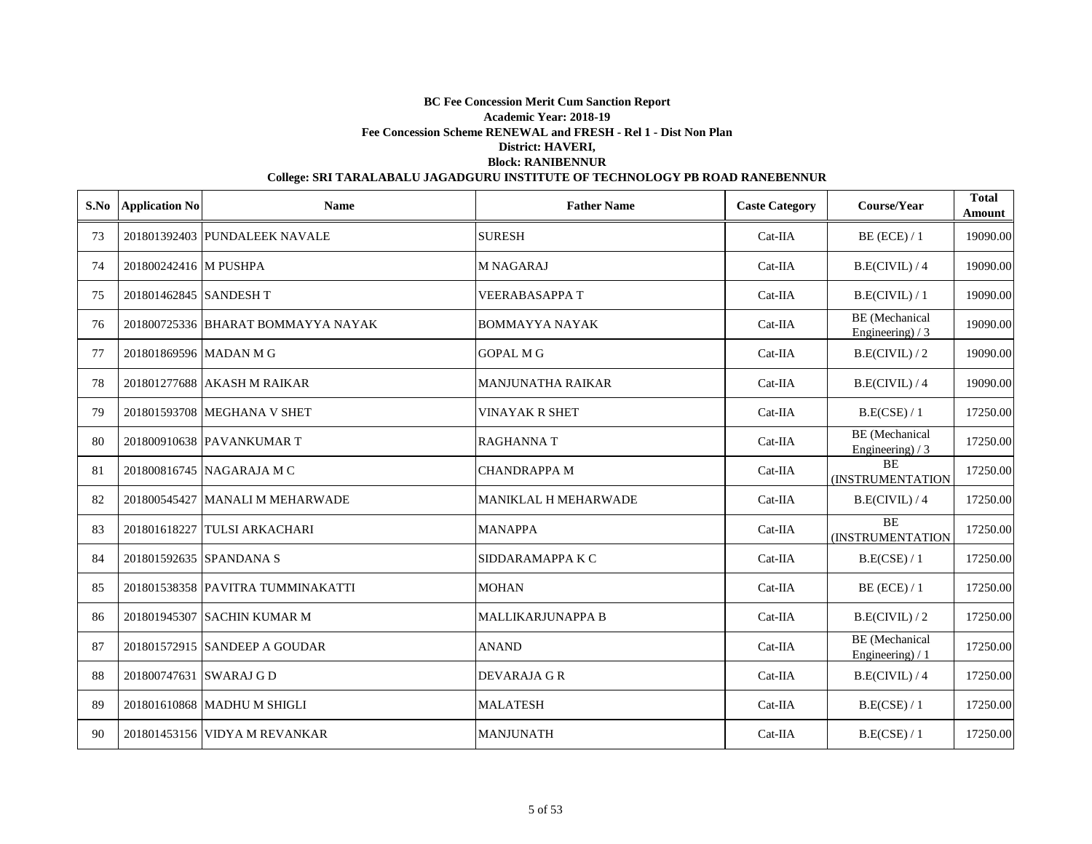| S.No | <b>Application No</b>   | <b>Name</b>                        | <b>Father Name</b>          | <b>Caste Category</b> | Course/Year                                | <b>Total</b><br>Amount |
|------|-------------------------|------------------------------------|-----------------------------|-----------------------|--------------------------------------------|------------------------|
| 73   |                         | 201801392403 PUNDALEEK NAVALE      | <b>SURESH</b>               | $Cat-IIA$             | $BE$ (ECE) / 1                             | 19090.00               |
| 74   | 201800242416 M PUSHPA   |                                    | <b>M NAGARAJ</b>            | $Cat-IIA$             | B.E(CIVIL)/4                               | 19090.00               |
| 75   | 201801462845 SANDESH T  |                                    | <b>VEERABASAPPA T</b>       | Cat-IIA               | B.E(CIVIL)/1                               | 19090.00               |
| 76   |                         | 201800725336 BHARAT BOMMAYYA NAYAK | <b>BOMMAYYA NAYAK</b>       | $Cat-IIA$             | <b>BE</b> (Mechanical<br>Engineering) $/3$ | 19090.00               |
| 77   | 201801869596 MADAN M G  |                                    | <b>GOPAL M G</b>            | $Cat-IIA$             | B.E(CIVIL)/2                               | 19090.00               |
| 78   |                         | 201801277688 AKASH M RAIKAR        | <b>MANJUNATHA RAIKAR</b>    | $Cat-IIA$             | B.E(CIVIL)/4                               | 19090.00               |
| 79   |                         | 201801593708 MEGHANA V SHET        | <b>VINAYAK R SHET</b>       | $Cat-IIA$             | B.E(CSE) / 1                               | 17250.00               |
| 80   |                         | 201800910638 PAVANKUMAR T          | <b>RAGHANNAT</b>            | Cat-IIA               | <b>BE</b> (Mechanical<br>Engineering) / 3  | 17250.00               |
| 81   |                         | 201800816745 NAGARAJA M C          | <b>CHANDRAPPA M</b>         | Cat-IIA               | <b>BE</b><br>(INSTRUMENTATION              | 17250.00               |
| 82   |                         | 201800545427 MANALI M MEHARWADE    | <b>MANIKLAL H MEHARWADE</b> | Cat-IIA               | B.E(CIVIL)/4                               | 17250.00               |
| 83   |                         | 201801618227 TULSI ARKACHARI       | <b>MANAPPA</b>              | Cat-IIA               | <b>BE</b><br><b>(INSTRUMENTATION</b>       | 17250.00               |
| 84   |                         | 201801592635 SPANDANA S            | SIDDARAMAPPA K C            | Cat-IIA               | B.E(CSE) / 1                               | 17250.00               |
| 85   |                         | 201801538358 PAVITRA TUMMINAKATTI  | <b>MOHAN</b>                | Cat-IIA               | $BE$ (ECE) / 1                             | 17250.00               |
| 86   |                         | 201801945307 SACHIN KUMAR M        | MALLIKARJUNAPPA B           | $Cat-IIA$             | B.E(CIVIL)/2                               | 17250.00               |
| 87   |                         | 201801572915 SANDEEP A GOUDAR      | <b>ANAND</b>                | Cat-IIA               | BE (Mechanical<br>Engineering) / 1         | 17250.00               |
| 88   | 201800747631 SWARAJ G D |                                    | DEVARAJA GR                 | Cat-IIA               | B.E(CIVIL)/4                               | 17250.00               |
| 89   |                         | 201801610868 MADHU M SHIGLI        | <b>MALATESH</b>             | $Cat-IIA$             | B.E(CSE) / 1                               | 17250.00               |
| 90   |                         | 201801453156 VIDYA M REVANKAR      | <b>MANJUNATH</b>            | $Cat-IIA$             | B.E(CSE) / 1                               | 17250.00               |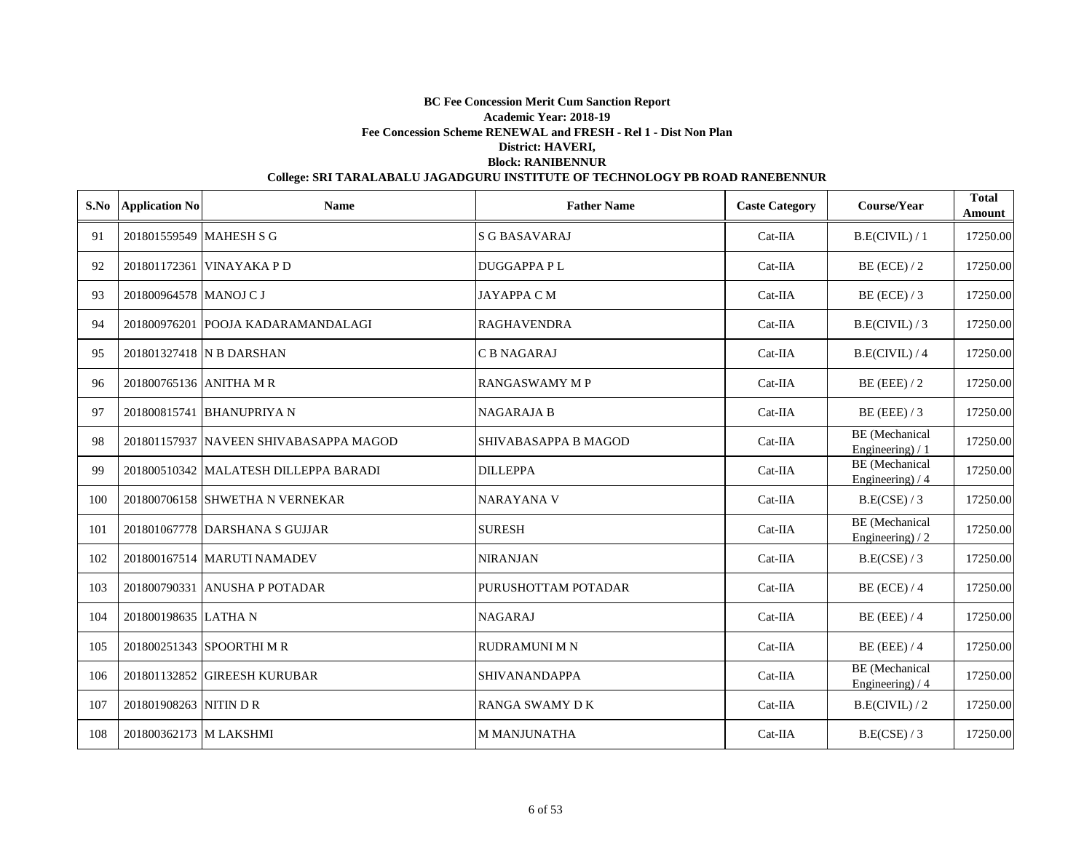| S.No | <b>Application No</b>   | <b>Name</b>                            | <b>Father Name</b>    | <b>Caste Category</b> | Course/Year                               | <b>Total</b><br>Amount |
|------|-------------------------|----------------------------------------|-----------------------|-----------------------|-------------------------------------------|------------------------|
| 91   | 201801559549 MAHESH S G |                                        | <b>S G BASAVARAJ</b>  | Cat-IIA               | B.E(CIVIL) / 1                            | 17250.00               |
| 92   |                         | 201801172361 VINAYAKA P D              | <b>DUGGAPPAPL</b>     | Cat-IIA               | $BE$ (ECE) / 2                            | 17250.00               |
| 93   | 201800964578 MANOJ C J  |                                        | <b>JAYAPPACM</b>      | $Cat-IIA$             | BE (ECE) $/3$                             | 17250.00               |
| 94   |                         | 201800976201 POOJA KADARAMANDALAGI     | <b>RAGHAVENDRA</b>    | $Cat-IIA$             | B.E(CIVIL)/3                              | 17250.00               |
| 95   |                         | 201801327418 N B DARSHAN               | <b>CB NAGARAJ</b>     | $Cat-IIA$             | B.E(CIVIL)/4                              | 17250.00               |
| 96   | 201800765136 ANITHA M R |                                        | <b>RANGASWAMY M P</b> | Cat-IIA               | $BE$ (EEE) / 2                            | 17250.00               |
| 97   |                         | 201800815741 BHANUPRIYA N              | <b>NAGARAJA B</b>     | Cat-IIA               | $BE$ (EEE) / 3                            | 17250.00               |
| 98   |                         | 201801157937 NAVEEN SHIVABASAPPA MAGOD | SHIVABASAPPA B MAGOD  | Cat-IIA               | <b>BE</b> (Mechanical<br>Engineering) / 1 | 17250.00               |
| 99   |                         | 201800510342 MALATESH DILLEPPA BARADI  | <b>DILLEPPA</b>       | $Cat-IIA$             | <b>BE</b> (Mechanical<br>Engineering) / 4 | 17250.00               |
| 100  |                         | 201800706158 SHWETHA N VERNEKAR        | <b>NARAYANA V</b>     | $Cat-IIA$             | B.E(CSE)/3                                | 17250.00               |
| 101  |                         | 201801067778 DARSHANA S GUJJAR         | <b>SURESH</b>         | Cat-IIA               | BE (Mechanical<br>Engineering $/2$        | 17250.00               |
| 102  |                         | 201800167514 MARUTI NAMADEV            | NIRANJAN              | Cat-IIA               | B.E(CSE)/3                                | 17250.00               |
| 103  |                         | 201800790331 ANUSHA P POTADAR          | PURUSHOTTAM POTADAR   | Cat-IIA               | $BE$ (ECE) / 4                            | 17250.00               |
| 104  | 201800198635 LATHAN     |                                        | <b>NAGARAJ</b>        | $Cat-IIA$             | $BE$ (EEE) / 4                            | 17250.00               |
| 105  |                         | 201800251343 SPOORTHIMR                | <b>RUDRAMUNI M N</b>  | $Cat-IIA$             | $BE$ (EEE) / 4                            | 17250.00               |
| 106  |                         | 201801132852 GIREESH KURUBAR           | <b>SHIVANANDAPPA</b>  | Cat-IIA               | <b>BE</b> (Mechanical<br>Engineering) / 4 | 17250.00               |
| 107  | 201801908263 NITIN D R  |                                        | <b>RANGA SWAMY DK</b> | Cat-IIA               | B.E(CIVIL)/2                              | 17250.00               |
| 108  | 201800362173 M LAKSHMI  |                                        | <b>M MANJUNATHA</b>   | $Cat-IIA$             | B.E(CSE) / 3                              | 17250.00               |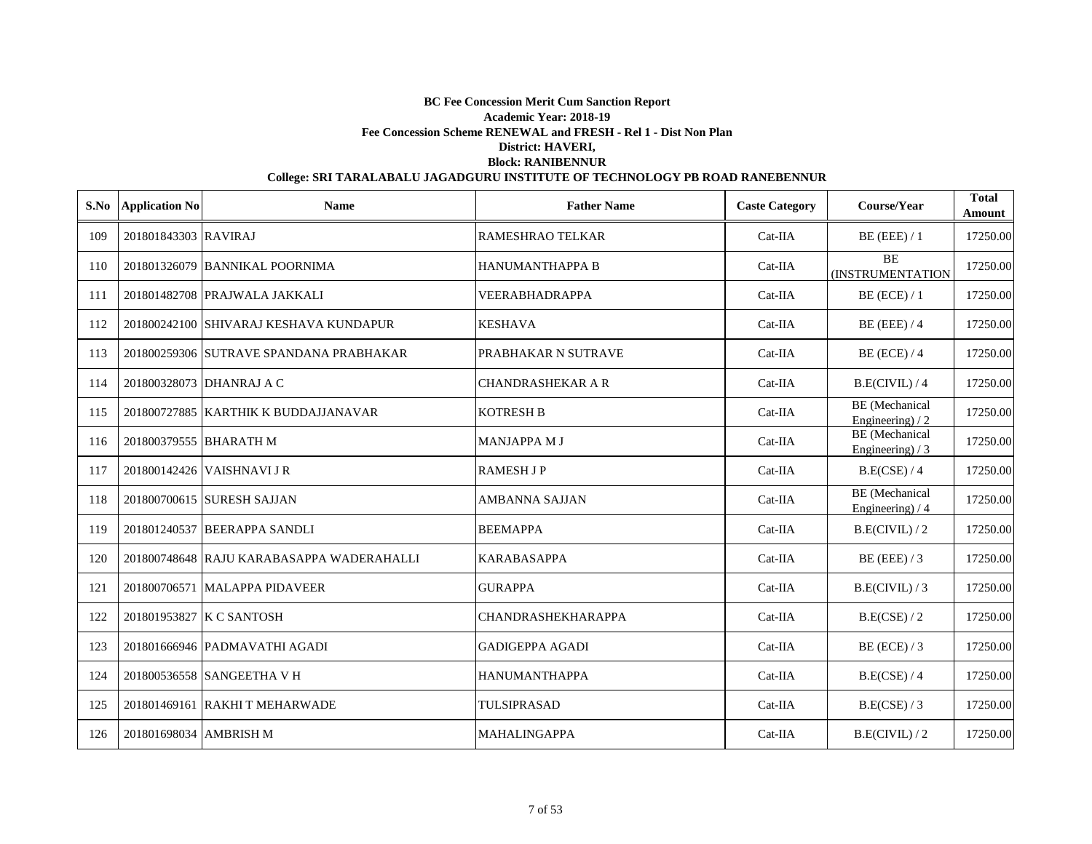| S.No | <b>Application No</b>  | <b>Name</b>                               | <b>Father Name</b>        | <b>Caste Category</b> | Course/Year                                | <b>Total</b><br>Amount |
|------|------------------------|-------------------------------------------|---------------------------|-----------------------|--------------------------------------------|------------------------|
| 109  | 201801843303 RAVIRAJ   |                                           | <b>RAMESHRAO TELKAR</b>   | $Cat-IIA$             | $BE$ (EEE) / 1                             | 17250.00               |
| 110  |                        | 201801326079 BANNIKAL POORNIMA            | <b>HANUMANTHAPPA B</b>    | $Cat-IIA$             | <b>BE</b><br>(INSTRUMENTATION              | 17250.00               |
| 111  |                        | 201801482708 PRAJWALA JAKKALI             | <b>VEERABHADRAPPA</b>     | $Cat-IIA$             | $BE$ (ECE) / 1                             | 17250.00               |
| 112  |                        | 201800242100 SHIVARAJ KESHAVA KUNDAPUR    | <b>KESHAVA</b>            | $Cat-IIA$             | $BE$ (EEE) / 4                             | 17250.00               |
| 113  |                        | 201800259306 SUTRAVE SPANDANA PRABHAKAR   | PRABHAKAR N SUTRAVE       | $Cat-IIA$             | $BE$ (ECE) / 4                             | 17250.00               |
| 114  |                        | 201800328073 DHANRAJ A C                  | <b>CHANDRASHEKAR A R</b>  | $Cat-IIA$             | B.E(CIVIL) / 4                             | 17250.00               |
| 115  |                        | 201800727885 KARTHIK K BUDDAJJANAVAR      | <b>KOTRESH B</b>          | Cat-IIA               | <b>BE</b> (Mechanical<br>Engineering $)/2$ | 17250.00               |
| 116  | 201800379555 BHARATH M |                                           | <b>MANJAPPA M J</b>       | Cat-IIA               | BE (Mechanical<br>Engineering) $/3$        | 17250.00               |
| 117  |                        | 201800142426 VAISHNAVI J R                | <b>RAMESH J P</b>         | Cat-IIA               | B.E(CSE) / 4                               | 17250.00               |
| 118  |                        | 201800700615 SURESH SAJJAN                | <b>AMBANNA SAJJAN</b>     | $Cat-IIA$             | <b>BE</b> (Mechanical<br>Engineering) / 4  | 17250.00               |
| 119  |                        | 201801240537 BEERAPPA SANDLI              | <b>BEEMAPPA</b>           | Cat-IIA               | B.E(CIVIL)/2                               | 17250.00               |
| 120  |                        | 201800748648 RAJU KARABASAPPA WADERAHALLI | <b>KARABASAPPA</b>        | $Cat-IIA$             | $BE$ (EEE) / 3                             | 17250.00               |
| 121  |                        | 201800706571 MALAPPA PIDAVEER             | <b>GURAPPA</b>            | Cat-IIA               | B.E(CIVIL)/3                               | 17250.00               |
| 122  |                        | 201801953827 K C SANTOSH                  | <b>CHANDRASHEKHARAPPA</b> | $Cat-IIA$             | B.E(CSE) / 2                               | 17250.00               |
| 123  |                        | 201801666946 PADMAVATHI AGADI             | <b>GADIGEPPA AGADI</b>    | $Cat-IIA$             | $BE$ (ECE) / 3                             | 17250.00               |
| 124  |                        | 201800536558 SANGEETHA V H                | <b>HANUMANTHAPPA</b>      | $Cat-IIA$             | B.E(CSE) / 4                               | 17250.00               |
| 125  |                        | 201801469161 RAKHI T MEHARWADE            | TULSIPRASAD               | $Cat-IIA$             | B.E(CSE) / 3                               | 17250.00               |
| 126  | 201801698034 AMBRISH M |                                           | <b>MAHALINGAPPA</b>       | $Cat-IIA$             | B.E(CIVIL)/2                               | 17250.00               |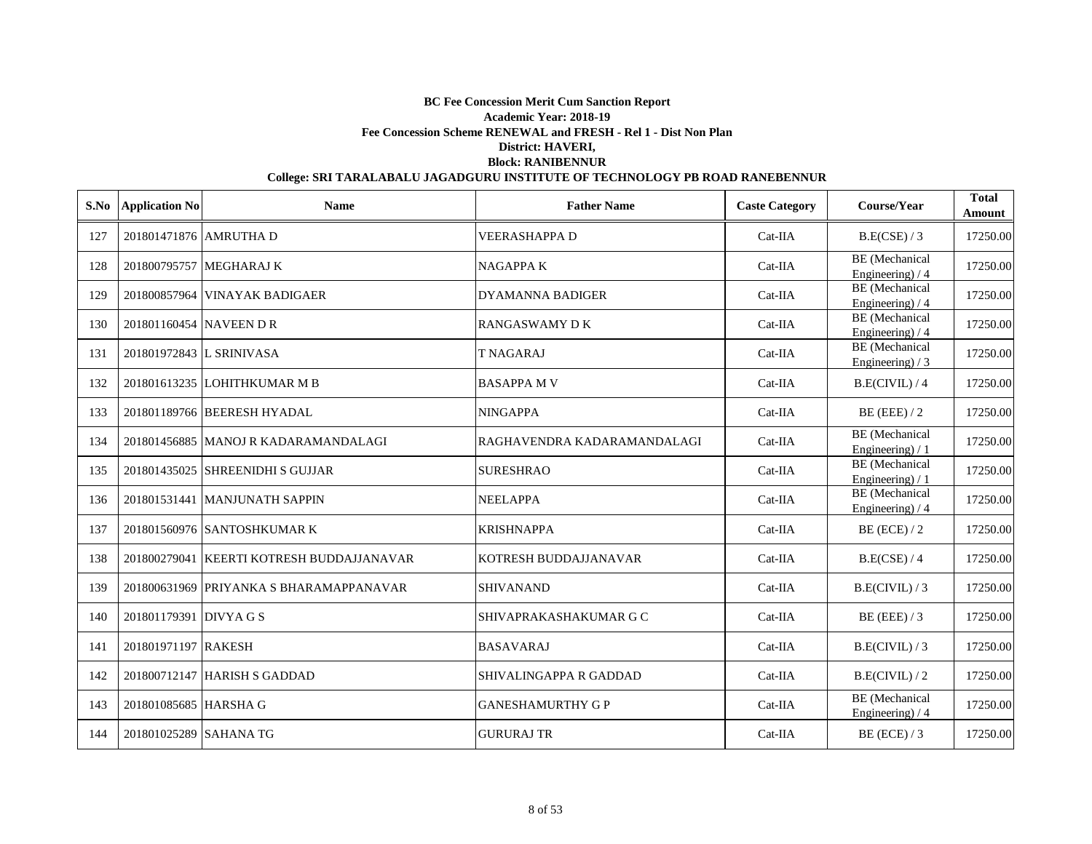| S.No | <b>Application No</b>    | <b>Name</b>                               | <b>Father Name</b>          | <b>Caste Category</b> | Course/Year                                | <b>Total</b><br>Amount |
|------|--------------------------|-------------------------------------------|-----------------------------|-----------------------|--------------------------------------------|------------------------|
| 127  | 201801471876 AMRUTHA D   |                                           | <b>VEERASHAPPA D</b>        | Cat-IIA               | B.E(CSE) / 3                               | 17250.00               |
| 128  |                          | 201800795757 MEGHARAJ K                   | <b>NAGAPPAK</b>             | Cat-IIA               | BE (Mechanical<br>Engineering) / 4         | 17250.00               |
| 129  |                          | 201800857964 VINAYAK BADIGAER             | <b>DYAMANNA BADIGER</b>     | $Cat-IIA$             | <b>BE</b> (Mechanical<br>Engineering) $/4$ | 17250.00               |
| 130  | 201801160454 NAVEEN D R  |                                           | <b>RANGASWAMY DK</b>        | $Cat-IIA$             | BE (Mechanical<br>Engineering) $/4$        | 17250.00               |
| 131  | 201801972843 L SRINIVASA |                                           | <b>T NAGARAJ</b>            | $Cat-IIA$             | BE (Mechanical<br>Engineering) $/3$        | 17250.00               |
| 132  |                          | 201801613235 LOHITHKUMAR M B              | <b>BASAPPA M V</b>          | $Cat-IIA$             | B.E(CIVIL) / 4                             | 17250.00               |
| 133  |                          | 201801189766 BEERESH HYADAL               | <b>NINGAPPA</b>             | Cat-IIA               | $BE$ (EEE) / 2                             | 17250.00               |
| 134  |                          | 201801456885 MANOJ R KADARAMANDALAGI      | RAGHAVENDRA KADARAMANDALAGI | Cat-IIA               | BE (Mechanical<br>Engineering) / 1         | 17250.00               |
| 135  |                          | 201801435025 SHREENIDHI S GUJJAR          | <b>SURESHRAO</b>            | $Cat-IIA$             | BE (Mechanical<br>Engineering) / 1         | 17250.00               |
| 136  |                          | 201801531441 MANJUNATH SAPPIN             | <b>NEELAPPA</b>             | $Cat-IIA$             | BE (Mechanical<br>Engineering) $/4$        | 17250.00               |
| 137  |                          | 201801560976 SANTOSHKUMAR K               | <b>KRISHNAPPA</b>           | $Cat-IIA$             | $BE$ (ECE) / 2                             | 17250.00               |
| 138  |                          | 201800279041 KEERTI KOTRESH BUDDAJJANAVAR | KOTRESH BUDDAJJANAVAR       | $Cat-IIA$             | B.E(CSE) / 4                               | 17250.00               |
| 139  |                          | 201800631969 PRIYANKA S BHARAMAPPANAVAR   | <b>SHIVANAND</b>            | $Cat-IIA$             | B.E(CIVIL)/3                               | 17250.00               |
| 140  | 201801179391 DIVYA G S   |                                           | SHIVAPRAKASHAKUMAR G C      | $Cat-IIA$             | $BE$ (EEE) / 3                             | 17250.00               |
| 141  | 201801971197 RAKESH      |                                           | <b>BASAVARAJ</b>            | $Cat-IIA$             | B.E(CIVIL)/3                               | 17250.00               |
| 142  |                          | 201800712147 HARISH S GADDAD              | SHIVALINGAPPA R GADDAD      | $Cat-IIA$             | B.E(CIVIL)/2                               | 17250.00               |
| 143  | 201801085685 HARSHA G    |                                           | <b>GANESHAMURTHY G P</b>    | Cat-IIA               | <b>BE</b> (Mechanical<br>Engineering) $/4$ | 17250.00               |
| 144  | 201801025289 SAHANA TG   |                                           | <b>GURURAJ TR</b>           | $Cat-IIA$             | $BE$ (ECE) / 3                             | 17250.00               |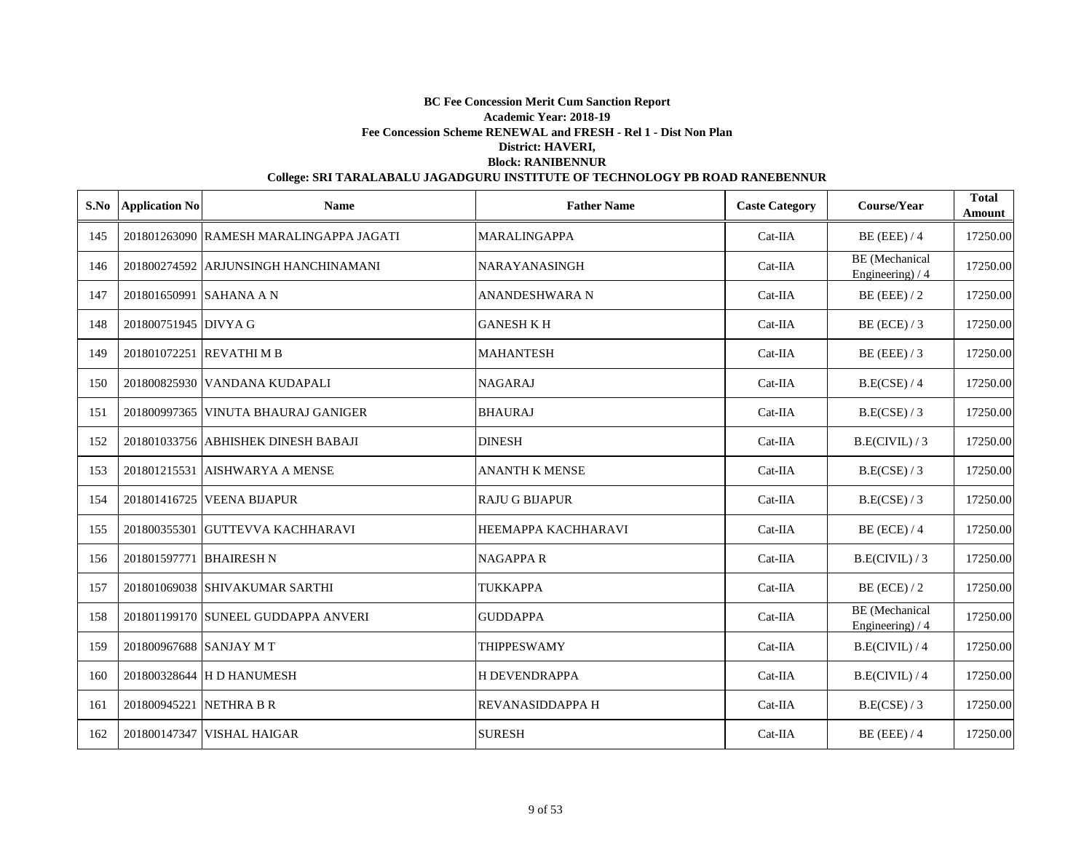|     | S.No Application No     | <b>Name</b>                             | <b>Father Name</b>    | <b>Caste Category</b> | Course/Year                                | <b>Total</b><br>Amount |
|-----|-------------------------|-----------------------------------------|-----------------------|-----------------------|--------------------------------------------|------------------------|
| 145 |                         | 201801263090 RAMESH MARALINGAPPA JAGATI | <b>MARALINGAPPA</b>   | Cat-IIA               | $BE$ (EEE) / 4                             | 17250.00               |
| 146 |                         | 201800274592 ARJUNSINGH HANCHINAMANI    | NARAYANASINGH         | Cat-IIA               | <b>BE</b> (Mechanical<br>Engineering) / 4  | 17250.00               |
| 147 | 201801650991 SAHANA A N |                                         | <b>ANANDESHWARA N</b> | Cat-IIA               | $BE$ (EEE) / 2                             | 17250.00               |
| 148 | 201800751945 DIVYA G    |                                         | <b>GANESH K H</b>     | Cat-IIA               | BE (ECE) $/3$                              | 17250.00               |
| 149 |                         | 201801072251 REVATHIM B                 | <b>MAHANTESH</b>      | $Cat-IIA$             | $BE$ (EEE) / 3                             | 17250.00               |
| 150 |                         | 201800825930 VANDANA KUDAPALI           | <b>NAGARAJ</b>        | $Cat-IIA$             | B.E(CSE) / 4                               | 17250.00               |
| 151 |                         | 201800997365 VINUTA BHAURAJ GANIGER     | <b>BHAURAJ</b>        | Cat-IIA               | B.E(CSE) / 3                               | 17250.00               |
| 152 |                         | 201801033756 ABHISHEK DINESH BABAJI     | <b>DINESH</b>         | Cat-IIA               | B.E(CIVIL)/3                               | 17250.00               |
| 153 |                         | 201801215531 AISHWARYA A MENSE          | <b>ANANTH K MENSE</b> | Cat-IIA               | B.E(CSE) / 3                               | 17250.00               |
| 154 |                         | 201801416725 VEENA BIJAPUR              | <b>RAJU G BIJAPUR</b> | Cat-IIA               | B.E(CSE) / 3                               | 17250.00               |
| 155 |                         | 201800355301 GUTTEVVA KACHHARAVI        | HEEMAPPA KACHHARAVI   | Cat-IIA               | $BE$ (ECE) / 4                             | 17250.00               |
| 156 | 201801597771 BHAIRESH N |                                         | <b>NAGAPPAR</b>       | Cat-IIA               | B.E(CIVIL)/3                               | 17250.00               |
| 157 |                         | 201801069038 SHIVAKUMAR SARTHI          | <b>TUKKAPPA</b>       | $Cat-IIA$             | $BE$ (ECE) / 2                             | 17250.00               |
| 158 |                         | 201801199170 SUNEEL GUDDAPPA ANVERI     | <b>GUDDAPPA</b>       | Cat-IIA               | <b>BE</b> (Mechanical<br>Engineering) $/4$ | 17250.00               |
| 159 | 201800967688 SANJAY M T |                                         | <b>THIPPESWAMY</b>    | $Cat-IIA$             | B.E(CIVIL) / 4                             | 17250.00               |
| 160 |                         | 201800328644 H D HANUMESH               | <b>H DEVENDRAPPA</b>  | $Cat-IIA$             | B.E(CIVIL) / 4                             | 17250.00               |
| 161 | 201800945221 NETHRA B R |                                         | REVANASIDDAPPA H      | Cat-IIA               | B.E(CSE) / 3                               | 17250.00               |
| 162 |                         | 201800147347 VISHAL HAIGAR              | <b>SURESH</b>         | $Cat-IIA$             | $BE$ (EEE) / 4                             | 17250.00               |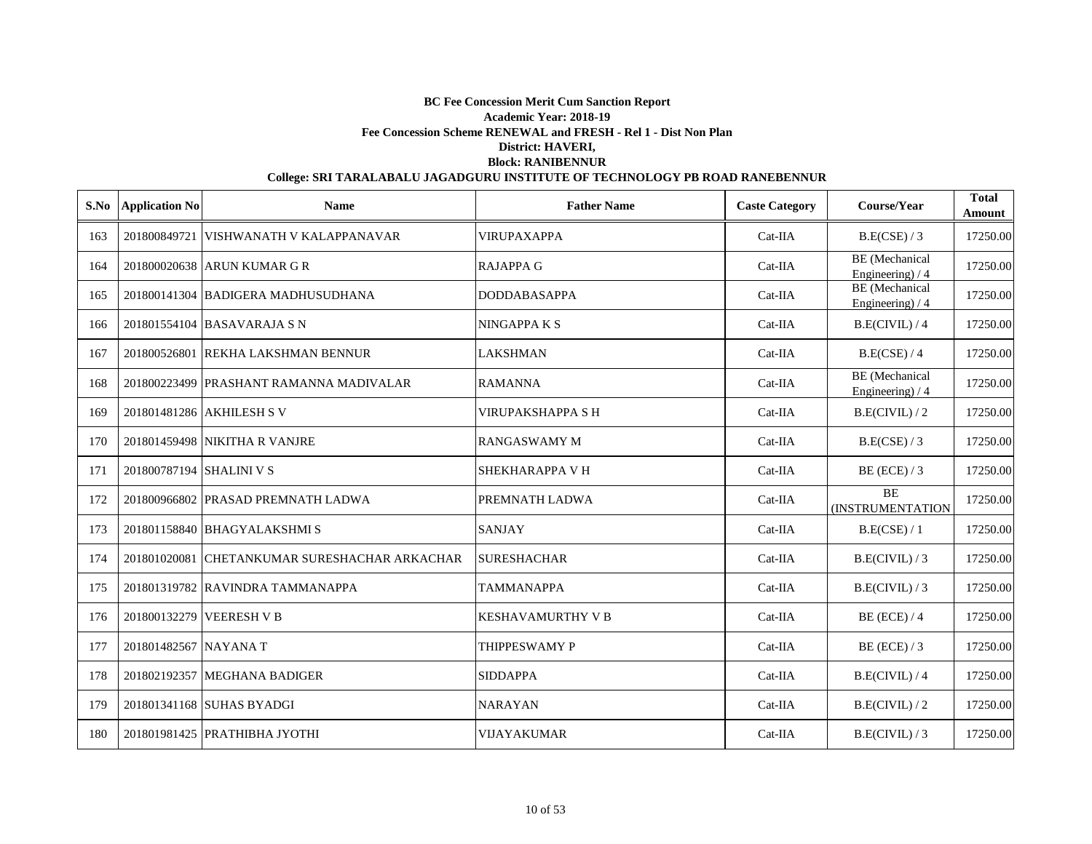| S.No | <b>Application No</b>    | <b>Name</b>                                   | <b>Father Name</b>       | <b>Caste Category</b> | Course/Year                               | <b>Total</b><br>Amount |
|------|--------------------------|-----------------------------------------------|--------------------------|-----------------------|-------------------------------------------|------------------------|
| 163  |                          | 201800849721 VISHWANATH V KALAPPANAVAR        | <b>VIRUPAXAPPA</b>       | $Cat-IIA$             | B.E(CSE) / 3                              | 17250.00               |
| 164  |                          | 201800020638 ARUN KUMAR G R                   | <b>RAJAPPA G</b>         | $Cat-IIA$             | <b>BE</b> (Mechanical<br>Engineering) / 4 | 17250.00               |
| 165  |                          | 201800141304 BADIGERA MADHUSUDHANA            | <b>DODDABASAPPA</b>      | $Cat-IIA$             | <b>BE</b> (Mechanical<br>Engineering) / 4 | 17250.00               |
| 166  |                          | 201801554104 BASAVARAJA S N                   | <b>NINGAPPAKS</b>        | $Cat-IIA$             | B.E(CIVIL) / 4                            | 17250.00               |
| 167  |                          | 201800526801 REKHA LAKSHMAN BENNUR            | <b>LAKSHMAN</b>          | $Cat-IIA$             | B.E(CSE) / 4                              | 17250.00               |
| 168  |                          | 201800223499 PRASHANT RAMANNA MADIVALAR       | <b>RAMANNA</b>           | $Cat-IIA$             | <b>BE</b> (Mechanical<br>Engineering) / 4 | 17250.00               |
| 169  |                          | 201801481286 AKHILESH S V                     | <b>VIRUPAKSHAPPA SH</b>  | Cat-IIA               | B.E(CIVIL)/2                              | 17250.00               |
| 170  |                          | 201801459498 NIKITHA R VANJRE                 | <b>RANGASWAMY M</b>      | Cat-IIA               | B.E(CSE) / 3                              | 17250.00               |
| 171  | 201800787194 SHALINI V S |                                               | <b>SHEKHARAPPA V H</b>   | $Cat-IIA$             | $BE$ (ECE) / 3                            | 17250.00               |
| 172  |                          | 201800966802 PRASAD PREMNATH LADWA            | PREMNATH LADWA           | $Cat-IIA$             | <b>BE</b><br><b>(INSTRUMENTATION</b>      | 17250.00               |
| 173  |                          | 201801158840 BHAGYALAKSHMI S                  | <b>SANJAY</b>            | $Cat-IIA$             | B.E(CSE) / 1                              | 17250.00               |
| 174  |                          | 201801020081 CHETANKUMAR SURESHACHAR ARKACHAR | <b>SURESHACHAR</b>       | $Cat-IIA$             | B.E(CIVIL)/3                              | 17250.00               |
| 175  |                          | 201801319782 RAVINDRA TAMMANAPPA              | <b>TAMMANAPPA</b>        | $Cat-IIA$             | B.E(CIVIL)/3                              | 17250.00               |
| 176  |                          | 201800132279 VEERESH V B                      | <b>KESHAVAMURTHY V B</b> | $Cat-IIA$             | $BE$ (ECE) / 4                            | 17250.00               |
| 177  | 201801482567 NAYANA T    |                                               | <b>THIPPESWAMY P</b>     | $Cat-IIA$             | $BE$ (ECE) / 3                            | 17250.00               |
| 178  |                          | 201802192357 MEGHANA BADIGER                  | <b>SIDDAPPA</b>          | $Cat-IIA$             | B.E(CIVIL) / 4                            | 17250.00               |
| 179  |                          | 201801341168 SUHAS BYADGI                     | <b>NARAYAN</b>           | $Cat-IIA$             | B.E(CIVIL)/2                              | 17250.00               |
| 180  |                          | 201801981425 PRATHIBHA JYOTHI                 | <b>VIJAYAKUMAR</b>       | $Cat-IIA$             | B.E(CIVIL)/3                              | 17250.00               |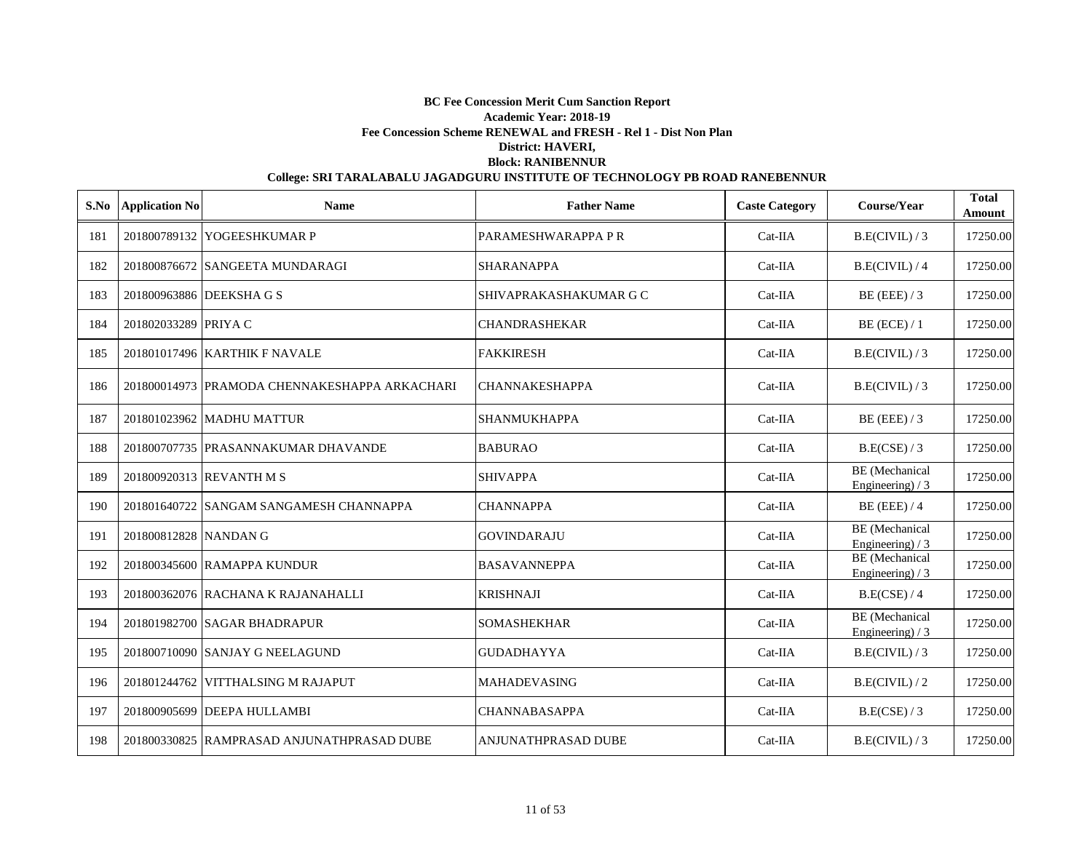| S.No | <b>Application No</b> | <b>Name</b>                                   | <b>Father Name</b>         | <b>Caste Category</b> | Course/Year                                | <b>Total</b><br>Amount |
|------|-----------------------|-----------------------------------------------|----------------------------|-----------------------|--------------------------------------------|------------------------|
| 181  |                       | 201800789132 YOGEESHKUMAR P                   | PARAMESHWARAPPA P R        | $Cat-IIA$             | B.E(CIVIL)/3                               | 17250.00               |
| 182  |                       | 201800876672 SANGEETA MUNDARAGI               | <b>SHARANAPPA</b>          | $Cat-IIA$             | B.E(CIVIL)/4                               | 17250.00               |
| 183  |                       | 201800963886 DEEKSHA G S                      | SHIVAPRAKASHAKUMAR G C     | $Cat-IIA$             | $BE$ (EEE) / 3                             | 17250.00               |
| 184  | 201802033289 PRIYA C  |                                               | <b>CHANDRASHEKAR</b>       | $Cat-IIA$             | $BE$ (ECE) / 1                             | 17250.00               |
| 185  |                       | 201801017496 KARTHIK F NAVALE                 | <b>FAKKIRESH</b>           | Cat-IIA               | B.E(CIVIL)/3                               | 17250.00               |
| 186  |                       | 201800014973 PRAMODA CHENNAKESHAPPA ARKACHARI | <b>CHANNAKESHAPPA</b>      | Cat-IIA               | B.E(CIVIL)/3                               | 17250.00               |
| 187  |                       | 201801023962 MADHU MATTUR                     | <b>SHANMUKHAPPA</b>        | Cat-IIA               | $BE$ (EEE) / 3                             | 17250.00               |
| 188  |                       | 201800707735 PRASANNAKUMAR DHAVANDE           | <b>BABURAO</b>             | $Cat-IIA$             | B.E(CSE) / 3                               | 17250.00               |
| 189  |                       | 201800920313 REVANTH M S                      | <b>SHIVAPPA</b>            | $Cat-IIA$             | BE (Mechanical<br>Engineering) $/3$        | 17250.00               |
| 190  |                       | 201801640722 SANGAM SANGAMESH CHANNAPPA       | <b>CHANNAPPA</b>           | Cat-IIA               | $BE$ (EEE) / 4                             | 17250.00               |
| 191  | 201800812828 NANDAN G |                                               | <b>GOVINDARAJU</b>         | $Cat-IIA$             | <b>BE</b> (Mechanical<br>Engineering) $/3$ | 17250.00               |
| 192  |                       | 201800345600 RAMAPPA KUNDUR                   | <b>BASAVANNEPPA</b>        | Cat-IIA               | BE (Mechanical<br>Engineering) / 3         | 17250.00               |
| 193  |                       | 201800362076 RACHANA K RAJANAHALLI            | <b>KRISHNAJI</b>           | $Cat-IIA$             | B.E(CSE) / 4                               | 17250.00               |
| 194  |                       | 201801982700 SAGAR BHADRAPUR                  | <b>SOMASHEKHAR</b>         | Cat-IIA               | BE (Mechanical<br>Engineering) $/3$        | 17250.00               |
| 195  |                       | 201800710090 SANJAY G NEELAGUND               | <b>GUDADHAYYA</b>          | $Cat-IIA$             | B.E(CIVIL)/3                               | 17250.00               |
| 196  |                       | 201801244762 VITTHALSING M RAJAPUT            | MAHADEVASING               | Cat-IIA               | B.E(CIVIL)/2                               | 17250.00               |
| 197  |                       | 201800905699 DEEPA HULLAMBI                   | <b>CHANNABASAPPA</b>       | $Cat-IIA$             | B.E(CSE) / 3                               | 17250.00               |
| 198  |                       | 201800330825 RAMPRASAD ANJUNATHPRASAD DUBE    | <b>ANJUNATHPRASAD DUBE</b> | $Cat-IIA$             | B.E(CIVIL)/3                               | 17250.00               |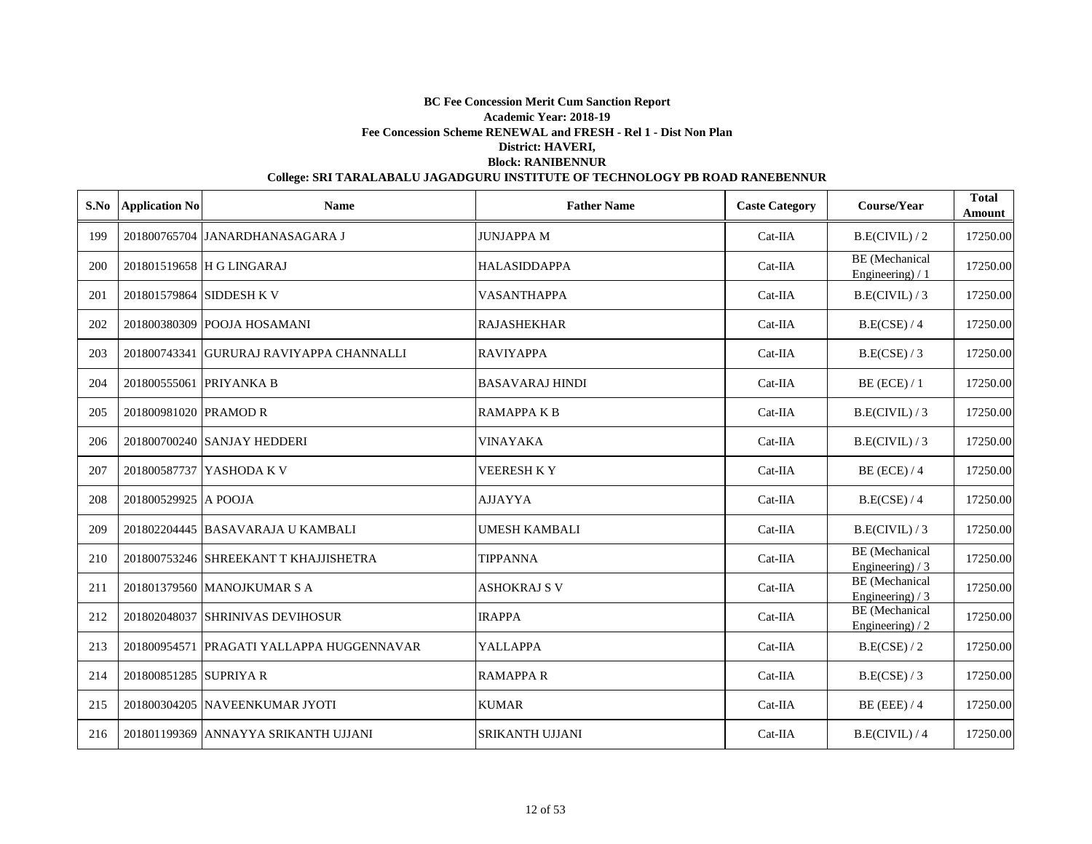|     | S.No Application No      | <b>Name</b>                                | <b>Father Name</b>     | <b>Caste Category</b> | Course/Year                                | <b>Total</b><br>Amount |
|-----|--------------------------|--------------------------------------------|------------------------|-----------------------|--------------------------------------------|------------------------|
| 199 |                          | 201800765704 JANARDHANASAGARA J            | <b>JUNJAPPAM</b>       | $Cat-IIA$             | B.E(CIVIL)/2                               | 17250.00               |
| 200 |                          | 201801519658 H G LINGARAJ                  | <b>HALASIDDAPPA</b>    | $Cat-IIA$             | <b>BE</b> (Mechanical<br>Engineering) / 1  | 17250.00               |
| 201 | 201801579864 SIDDESH K V |                                            | VASANTHAPPA            | $Cat-IIA$             | B.E(CIVIL)/3                               | 17250.00               |
| 202 |                          | 201800380309 POOJA HOSAMANI                | <b>RAJASHEKHAR</b>     | Cat-IIA               | B.E(CSE) / 4                               | 17250.00               |
| 203 |                          | 201800743341 GURURAJ RAVIYAPPA CHANNALLI   | <b>RAVIYAPPA</b>       | Cat-IIA               | B.E(CSE) / 3                               | 17250.00               |
| 204 | 201800555061 PRIYANKA B  |                                            | <b>BASAVARAJ HINDI</b> | $Cat-IIA$             | $BE$ (ECE) / 1                             | 17250.00               |
| 205 | 201800981020 PRAMOD R    |                                            | <b>RAMAPPAKB</b>       | Cat-IIA               | B.E(CIVIL)/3                               | 17250.00               |
| 206 |                          | 201800700240 SANJAY HEDDERI                | VINAYAKA               | Cat-IIA               | B.E(CIVIL)/3                               | 17250.00               |
| 207 |                          | 201800587737 YASHODA K V                   | <b>VEERESH KY</b>      | $Cat-IIA$             | $BE$ (ECE) / 4                             | 17250.00               |
| 208 | 201800529925 A POOJA     |                                            | <b>AJJAYYA</b>         | $Cat-IIA$             | B.E(CSE) / 4                               | 17250.00               |
| 209 |                          | 201802204445 BASAVARAJA U KAMBALI          | UMESH KAMBALI          | $Cat-IIA$             | B.E(CIVIL)/3                               | 17250.00               |
| 210 |                          | 201800753246 SHREEKANT T KHAJJISHETRA      | <b>TIPPANNA</b>        | $Cat-IIA$             | <b>BE</b> (Mechanical<br>Engineering) $/3$ | 17250.00               |
| 211 |                          | 201801379560 MANOJKUMAR S A                | ASHOKRAJ S V           | $Cat-IIA$             | <b>BE</b> (Mechanical<br>Engineering) $/3$ | 17250.00               |
| 212 |                          | 201802048037 SHRINIVAS DEVIHOSUR           | <b>IRAPPA</b>          | $Cat-IIA$             | BE (Mechanical<br>Engineering) $/2$        | 17250.00               |
| 213 |                          | 201800954571  PRAGATI YALLAPPA HUGGENNAVAR | <b>YALLAPPA</b>        | Cat-IIA               | B.E(CSE) / 2                               | 17250.00               |
| 214 | 201800851285 SUPRIYA R   |                                            | <b>RAMAPPA R</b>       | $Cat-IIA$             | B.E(CSE) / 3                               | 17250.00               |
| 215 |                          | 201800304205 NAVEENKUMAR JYOTI             | <b>KUMAR</b>           | Cat-IIA               | $BE$ (EEE) / 4                             | 17250.00               |
| 216 |                          | 201801199369 ANNAYYA SRIKANTH UJJANI       | <b>SRIKANTH UJJANI</b> | $Cat-IIA$             | B.E(CIVIL)/4                               | 17250.00               |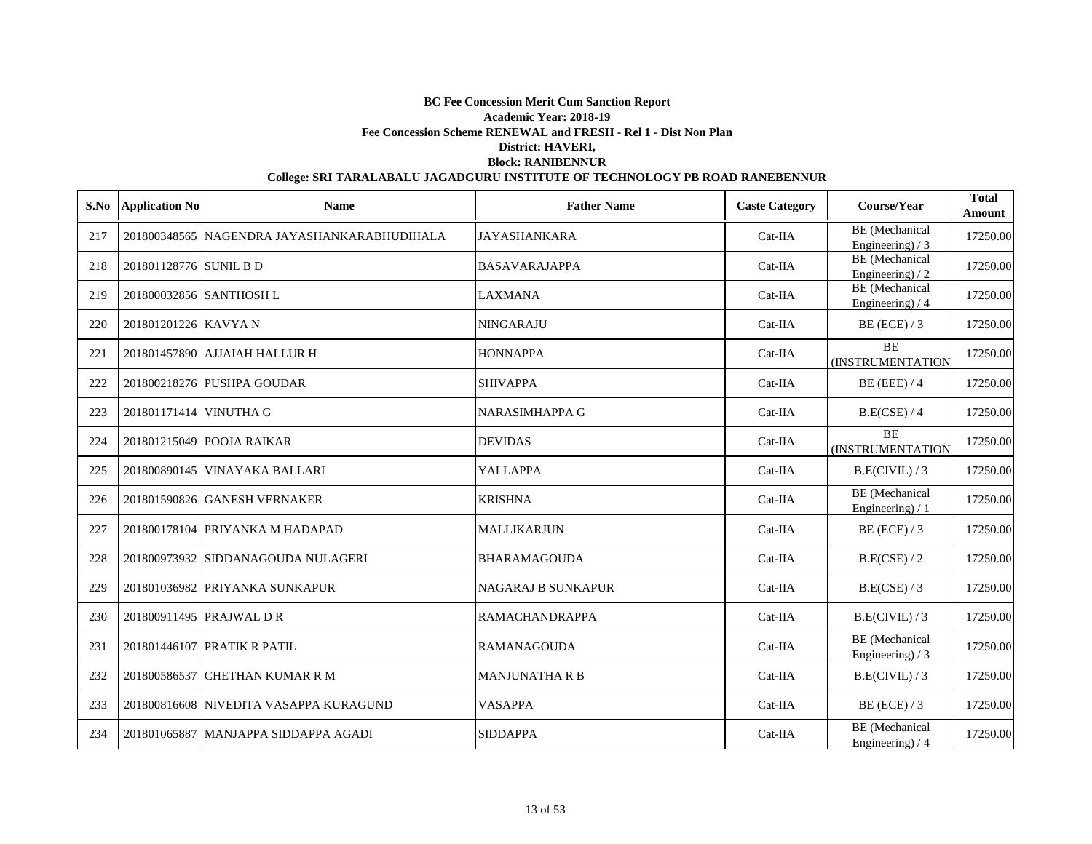|     | S.No Application No    | <b>Name</b>                                 | <b>Father Name</b>        | <b>Caste Category</b> | Course/Year                                | <b>Total</b><br>Amount |
|-----|------------------------|---------------------------------------------|---------------------------|-----------------------|--------------------------------------------|------------------------|
| 217 |                        | 201800348565 NAGENDRA JAYASHANKARABHUDIHALA | <b>JAYASHANKARA</b>       | $Cat-IIA$             | <b>BE</b> (Mechanical<br>Engineering) / 3  | 17250.00               |
| 218 | 201801128776 SUNIL B D |                                             | <b>BASAVARAJAPPA</b>      | $Cat-IIA$             | <b>BE</b> (Mechanical<br>Engineering) $/2$ | 17250.00               |
| 219 |                        | 201800032856 SANTHOSH L                     | <b>LAXMANA</b>            | $Cat-IIA$             | <b>BE</b> (Mechanical<br>Engineering) / 4  | 17250.00               |
| 220 | 201801201226 KAVYA N   |                                             | <b>NINGARAJU</b>          | Cat-IIA               | $BE$ (ECE) / 3                             | 17250.00               |
| 221 |                        | 201801457890 AJJAIAH HALLUR H               | <b>HONNAPPA</b>           | Cat-IIA               | <b>BE</b><br>(INSTRUMENTATION              | 17250.00               |
| 222 |                        | 201800218276 PUSHPA GOUDAR                  | <b>SHIVAPPA</b>           | $Cat-IIA$             | $BE$ (EEE) / 4                             | 17250.00               |
| 223 | 201801171414 VINUTHA G |                                             | NARASIMHAPPA G            | Cat-IIA               | B.E(CSE) / 4                               | 17250.00               |
| 224 |                        | 201801215049 POOJA RAIKAR                   | <b>DEVIDAS</b>            | Cat-IIA               | BE<br>(INSTRUMENTATION                     | 17250.00               |
| 225 |                        | 201800890145 VINAYAKA BALLARI               | YALLAPPA                  | $Cat-IIA$             | B.E(CIVIL)/3                               | 17250.00               |
| 226 |                        | 201801590826 GANESH VERNAKER                | <b>KRISHNA</b>            | $Cat-IIA$             | <b>BE</b> (Mechanical<br>Engineering $)/1$ | 17250.00               |
| 227 |                        | 201800178104 PRIYANKA M HADAPAD             | <b>MALLIKARJUN</b>        | $Cat-IIA$             | $BE$ (ECE) / 3                             | 17250.00               |
| 228 |                        | 201800973932 SIDDANAGOUDA NULAGERI          | <b>BHARAMAGOUDA</b>       | $Cat-IIA$             | B.E(CSE) / 2                               | 17250.00               |
| 229 |                        | 201801036982 PRIYANKA SUNKAPUR              | <b>NAGARAJ B SUNKAPUR</b> | $Cat-IIA$             | B.E(CSE) / 3                               | 17250.00               |
| 230 |                        | 201800911495 PRAJWAL D R                    | <b>RAMACHANDRAPPA</b>     | $Cat-IIA$             | B.E(CIVIL)/3                               | 17250.00               |
| 231 |                        | 201801446107 PRATIK R PATIL                 | <b>RAMANAGOUDA</b>        | $Cat-IIA$             | BE (Mechanical<br>Engineering) $/3$        | 17250.00               |
| 232 |                        | 201800586537 CHETHAN KUMAR R M              | <b>MANJUNATHA R B</b>     | $Cat-IIA$             | B.E(CIVIL)/3                               | 17250.00               |
| 233 |                        | 201800816608 NIVEDITA VASAPPA KURAGUND      | <b>VASAPPA</b>            | $Cat-IIA$             | $BE$ (ECE) / 3                             | 17250.00               |
| 234 |                        | 201801065887 MANJAPPA SIDDAPPA AGADI        | <b>SIDDAPPA</b>           | $Cat-IIA$             | BE (Mechanical<br>Engineering) $/4$        | 17250.00               |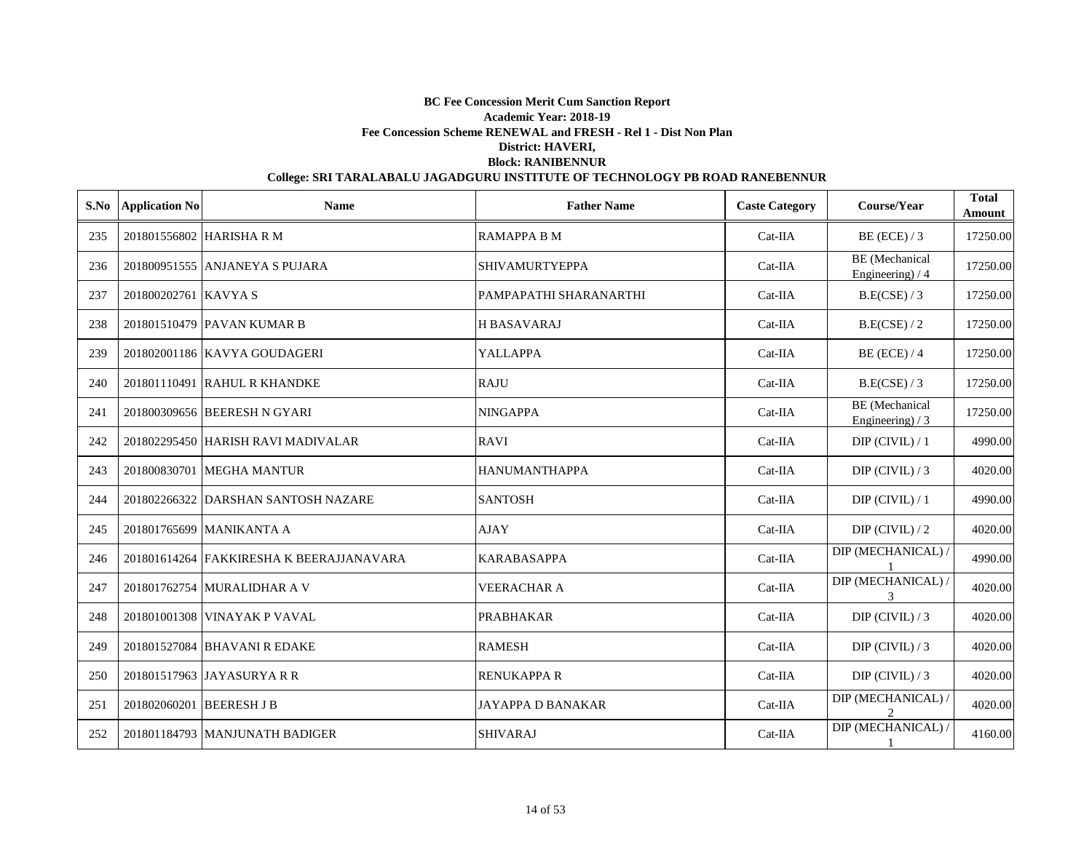| S.No | <b>Application No</b>    | <b>Name</b>                              | <b>Father Name</b>       | <b>Caste Category</b> | Course/Year                                | <b>Total</b><br>Amount |
|------|--------------------------|------------------------------------------|--------------------------|-----------------------|--------------------------------------------|------------------------|
| 235  |                          | 201801556802 HARISHARM                   | <b>RAMAPPA B M</b>       | Cat-IIA               | $BE$ (ECE) / 3                             | 17250.00               |
| 236  |                          | 201800951555 ANJANEYA S PUJARA           | <b>SHIVAMURTYEPPA</b>    | $Cat-IIA$             | BE (Mechanical<br>Engineering) $/4$        | 17250.00               |
| 237  | 201800202761 KAVYA S     |                                          | PAMPAPATHI SHARANARTHI   | Cat-IIA               | B.E(CSE) / 3                               | 17250.00               |
| 238  |                          | 201801510479 PAVAN KUMAR B               | <b>HBASAVARAJ</b>        | Cat-IIA               | B.E(CSE) / 2                               | 17250.00               |
| 239  |                          | 201802001186 KAVYA GOUDAGERI             | <b>YALLAPPA</b>          | Cat-IIA               | $BE$ (ECE) / 4                             | 17250.00               |
| 240  |                          | 201801110491 RAHUL R KHANDKE             | <b>RAJU</b>              | Cat-IIA               | B.E(CSE) / 3                               | 17250.00               |
| 241  |                          | 201800309656 BEERESH N GYARI             | <b>NINGAPPA</b>          | Cat-IIA               | <b>BE</b> (Mechanical<br>Engineering) $/3$ | 17250.00               |
| 242  |                          | 201802295450 HARISH RAVI MADIVALAR       | <b>RAVI</b>              | Cat-IIA               | $DIP$ (CIVIL) / 1                          | 4990.00                |
| 243  |                          | 201800830701 MEGHA MANTUR                | HANUMANTHAPPA            | Cat-IIA               | $DIP$ (CIVIL) / 3                          | 4020.00                |
| 244  |                          | 201802266322 DARSHAN SANTOSH NAZARE      | <b>SANTOSH</b>           | $Cat-IIA$             | $DIP$ (CIVIL) / 1                          | 4990.00                |
| 245  |                          | 201801765699 MANIKANTA A                 | <b>AJAY</b>              | $Cat-IIA$             | $DIP$ (CIVIL) / 2                          | 4020.00                |
| 246  |                          | 201801614264 FAKKIRESHA K BEERAJJANAVARA | <b>KARABASAPPA</b>       | $Cat-IIA$             | DIP (MECHANICAL) /                         | 4990.00                |
| 247  |                          | 201801762754 MURALIDHAR A V              | <b>VEERACHAR A</b>       | $Cat-IIA$             | DIP (MECHANICAL) /<br>3                    | 4020.00                |
| 248  |                          | 201801001308 VINAYAK P VAVAL             | <b>PRABHAKAR</b>         | Cat-IIA               | $DIP$ (CIVIL) / 3                          | 4020.00                |
| 249  |                          | 201801527084 BHAVANI R EDAKE             | <b>RAMESH</b>            | $Cat-IIA$             | $DIP$ (CIVIL) / 3                          | 4020.00                |
| 250  |                          | 201801517963 JAYASURYA R R               | <b>RENUKAPPA R</b>       | $Cat-IIA$             | $DIP$ (CIVIL) / 3                          | 4020.00                |
| 251  | 201802060201 BEERESH J B |                                          | <b>JAYAPPA D BANAKAR</b> | $Cat-IIA$             | DIP (MECHANICAL) /<br>$\overline{2}$       | 4020.00                |
| 252  |                          | 201801184793 MANJUNATH BADIGER           | <b>SHIVARAJ</b>          | $Cat-IIA$             | DIP (MECHANICAL) /                         | 4160.00                |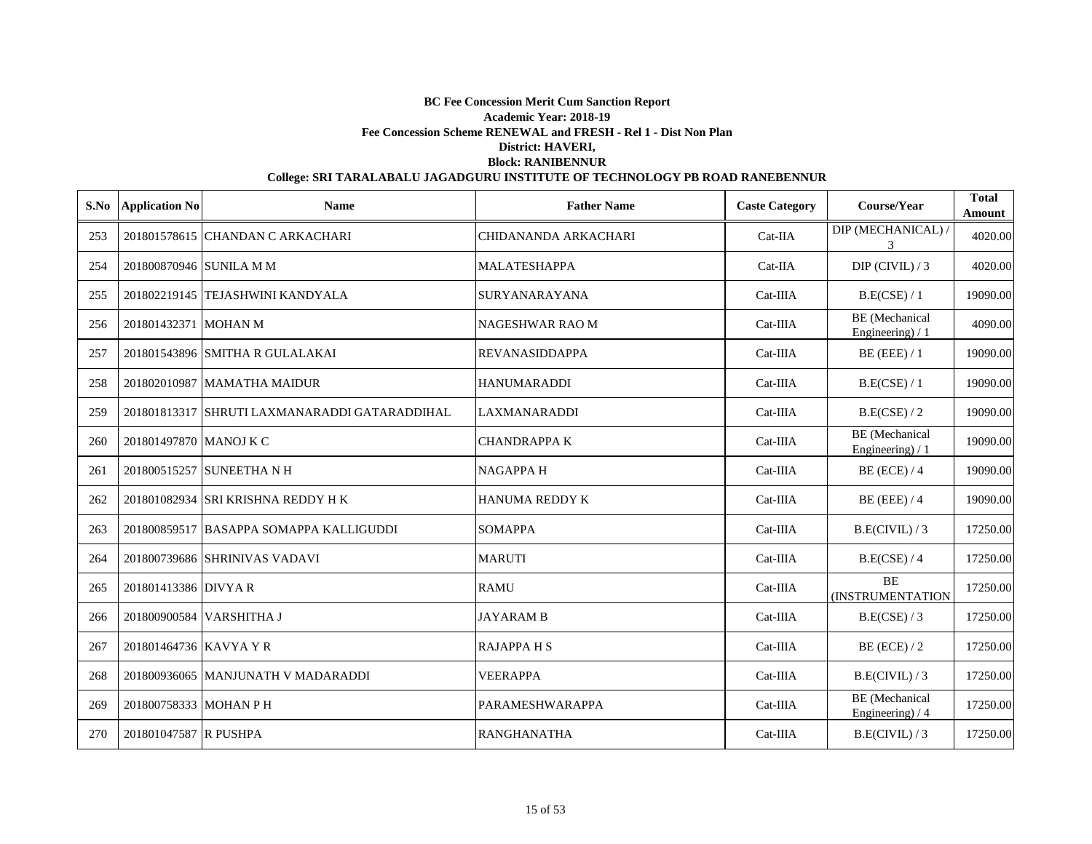|     | S.No Application No     | <b>Name</b>                                   | <b>Father Name</b>    | <b>Caste Category</b> | Course/Year                               | <b>Total</b><br>Amount |
|-----|-------------------------|-----------------------------------------------|-----------------------|-----------------------|-------------------------------------------|------------------------|
| 253 |                         | 201801578615 CHANDAN C ARKACHARI              | CHIDANANDA ARKACHARI  | Cat-IIA               | DIP (MECHANICAL) /<br>$\mathcal{F}$       | 4020.00                |
| 254 | 201800870946 SUNILA M M |                                               | <b>MALATESHAPPA</b>   | $Cat-IIA$             | $DIP$ (CIVIL) / 3                         | 4020.00                |
| 255 |                         | 201802219145 TEJASHWINI KANDYALA              | SURYANARAYANA         | Cat-IIIA              | B.E(CSE) / 1                              | 19090.00               |
| 256 | 201801432371 MOHAN M    |                                               | NAGESHWAR RAO M       | Cat-IIIA              | <b>BE</b> (Mechanical<br>Engineering) / 1 | 4090.00                |
| 257 |                         | 201801543896 SMITHA R GULALAKAI               | <b>REVANASIDDAPPA</b> | $Cat-IIIA$            | $BE$ (EEE) / 1                            | 19090.00               |
| 258 |                         | 201802010987 MAMATHA MAIDUR                   | <b>HANUMARADDI</b>    | $Cat-IIIA$            | B.E(CSE) / 1                              | 19090.00               |
| 259 |                         | 201801813317 SHRUTI LAXMANARADDI GATARADDIHAL | <b>LAXMANARADDI</b>   | $Cat-IIIA$            | B.E(CSE) / 2                              | 19090.00               |
| 260 | 201801497870 MANOJ K C  |                                               | <b>CHANDRAPPAK</b>    | Cat-IIIA              | <b>BE</b> (Mechanical<br>Engineering) / 1 | 19090.00               |
| 261 |                         | 201800515257 SUNEETHA N H                     | <b>NAGAPPAH</b>       | Cat-IIIA              | $BE$ (ECE) / 4                            | 19090.00               |
| 262 |                         | 201801082934 SRI KRISHNA REDDY H K            | <b>HANUMA REDDY K</b> | Cat-IIIA              | $BE$ (EEE) / 4                            | 19090.00               |
| 263 |                         | 201800859517 BASAPPA SOMAPPA KALLIGUDDI       | <b>SOMAPPA</b>        | Cat-IIIA              | B.E(CIVIL)/3                              | 17250.00               |
| 264 |                         | 201800739686 SHRINIVAS VADAVI                 | <b>MARUTI</b>         | Cat-IIIA              | B.E(CSE) / 4                              | 17250.00               |
| 265 | 201801413386 DIVYA R    |                                               | <b>RAMU</b>           | Cat-IIIA              | <b>BE</b><br><b>(INSTRUMENTATION</b>      | 17250.00               |
| 266 |                         | 201800900584 VARSHITHA J                      | <b>JAYARAM B</b>      | $Cat-IIIA$            | B.E(CSE) / 3                              | 17250.00               |
| 267 | 201801464736 KAVYA Y R  |                                               | <b>RAJAPPAHS</b>      | $Cat-IIIA$            | $BE$ (ECE) / 2                            | 17250.00               |
| 268 |                         | 201800936065 MANJUNATH V MADARADDI            | <b>VEERAPPA</b>       | $Cat-IIIA$            | B.E(CIVIL)/3                              | 17250.00               |
| 269 | 201800758333 MOHAN P H  |                                               | PARAMESHWARAPPA       | $Cat-IIIA$            | <b>BE</b> (Mechanical<br>Engineering) / 4 | 17250.00               |
| 270 | 201801047587 R PUSHPA   |                                               | <b>RANGHANATHA</b>    | $Cat-IIIA$            | B.E(CIVIL)/3                              | 17250.00               |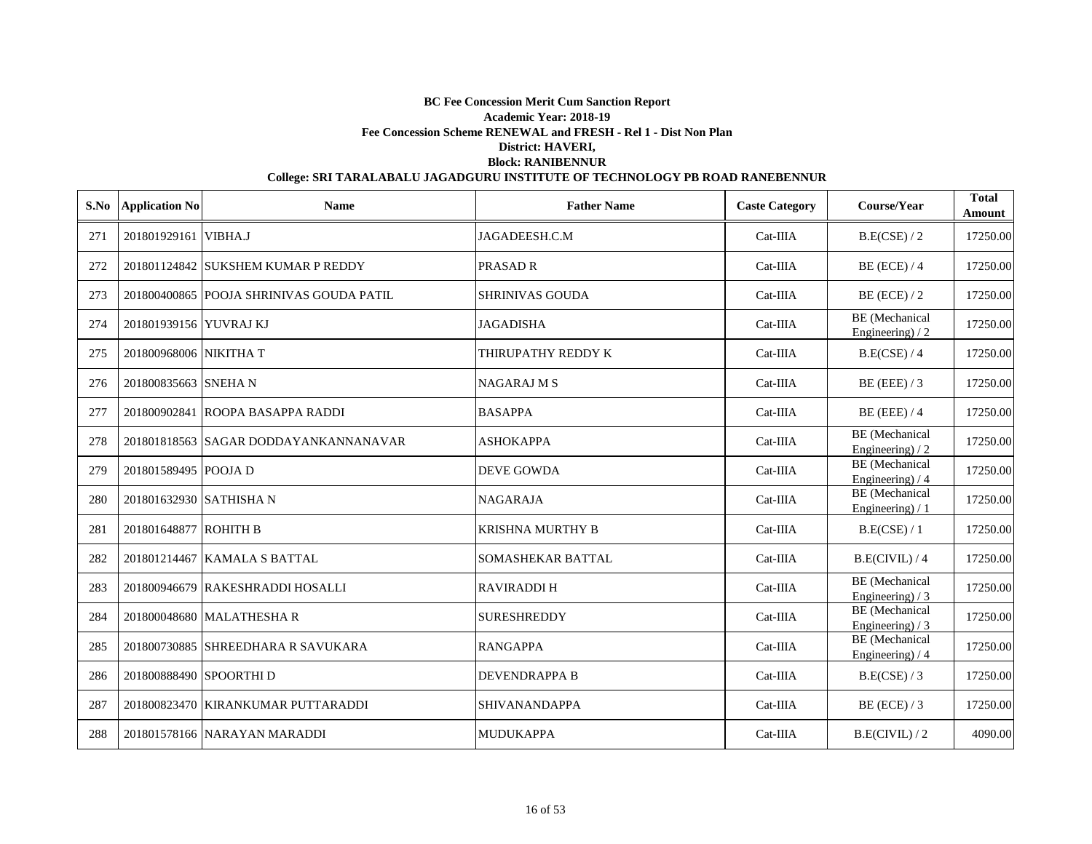| S.No | <b>Application No</b>   | <b>Name</b>                              | <b>Father Name</b>     | <b>Caste Category</b> | Course/Year                                | <b>Total</b><br>Amount |
|------|-------------------------|------------------------------------------|------------------------|-----------------------|--------------------------------------------|------------------------|
| 271  | 201801929161 VIBHA.J    |                                          | JAGADEESH.C.M          | $Cat-IIIA$            | B.E(CSE) / 2                               | 17250.00               |
| 272  |                         | 201801124842 SUKSHEM KUMAR P REDDY       | <b>PRASAD R</b>        | $Cat-IIIA$            | $BE$ (ECE) / 4                             | 17250.00               |
| 273  |                         | 201800400865 POOJA SHRINIVAS GOUDA PATIL | <b>SHRINIVAS GOUDA</b> | $Cat-IIIA$            | BE (ECE) $/2$                              | 17250.00               |
| 274  | 201801939156 YUVRAJ KJ  |                                          | <b>JAGADISHA</b>       | Cat-IIIA              | BE (Mechanical<br>Engineering) $/2$        | 17250.00               |
| 275  | 201800968006 NIKITHA T  |                                          | THIRUPATHY REDDY K     | $Cat-IIIA$            | B.E(CSE) / 4                               | 17250.00               |
| 276  | 201800835663 SNEHA N    |                                          | <b>NAGARAJ M S</b>     | Cat-IIIA              | BE (EEE) $/3$                              | 17250.00               |
| 277  |                         | 201800902841 ROOPA BASAPPA RADDI         | <b>BASAPPA</b>         | Cat-IIIA              | $BE$ (EEE) / 4                             | 17250.00               |
| 278  |                         | 201801818563 SAGAR DODDAYANKANNANAVAR    | <b>ASHOKAPPA</b>       | Cat-IIIA              | <b>BE</b> (Mechanical<br>Engineering) $/2$ | 17250.00               |
| 279  | 201801589495 POOJA D    |                                          | DEVE GOWDA             | Cat-IIIA              | BE (Mechanical<br>Engineering) $/4$        | 17250.00               |
| 280  | 201801632930 SATHISHA N |                                          | <b>NAGARAJA</b>        | Cat-IIIA              | BE (Mechanical<br>Engineering $)/1$        | 17250.00               |
| 281  | 201801648877 ROHITH B   |                                          | KRISHNA MURTHY B       | Cat-IIIA              | B.E(CSE) / 1                               | 17250.00               |
| 282  |                         | 201801214467 KAMALA S BATTAL             | SOMASHEKAR BATTAL      | $Cat-IIIA$            | B.E(CIVIL)/4                               | 17250.00               |
| 283  |                         | 201800946679 RAKESHRADDI HOSALLI         | <b>RAVIRADDI H</b>     | $Cat-IIIA$            | <b>BE</b> (Mechanical<br>Engineering) / 3  | 17250.00               |
| 284  |                         | 201800048680 MALATHESHAR                 | <b>SURESHREDDY</b>     | $Cat-IIIA$            | <b>BE</b> (Mechanical<br>Engineering) $/3$ | 17250.00               |
| 285  |                         | 201800730885 SHREEDHARA R SAVUKARA       | <b>RANGAPPA</b>        | Cat-IIIA              | <b>BE</b> (Mechanical<br>Engineering) / 4  | 17250.00               |
| 286  | 201800888490 SPOORTHI D |                                          | <b>DEVENDRAPPA B</b>   | $Cat-IIIA$            | B.E(CSE) / 3                               | 17250.00               |
| 287  |                         | 201800823470 KIRANKUMAR PUTTARADDI       | <b>SHIVANANDAPPA</b>   | $Cat-IIIA$            | $BE$ (ECE) / 3                             | 17250.00               |
| 288  |                         | 201801578166 NARAYAN MARADDI             | <b>MUDUKAPPA</b>       | $Cat-IIIA$            | B.E(CIVIL)/2                               | 4090.00                |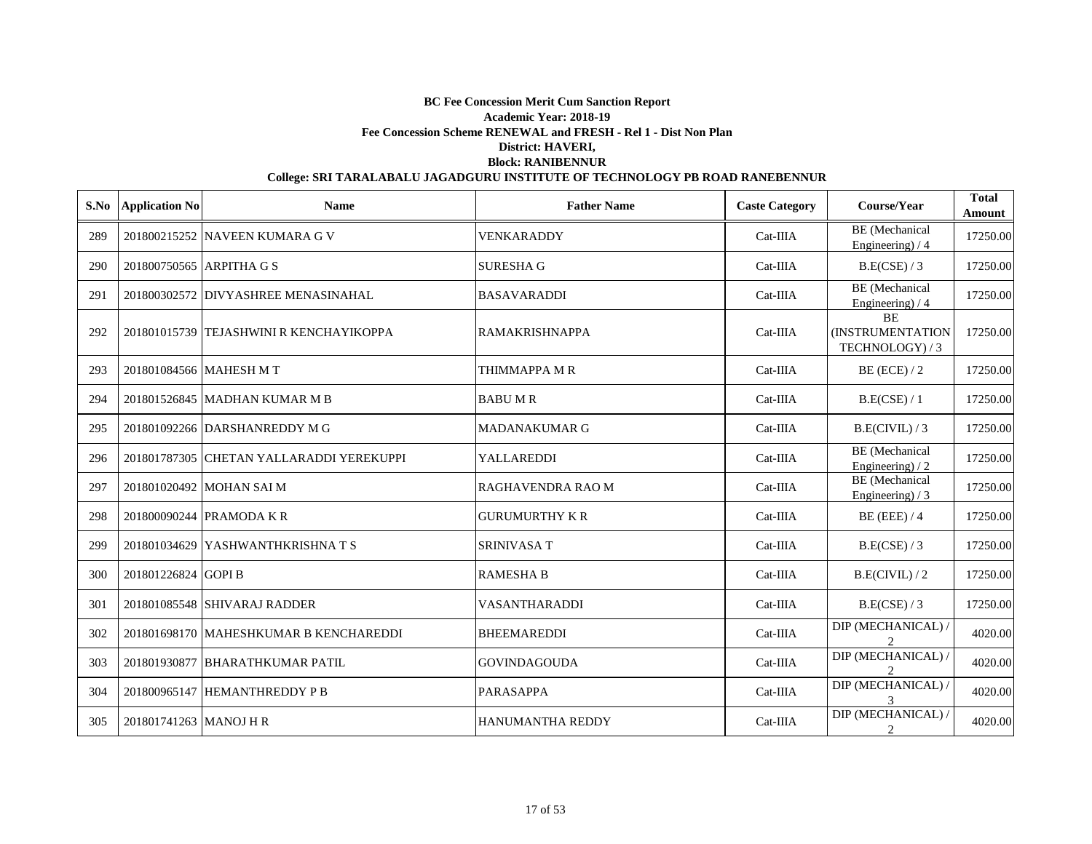|     | S.No Application No      | <b>Name</b>                              | <b>Father Name</b>      | <b>Caste Category</b> | Course/Year                                      | <b>Total</b><br>Amount |
|-----|--------------------------|------------------------------------------|-------------------------|-----------------------|--------------------------------------------------|------------------------|
| 289 |                          | 201800215252 NAVEEN KUMARA G V           | VENKARADDY              | $Cat-IIIA$            | <b>BE</b> (Mechanical<br>Engineering) $/4$       | 17250.00               |
| 290 | 201800750565 ARPITHA G S |                                          | <b>SURESHA G</b>        | $Cat-IIIA$            | B.E(CSE) / 3                                     | 17250.00               |
| 291 |                          | 201800302572 DIVYASHREE MENASINAHAL      | <b>BASAVARADDI</b>      | $Cat-IIIA$            | <b>BE</b> (Mechanical<br>Engineering) / 4        | 17250.00               |
| 292 |                          | 201801015739 TEJASHWINI R KENCHAYIKOPPA  | <b>RAMAKRISHNAPPA</b>   | Cat-IIIA              | <b>BE</b><br>(INSTRUMENTATION<br>TECHNOLOGY) / 3 | 17250.00               |
| 293 |                          | 201801084566 MAHESH M T                  | THIMMAPPA M R           | $Cat-IIIA$            | $BE$ (ECE) / 2                                   | 17250.00               |
| 294 |                          | 201801526845 MADHAN KUMAR M B            | <b>BABUMR</b>           | $Cat-IIIA$            | B.E(CSE) / 1                                     | 17250.00               |
| 295 |                          | 201801092266 DARSHANREDDY M G            | <b>MADANAKUMAR G</b>    | $Cat-IIIA$            | B.E(CIVIL)/3                                     | 17250.00               |
| 296 |                          | 201801787305 CHETAN YALLARADDI YEREKUPPI | YALLAREDDI              | $Cat-IIIA$            | <b>BE</b> (Mechanical<br>Engineering) / 2        | 17250.00               |
| 297 |                          | 201801020492 MOHAN SAI M                 | RAGHAVENDRA RAO M       | $Cat-IIIA$            | <b>BE</b> (Mechanical<br>Engineering) / 3        | 17250.00               |
| 298 |                          | 201800090244 PRAMODA K R                 | <b>GURUMURTHY K R</b>   | Cat-IIIA              | $BE$ (EEE) / 4                                   | 17250.00               |
| 299 |                          | 201801034629 YASHWANTHKRISHNA T S        | <b>SRINIVASA T</b>      | Cat-IIIA              | B.E(CSE) / 3                                     | 17250.00               |
| 300 | 201801226824 GOPI B      |                                          | <b>RAMESHA B</b>        | $Cat-IIIA$            | B.E(CIVIL)/2                                     | 17250.00               |
| 301 |                          | 201801085548 SHIVARAJ RADDER             | VASANTHARADDI           | $Cat-IIIA$            | B.E(CSE)/3                                       | 17250.00               |
| 302 |                          | 201801698170   MAHESHKUMAR B KENCHAREDDI | <b>BHEEMAREDDI</b>      | $Cat-IIIA$            | DIP (MECHANICAL) /                               | 4020.00                |
| 303 |                          | 201801930877 BHARATHKUMAR PATIL          | <b>GOVINDAGOUDA</b>     | $Cat-IIIA$            | DIP (MECHANICAL) /<br>$\mathfrak{D}$             | 4020.00                |
| 304 |                          | 201800965147 HEMANTHREDDY P B            | <b>PARASAPPA</b>        | $Cat-IIIA$            | DIP (MECHANICAL) /<br>3                          | 4020.00                |
| 305 | 201801741263 MANOJ H R   |                                          | <b>HANUMANTHA REDDY</b> | $Cat-IIIA$            | DIP (MECHANICAL) /<br>2                          | 4020.00                |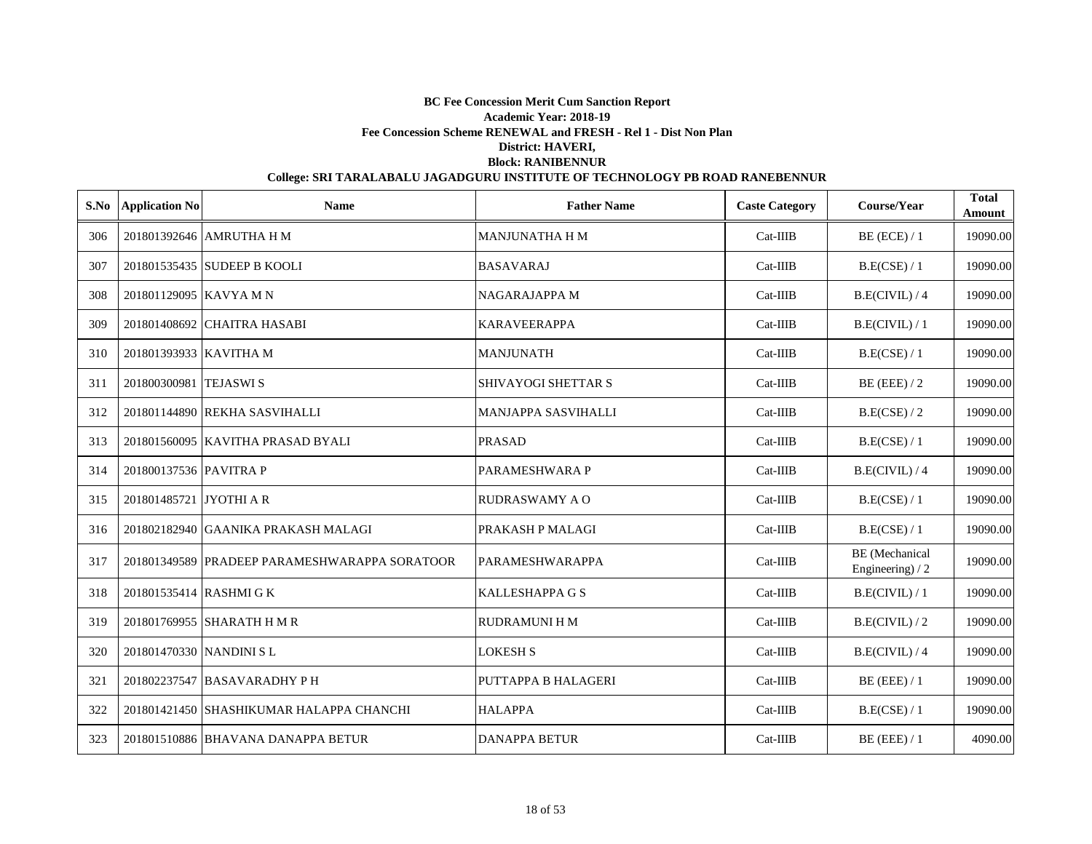| S.No | <b>Application No</b>   | <b>Name</b>                                   | <b>Father Name</b>         | <b>Caste Category</b> | Course/Year                               | <b>Total</b><br>Amount |
|------|-------------------------|-----------------------------------------------|----------------------------|-----------------------|-------------------------------------------|------------------------|
| 306  |                         | 201801392646 AMRUTHA H M                      | <b>MANJUNATHA H M</b>      | $Cat-IIIB$            | BE (ECE) / 1                              | 19090.00               |
| 307  |                         | 201801535435 SUDEEP B KOOLI                   | <b>BASAVARAJ</b>           | $Cat-IIIB$            | B.E(CSE) / 1                              | 19090.00               |
| 308  | 201801129095 KAVYA M N  |                                               | <b>NAGARAJAPPA M</b>       | $Cat-IIIB$            | B.E(CIVIL) / 4                            | 19090.00               |
| 309  |                         | 201801408692 CHAITRA HASABI                   | <b>KARAVEERAPPA</b>        | $Cat-IIIB$            | B.E(CIVIL)/1                              | 19090.00               |
| 310  | 201801393933 KAVITHA M  |                                               | <b>MANJUNATH</b>           | $Cat-IIIB$            | B.E(CSE) / 1                              | 19090.00               |
| 311  | 201800300981 TEJASWIS   |                                               | SHIVAYOGI SHETTAR S        | $Cat-IIIB$            | $BE$ (EEE) / 2                            | 19090.00               |
| 312  |                         | 201801144890 REKHA SASVIHALLI                 | <b>MANJAPPA SASVIHALLI</b> | $Cat-IIIB$            | B.E(CSE) / 2                              | 19090.00               |
| 313  |                         | 201801560095 KAVITHA PRASAD BYALI             | <b>PRASAD</b>              | $Cat-IIIB$            | B.E(CSE) / 1                              | 19090.00               |
| 314  | 201800137536 PAVITRA P  |                                               | PARAMESHWARA P             | $Cat-IIIB$            | B.E(CIVIL) / 4                            | 19090.00               |
| 315  | 201801485721 JYOTHI A R |                                               | <b>RUDRASWAMY A O</b>      | $Cat-IIIB$            | B.E(CSE) / 1                              | 19090.00               |
| 316  |                         | 201802182940 GAANIKA PRAKASH MALAGI           | PRAKASH P MALAGI           | $Cat-IIIB$            | B.E(CSE) / 1                              | 19090.00               |
| 317  |                         | 201801349589 PRADEEP PARAMESHWARAPPA SORATOOR | PARAMESHWARAPPA            | $Cat-IIIB$            | <b>BE</b> (Mechanical<br>Engineering) / 2 | 19090.00               |
| 318  | 201801535414 RASHMI G K |                                               | <b>KALLESHAPPA G S</b>     | $Cat-IIIB$            | B.E(CIVIL) / 1                            | 19090.00               |
| 319  |                         | 201801769955 SHARATH H M R                    | <b>RUDRAMUNI H M</b>       | $Cat-IIIB$            | B.E(CIVIL)/2                              | 19090.00               |
| 320  | 201801470330 NANDINI SL |                                               | <b>LOKESH S</b>            | $Cat-IIIB$            | B.E(CIVIL) / 4                            | 19090.00               |
| 321  |                         | 201802237547 BASAVARADHY P H                  | PUTTAPPA B HALAGERI        | $Cat-IIIB$            | $BE$ (EEE) / 1                            | 19090.00               |
| 322  |                         | 201801421450 SHASHIKUMAR HALAPPA CHANCHI      | <b>HALAPPA</b>             | $Cat-IIIB$            | B.E(CSE) / 1                              | 19090.00               |
| 323  |                         | 201801510886 BHAVANA DANAPPA BETUR            | <b>DANAPPA BETUR</b>       | $Cat-IIIB$            | $BE$ (EEE) / 1                            | 4090.00                |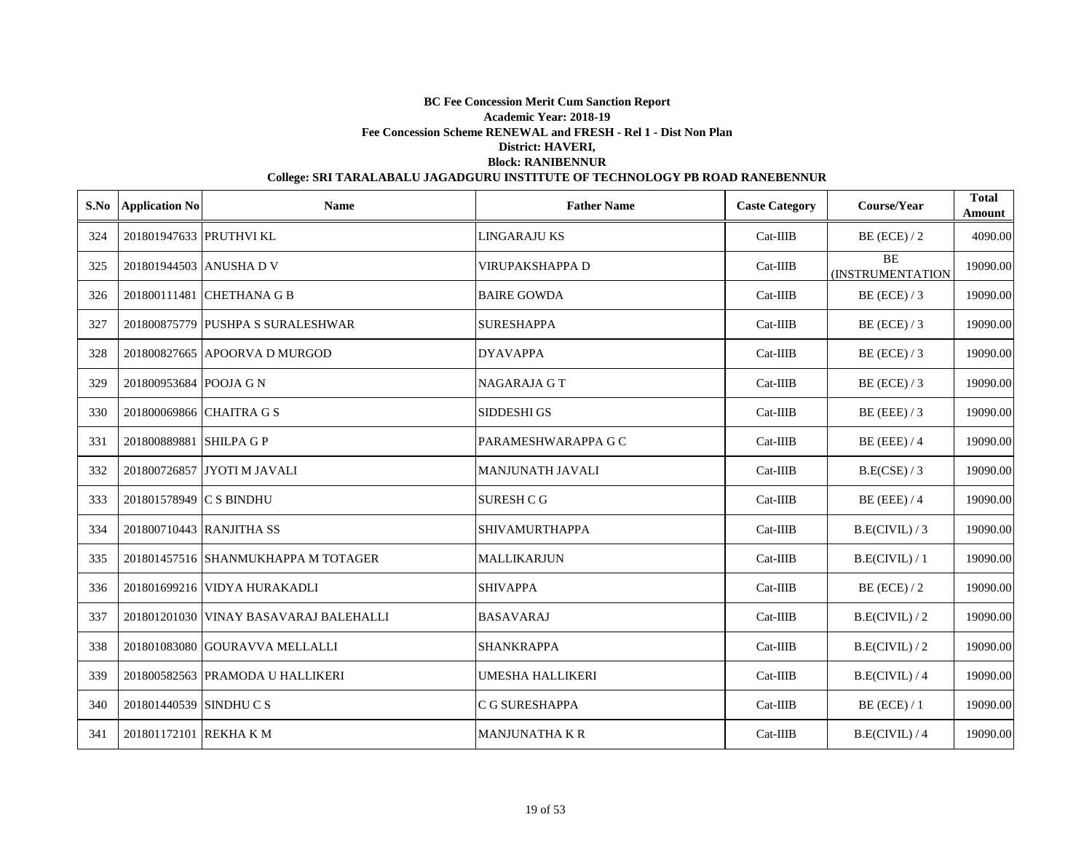|     | S.No Application No     | <b>Name</b>                            | <b>Father Name</b>      | <b>Caste Category</b> | Course/Year                   | <b>Total</b><br>Amount |
|-----|-------------------------|----------------------------------------|-------------------------|-----------------------|-------------------------------|------------------------|
| 324 | 201801947633 PRUTHVI KL |                                        | <b>LINGARAJU KS</b>     | $Cat-IIIB$            | $BE$ (ECE) / 2                | 4090.00                |
| 325 | 201801944503 ANUSHA D V |                                        | VIRUPAKSHAPPA D         | $Cat-IIIB$            | <b>BE</b><br>(INSTRUMENTATION | 19090.00               |
| 326 |                         | 201800111481 CHETHANA G B              | <b>BAIRE GOWDA</b>      | $Cat-IIIB$            | $BE$ (ECE) / 3                | 19090.00               |
| 327 |                         | 201800875779 PUSHPA S SURALESHWAR      | <b>SURESHAPPA</b>       | $Cat-IIIB$            | $BE$ (ECE) / 3                | 19090.00               |
| 328 |                         | 201800827665 APOORVA D MURGOD          | <b>DYAVAPPA</b>         | $Cat-IIIB$            | BE (ECE) $/3$                 | 19090.00               |
| 329 | 201800953684 POOJA G N  |                                        | <b>NAGARAJA G T</b>     | $Cat-IIIB$            | $BE$ (ECE) / 3                | 19090.00               |
| 330 |                         | 201800069866 CHAITRA G S               | SIDDESHI GS             | Cat-IIIB              | BE (EEE) $/3$                 | 19090.00               |
| 331 | 201800889881 SHILPA G P |                                        | PARAMESHWARAPPA G C     | Cat-IIIB              | $BE$ (EEE) / 4                | 19090.00               |
| 332 |                         | 201800726857 JYOTI M JAVALI            | <b>MANJUNATH JAVALI</b> | $Cat-IIIB$            | B.E(CSE) / 3                  | 19090.00               |
| 333 | 201801578949 C S BINDHU |                                        | <b>SURESH C G</b>       | $Cat-IIIB$            | BE (EEE) $/4$                 | 19090.00               |
| 334 |                         | 201800710443 RANJITHA SS               | <b>SHIVAMURTHAPPA</b>   | Cat-IIIB              | B.E(CIVIL)/3                  | 19090.00               |
| 335 |                         | 201801457516 SHANMUKHAPPA M TOTAGER    | <b>MALLIKARJUN</b>      | Cat-IIIB              | B.E(CIVIL) / 1                | 19090.00               |
| 336 |                         | 201801699216 VIDYA HURAKADLI           | <b>SHIVAPPA</b>         | Cat-IIIB              | $BE$ (ECE) / 2                | 19090.00               |
| 337 |                         | 201801201030 VINAY BASAVARAJ BALEHALLI | <b>BASAVARAJ</b>        | $Cat-IIIB$            | B.E(CIVIL)/2                  | 19090.00               |
| 338 |                         | 201801083080 GOURAVVA MELLALLI         | <b>SHANKRAPPA</b>       | Cat-IIIB              | B.E(CIVIL)/2                  | 19090.00               |
| 339 |                         | 201800582563 PRAMODA U HALLIKERI       | <b>UMESHA HALLIKERI</b> | $Cat-IIIB$            | B.E(CIVIL) / 4                | 19090.00               |
| 340 | 201801440539 SINDHU C S |                                        | C G SURESHAPPA          | Cat-IIIB              | $BE$ (ECE) / 1                | 19090.00               |
| 341 | 201801172101 REKHA K M  |                                        | <b>MANJUNATHA K R</b>   | $Cat-IIIB$            | B.E(CIVIL) / 4                | 19090.00               |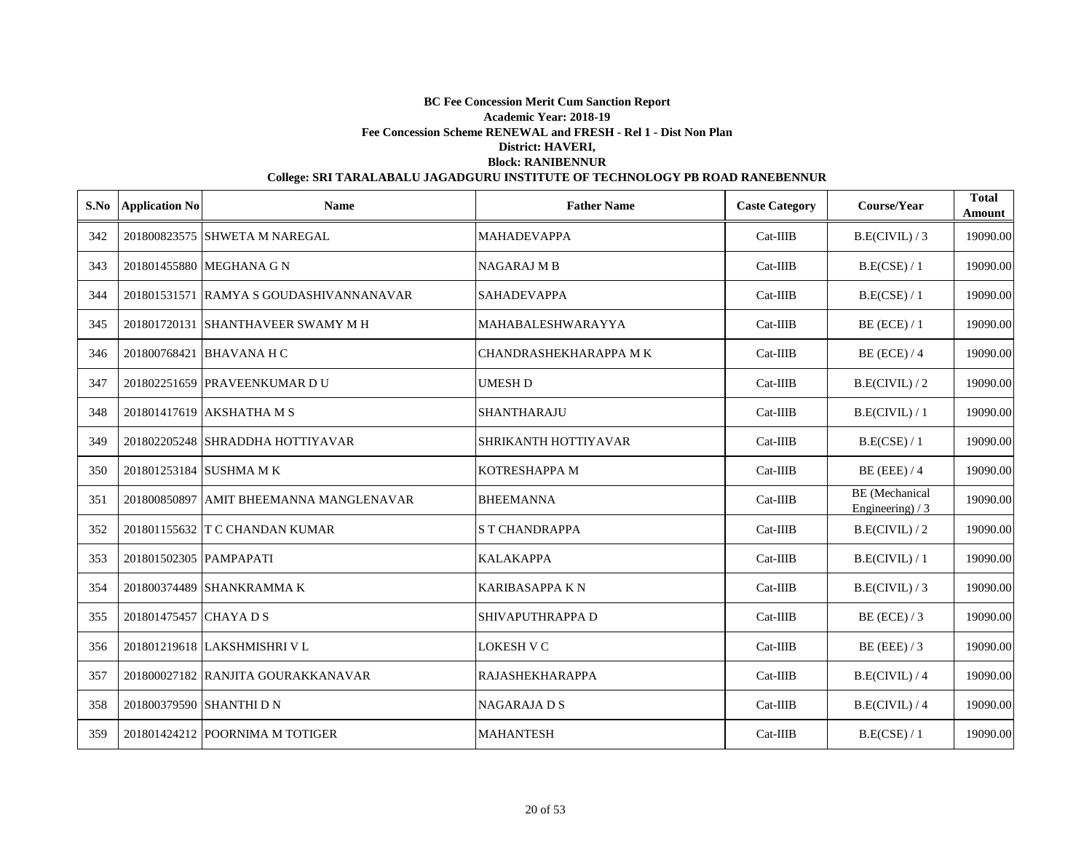| S.No | <b>Application No</b>   | <b>Name</b>                             | <b>Father Name</b>     | <b>Caste Category</b> | Course/Year                         | <b>Total</b><br><b>Amount</b> |
|------|-------------------------|-----------------------------------------|------------------------|-----------------------|-------------------------------------|-------------------------------|
| 342  |                         | 201800823575 SHWETA M NAREGAL           | <b>MAHADEVAPPA</b>     | $Cat-IIIB$            | B.E(CIVIL)/3                        | 19090.00                      |
| 343  |                         | 201801455880 MEGHANA G N                | <b>NAGARAJ M B</b>     | $Cat-IIIB$            | B.E(CSE) / 1                        | 19090.00                      |
| 344  |                         | 201801531571 RAMYA S GOUDASHIVANNANAVAR | <b>SAHADEVAPPA</b>     | $Cat-IIIB$            | B.E(CSE) / 1                        | 19090.00                      |
| 345  |                         | 201801720131 SHANTHAVEER SWAMY M H      | MAHABALESHWARAYYA      | $Cat-IIIB$            | BE (ECE) / 1                        | 19090.00                      |
| 346  |                         | 201800768421 BHAVANA H C                | CHANDRASHEKHARAPPA MK  | $Cat-IIIB$            | $BE$ (ECE) / 4                      | 19090.00                      |
| 347  |                         | 201802251659 PRAVEENKUMAR D U           | <b>UMESH D</b>         | $Cat-IIIB$            | B.E(CIVIL)/2                        | 19090.00                      |
| 348  |                         | 201801417619 AKSHATHA M S               | SHANTHARAJU            | $Cat-IIIB$            | B.E(CIVIL) / 1                      | 19090.00                      |
| 349  |                         | 201802205248 SHRADDHA HOTTIYAVAR        | SHRIKANTH HOTTIYAVAR   | $Cat-IIIB$            | B.E(CSE) / 1                        | 19090.00                      |
| 350  | 201801253184 SUSHMA M K |                                         | KOTRESHAPPA M          | $Cat-IIIB$            | $BE$ (EEE) / 4                      | 19090.00                      |
| 351  |                         | 201800850897 AMIT BHEEMANNA MANGLENAVAR | <b>BHEEMANNA</b>       | $Cat-IIIB$            | BE (Mechanical<br>Engineering) $/3$ | 19090.00                      |
| 352  |                         | 201801155632 T C CHANDAN KUMAR          | <b>S T CHANDRAPPA</b>  | $Cat-IIIB$            | B.E(CIVIL)/2                        | 19090.00                      |
| 353  | 201801502305 PAMPAPATI  |                                         | <b>KALAKAPPA</b>       | $Cat-IIIB$            | B.E(CIVIL) / 1                      | 19090.00                      |
| 354  |                         | 201800374489 SHANKRAMMA K               | <b>KARIBASAPPA K N</b> | $Cat-IIIB$            | B.E(CIVIL)/3                        | 19090.00                      |
| 355  | 201801475457 CHAYA D S  |                                         | SHIVAPUTHRAPPA D       | $Cat-IIIB$            | $BE$ (ECE) / 3                      | 19090.00                      |
| 356  |                         | 201801219618 LAKSHMISHRI V L            | LOKESH V C             | $Cat-IIIB$            | $BE$ (EEE) / 3                      | 19090.00                      |
| 357  |                         | 201800027182 RANJITA GOURAKKANAVAR      | <b>RAJASHEKHARAPPA</b> | $Cat-IIIB$            | B.E(CIVIL) / 4                      | 19090.00                      |
| 358  |                         | 201800379590 SHANTHI D N                | <b>NAGARAJADS</b>      | $Cat-IIIB$            | B.E(CIVIL) / 4                      | 19090.00                      |
| 359  |                         | 201801424212 POORNIMA M TOTIGER         | <b>MAHANTESH</b>       | $Cat-IIIB$            | B.E(CSE) / 1                        | 19090.00                      |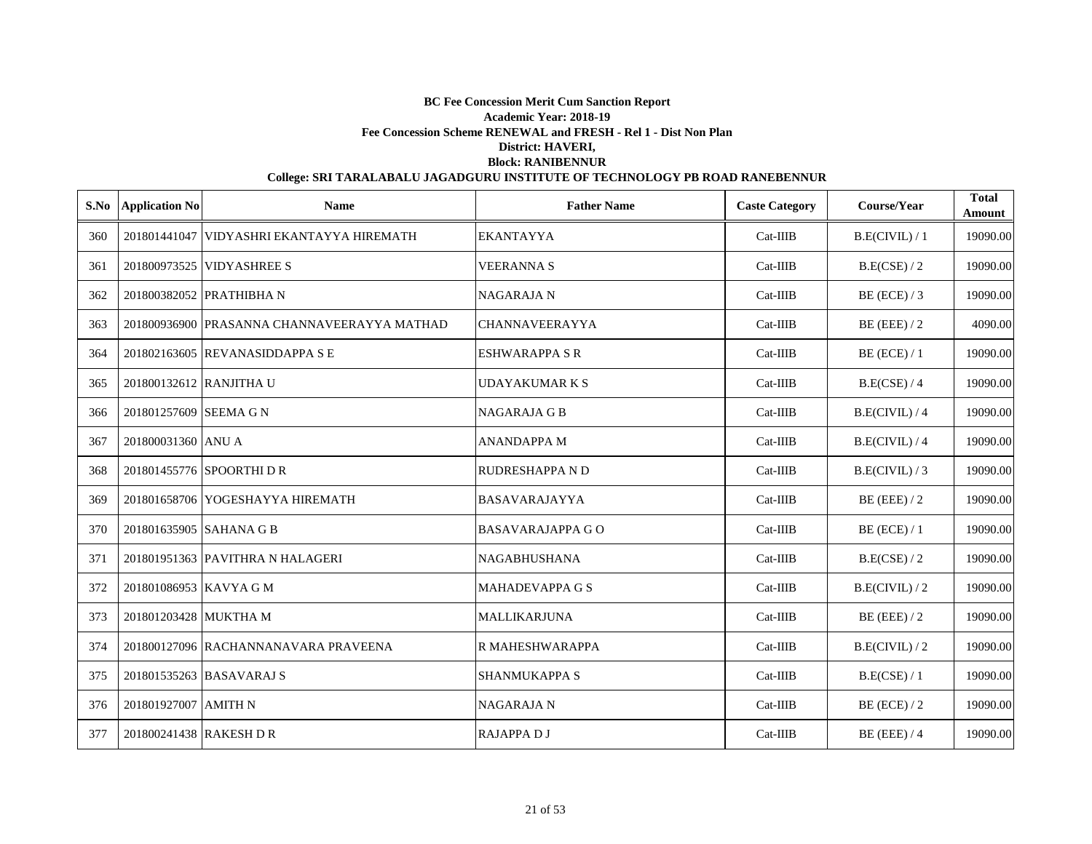| S.No | <b>Application No</b>   | <b>Name</b>                                 | <b>Father Name</b>      | <b>Caste Category</b> | Course/Year    | <b>Total</b><br><b>Amount</b> |
|------|-------------------------|---------------------------------------------|-------------------------|-----------------------|----------------|-------------------------------|
| 360  |                         | 201801441047 VIDYASHRI EKANTAYYA HIREMATH   | <b>EKANTAYYA</b>        | $Cat-IIIB$            | B.E(CIVIL) / 1 | 19090.00                      |
| 361  |                         | 201800973525 VIDYASHREE S                   | <b>VEERANNA S</b>       | $Cat-IIIB$            | B.E(CSE) / 2   | 19090.00                      |
| 362  |                         | 201800382052 PRATHIBHA N                    | <b>NAGARAJA N</b>       | $Cat-IIIB$            | $BE$ (ECE) / 3 | 19090.00                      |
| 363  |                         | 201800936900 PRASANNA CHANNAVEERAYYA MATHAD | <b>CHANNAVEERAYYA</b>   | $Cat-IIIB$            | $BE$ (EEE) / 2 | 4090.00                       |
| 364  |                         | 201802163605 REVANASIDDAPPA S E             | <b>ESHWARAPPA S R</b>   | $Cat-IIIB$            | $BE$ (ECE) / 1 | 19090.00                      |
| 365  | 201800132612 RANJITHA U |                                             | <b>UDAYAKUMARKS</b>     | $Cat-IIIB$            | B.E(CSE) / 4   | 19090.00                      |
| 366  | 201801257609 SEEMA G N  |                                             | <b>NAGARAJA G B</b>     | $Cat-IIIB$            | B.E(CIVIL) / 4 | 19090.00                      |
| 367  | 201800031360 ANU A      |                                             | <b>ANANDAPPA M</b>      | $Cat-IIIB$            | B.E(CIVIL)/4   | 19090.00                      |
| 368  |                         | 201801455776 SPOORTHI D R                   | <b>RUDRESHAPPA N D</b>  | $Cat-IIIB$            | B.E(CIVIL)/3   | 19090.00                      |
| 369  |                         | 201801658706 YOGESHAYYA HIREMATH            | <b>BASAVARAJAYYA</b>    | $Cat-IIIB$            | $BE$ (EEE) / 2 | 19090.00                      |
| 370  | 201801635905 SAHANA G B |                                             | <b>BASAVARAJAPPA GO</b> | $Cat-IIIB$            | BE (ECE) / 1   | 19090.00                      |
| 371  |                         | 201801951363 PAVITHRA N HALAGERI            | <b>NAGABHUSHANA</b>     | $Cat-IIIB$            | B.E(CSE) / 2   | 19090.00                      |
| 372  | 201801086953 KAVYA G M  |                                             | <b>MAHADEVAPPA G S</b>  | $Cat-IIIB$            | B.E(CIVIL)/2   | 19090.00                      |
| 373  | 201801203428 MUKTHA M   |                                             | <b>MALLIKARJUNA</b>     | $Cat-IIIB$            | $BE$ (EEE) / 2 | 19090.00                      |
| 374  |                         | 201800127096 RACHANNANAVARA PRAVEENA        | R MAHESHWARAPPA         | $Cat-IIIB$            | B.E(CIVIL)/2   | 19090.00                      |
| 375  |                         | 201801535263 BASAVARAJ S                    | <b>SHANMUKAPPA S</b>    | $Cat-IIIB$            | B.E(CSE) / 1   | 19090.00                      |
| 376  | 201801927007 AMITH N    |                                             | <b>NAGARAJA N</b>       | $Cat-IIIB$            | BE (ECE) $/2$  | 19090.00                      |
| 377  | 201800241438 RAKESH D R |                                             | <b>RAJAPPADJ</b>        | $Cat-IIIB$            | $BE$ (EEE) / 4 | 19090.00                      |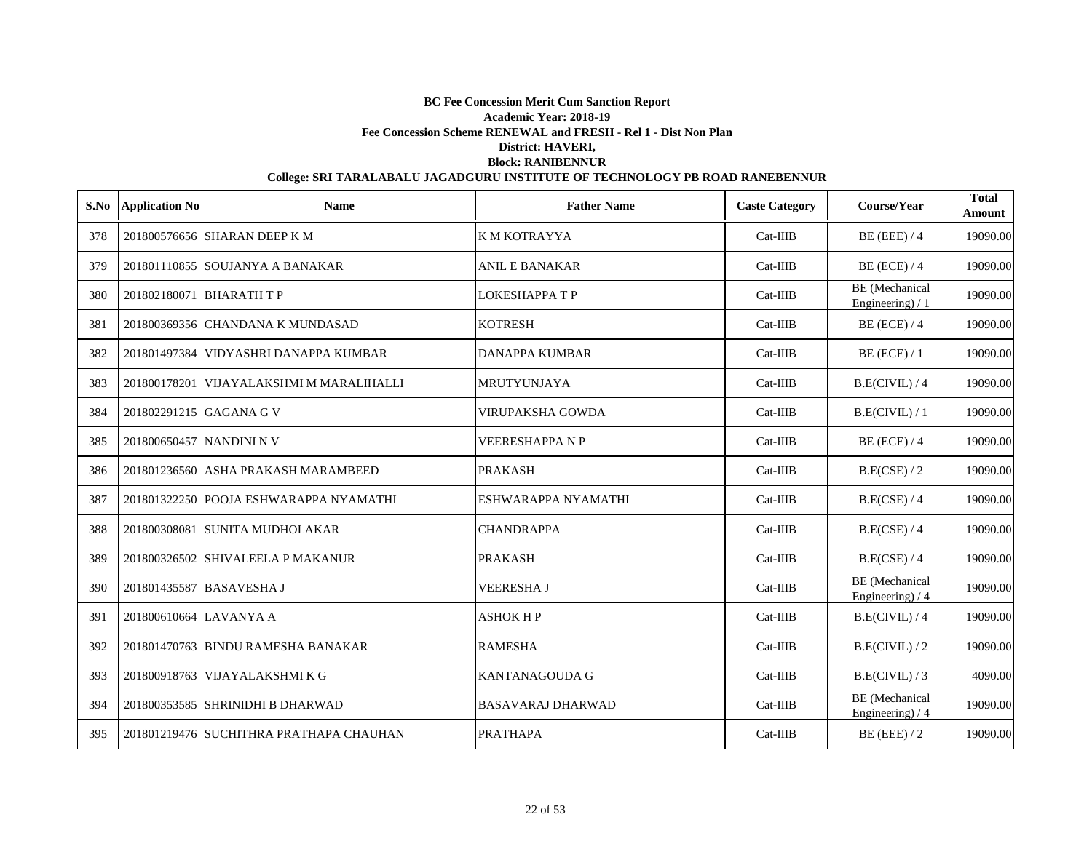|     | S.No Application No      | <b>Name</b>                              | <b>Father Name</b>       | <b>Caste Category</b> | Course/Year                               | <b>Total</b><br>Amount |
|-----|--------------------------|------------------------------------------|--------------------------|-----------------------|-------------------------------------------|------------------------|
| 378 |                          | 201800576656 SHARAN DEEP K M             | K M KOTRAYYA             | Cat-IIIB              | $BE$ (EEE) / 4                            | 19090.00               |
| 379 |                          | 201801110855 SOUJANYA A BANAKAR          | <b>ANIL E BANAKAR</b>    | $Cat-IIIB$            | $BE$ (ECE) / 4                            | 19090.00               |
| 380 |                          | 201802180071 BHARATH T P                 | <b>LOKESHAPPA T P</b>    | Cat-IIIB              | <b>BE</b> (Mechanical<br>Engineering) / 1 | 19090.00               |
| 381 |                          | 201800369356 CHANDANA K MUNDASAD         | <b>KOTRESH</b>           | Cat-IIIB              | $BE$ (ECE) / 4                            | 19090.00               |
| 382 |                          | 201801497384 VIDYASHRI DANAPPA KUMBAR    | <b>DANAPPA KUMBAR</b>    | $Cat-IIIB$            | $BE$ (ECE) / 1                            | 19090.00               |
| 383 |                          | 201800178201 VIJAYALAKSHMI M MARALIHALLI | <b>MRUTYUNJAYA</b>       | $Cat-IIIB$            | B.E(CIVIL)/4                              | 19090.00               |
| 384 |                          | 201802291215 GAGANA G V                  | VIRUPAKSHA GOWDA         | $Cat-IIIB$            | B.E(CIVIL) / 1                            | 19090.00               |
| 385 | 201800650457 NANDINI N V |                                          | VEERESHAPPA N P          | $Cat-IIIB$            | $BE$ (ECE) / 4                            | 19090.00               |
| 386 |                          | 201801236560 ASHA PRAKASH MARAMBEED      | <b>PRAKASH</b>           | Cat-IIIB              | B.E(CSE) / 2                              | 19090.00               |
| 387 |                          | 201801322250 POOJA ESHWARAPPA NYAMATHI   | ESHWARAPPA NYAMATHI      | Cat-IIIB              | B.E(CSE) / 4                              | 19090.00               |
| 388 |                          | 201800308081 SUNITA MUDHOLAKAR           | <b>CHANDRAPPA</b>        | $Cat-IIIB$            | B.E(CSE) / 4                              | 19090.00               |
| 389 |                          | 201800326502 SHIVALEELA P MAKANUR        | <b>PRAKASH</b>           | Cat-IIIB              | B.E(CSE) / 4                              | 19090.00               |
| 390 |                          | 201801435587 BASAVESHA J                 | <b>VEERESHA J</b>        | $Cat-IIIB$            | <b>BE</b> (Mechanical<br>Engineering) / 4 | 19090.00               |
| 391 | 201800610664 LAVANYA A   |                                          | ASHOK H P                | $Cat-IIIB$            | B.E(CIVIL)/4                              | 19090.00               |
| 392 |                          | 201801470763 BINDU RAMESHA BANAKAR       | <b>RAMESHA</b>           | $Cat-IIIB$            | B.E(CIVIL)/2                              | 19090.00               |
| 393 |                          | 201800918763 VIJAYALAKSHMI K G           | KANTANAGOUDA G           | $Cat-IIIB$            | B.E(CIVIL)/3                              | 4090.00                |
| 394 |                          | 201800353585 SHRINIDHI B DHARWAD         | <b>BASAVARAJ DHARWAD</b> | $Cat-IIIB$            | <b>BE</b> (Mechanical<br>Engineering) / 4 | 19090.00               |
| 395 |                          | 201801219476 SUCHITHRA PRATHAPA CHAUHAN  | <b>PRATHAPA</b>          | $Cat-IIIB$            | $BE$ (EEE) / 2                            | 19090.00               |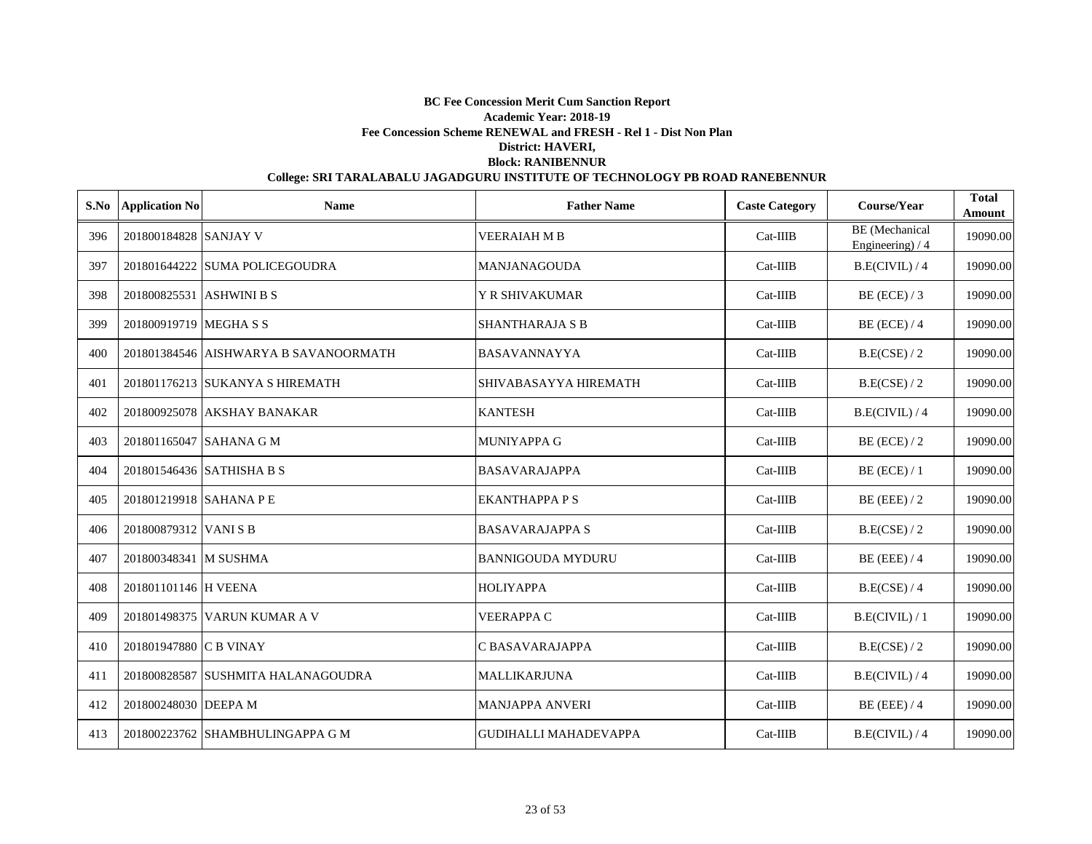| S.No | <b>Application No</b>    | <b>Name</b>                           | <b>Father Name</b>       | <b>Caste Category</b> | Course/Year                               | <b>Total</b><br>Amount |
|------|--------------------------|---------------------------------------|--------------------------|-----------------------|-------------------------------------------|------------------------|
| 396  | 201800184828 SANJAY V    |                                       | <b>VEERAIAH M B</b>      | $Cat-IIIB$            | <b>BE</b> (Mechanical<br>Engineering) / 4 | 19090.00               |
| 397  |                          | 201801644222 SUMA POLICEGOUDRA        | <b>MANJANAGOUDA</b>      | $Cat-IIIB$            | B.E(CIVIL) / 4                            | 19090.00               |
| 398  | 201800825531 ASHWINI B S |                                       | <b>Y R SHIVAKUMAR</b>    | $Cat-IIIB$            | $BE$ (ECE) / 3                            | 19090.00               |
| 399  | 201800919719 MEGHA S S   |                                       | <b>SHANTHARAJA S B</b>   | $Cat-IIIB$            | $BE$ (ECE) / 4                            | 19090.00               |
| 400  |                          | 201801384546 AISHWARYA B SAVANOORMATH | <b>BASAVANNAYYA</b>      | $Cat-IIIB$            | B.E(CSE)/2                                | 19090.00               |
| 401  |                          | 201801176213 SUKANYA S HIREMATH       | SHIVABASAYYA HIREMATH    | Cat-IIIB              | B.E(CSE) / 2                              | 19090.00               |
| 402  |                          | 201800925078 AKSHAY BANAKAR           | <b>KANTESH</b>           | $Cat-IIIB$            | B.E(CIVIL) / 4                            | 19090.00               |
| 403  | 201801165047 SAHANA G M  |                                       | <b>MUNIYAPPA G</b>       | Cat-IIIB              | $BE$ (ECE) / 2                            | 19090.00               |
| 404  |                          | 201801546436 SATHISHA B S             | <b>BASAVARAJAPPA</b>     | Cat-IIIB              | $BE$ (ECE) / 1                            | 19090.00               |
| 405  | 201801219918 SAHANA P E  |                                       | <b>EKANTHAPPA P S</b>    | $Cat-IIIB$            | $BE$ (EEE) / 2                            | 19090.00               |
| 406  | 201800879312 VANISB      |                                       | <b>BASAVARAJAPPA S</b>   | $Cat-IIIB$            | B.E(CSE) / 2                              | 19090.00               |
| 407  | 201800348341 M SUSHMA    |                                       | <b>BANNIGOUDA MYDURU</b> | $Cat-IIIB$            | $BE$ (EEE) / 4                            | 19090.00               |
| 408  | 201801101146 H VEENA     |                                       | <b>HOLIYAPPA</b>         | Cat-IIIB              | B.E(CSE) / 4                              | 19090.00               |
| 409  |                          | 201801498375 VARUN KUMAR A V          | <b>VEERAPPA C</b>        | $Cat-IIIB$            | B.E(CIVIL) / 1                            | 19090.00               |
| 410  | 201801947880 C B VINAY   |                                       | C BASAVARAJAPPA          | $Cat-IIIB$            | B.E(CSE) / 2                              | 19090.00               |
| 411  |                          | 201800828587 SUSHMITA HALANAGOUDRA    | <b>MALLIKARJUNA</b>      | $Cat-IIIB$            | B.E(CIVIL) / 4                            | 19090.00               |
| 412  | 201800248030 DEEPA M     |                                       | <b>MANJAPPA ANVERI</b>   | $Cat-IIIB$            | $BE$ (EEE) / 4                            | 19090.00               |
| 413  |                          | 201800223762 SHAMBHULINGAPPA G M      | GUDIHALLI MAHADEVAPPA    | $Cat-IIIB$            | B.E(CIVIL)/4                              | 19090.00               |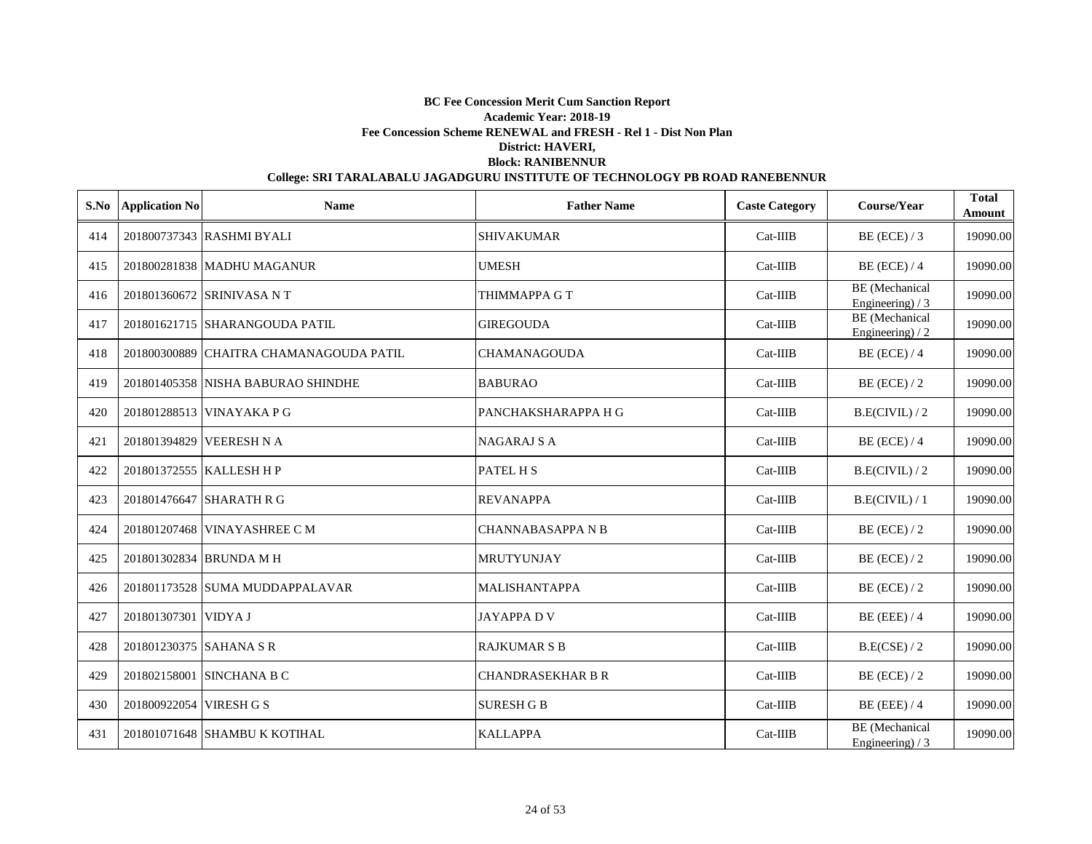|     | S.No Application No     | <b>Name</b>                             | <b>Father Name</b>       | <b>Caste Category</b> | Course/Year                                | <b>Total</b><br>Amount |
|-----|-------------------------|-----------------------------------------|--------------------------|-----------------------|--------------------------------------------|------------------------|
| 414 |                         | 201800737343 RASHMI BYALI               | <b>SHIVAKUMAR</b>        | Cat-IIIB              | $BE$ (ECE) / 3                             | 19090.00               |
| 415 |                         | 201800281838 MADHU MAGANUR              | <b>UMESH</b>             | $Cat-IIIB$            | $BE$ (ECE) / 4                             | 19090.00               |
| 416 |                         | 201801360672 SRINIVASA N T              | THIMMAPPA G T            | $Cat-IIIB$            | <b>BE</b> (Mechanical<br>Engineering) $/3$ | 19090.00               |
| 417 |                         | 201801621715 SHARANGOUDA PATIL          | <b>GIREGOUDA</b>         | $Cat-IIIB$            | <b>BE</b> (Mechanical<br>Engineering $/2$  | 19090.00               |
| 418 |                         | 201800300889 CHAITRA CHAMANAGOUDA PATIL | <b>CHAMANAGOUDA</b>      | $Cat-IIIB$            | $BE$ (ECE) / 4                             | 19090.00               |
| 419 |                         | 201801405358 NISHA BABURAO SHINDHE      | <b>BABURAO</b>           | $Cat-IIIB$            | $BE$ (ECE) / 2                             | 19090.00               |
| 420 |                         | 201801288513 VINAYAKA P G               | PANCHAKSHARAPPA H G      | $Cat-IIIB$            | B.E(CIVIL)/2                               | 19090.00               |
| 421 |                         | 201801394829 VEERESH N A                | <b>NAGARAJ S A</b>       | Cat-IIIB              | $BE$ (ECE) / 4                             | 19090.00               |
| 422 |                         | 201801372555 KALLESH H P                | PATEL H S                | Cat-IIIB              | B.E(CIVIL)/2                               | 19090.00               |
| 423 |                         | 201801476647 SHARATH R G                | <b>REVANAPPA</b>         | Cat-IIIB              | B.E(CIVIL) / 1                             | 19090.00               |
| 424 |                         | 201801207468 VINAYASHREE C M            | <b>CHANNABASAPPA N B</b> | Cat-IIIB              | $BE$ (ECE) / 2                             | 19090.00               |
| 425 |                         | 201801302834 BRUNDA M H                 | <b>MRUTYUNJAY</b>        | Cat-IIIB              | $BE$ (ECE) / 2                             | 19090.00               |
| 426 |                         | 201801173528 SUMA MUDDAPPALAVAR         | <b>MALISHANTAPPA</b>     | $Cat-IIIB$            | $BE$ (ECE) / 2                             | 19090.00               |
| 427 | 201801307301 VIDYA J    |                                         | <b>JAYAPPADV</b>         | $Cat-IIIB$            | $BE$ (EEE) / 4                             | 19090.00               |
| 428 | 201801230375 SAHANA S R |                                         | <b>RAJKUMAR S B</b>      | $Cat-IIIB$            | B.E(CSE) / 2                               | 19090.00               |
| 429 |                         | 201802158001 SINCHANA B C               | <b>CHANDRASEKHAR B R</b> | $Cat-IIIB$            | $BE$ (ECE) / 2                             | 19090.00               |
| 430 | 201800922054 VIRESH G S |                                         | <b>SURESH G B</b>        | $Cat-IIIB$            | $BE$ (EEE) / 4                             | 19090.00               |
| 431 |                         | 201801071648 SHAMBU K KOTIHAL           | <b>KALLAPPA</b>          | $Cat-IIIB$            | <b>BE</b> (Mechanical<br>Engineering) $/3$ | 19090.00               |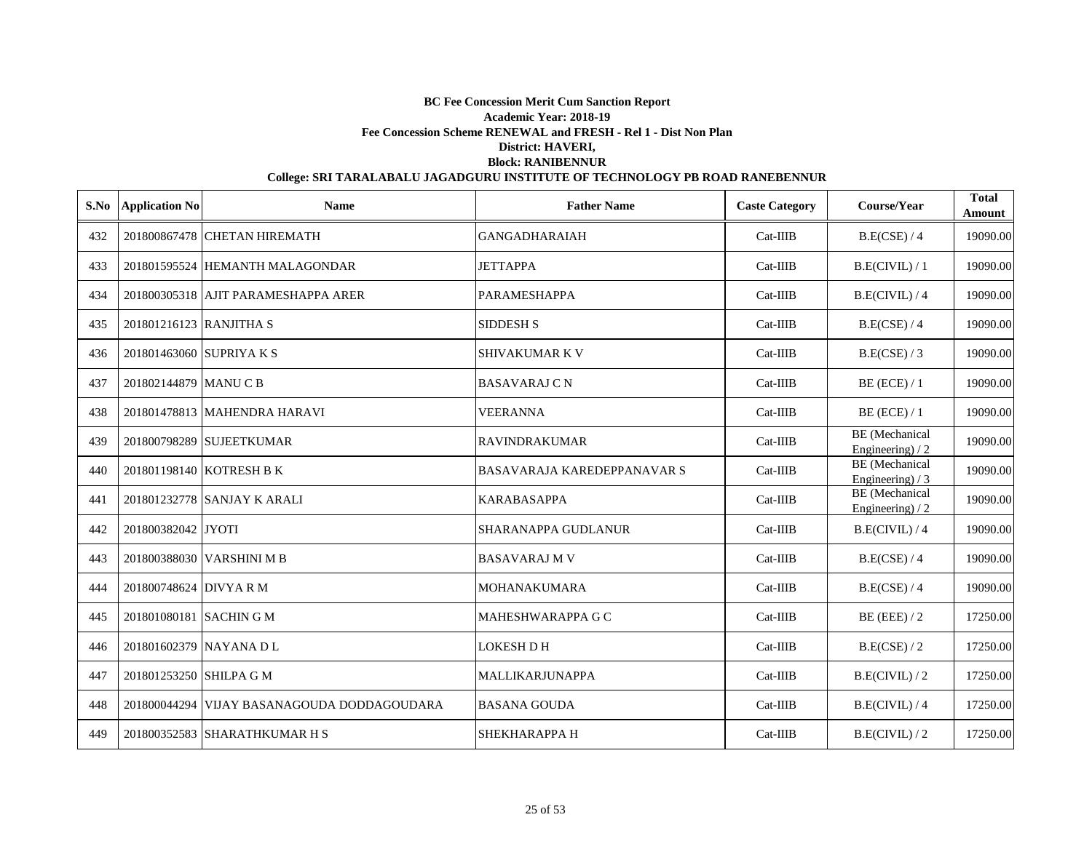|     | S.No Application No      | <b>Name</b>                                 | <b>Father Name</b>                 | <b>Caste Category</b> | Course/Year                               | <b>Total</b><br>Amount |
|-----|--------------------------|---------------------------------------------|------------------------------------|-----------------------|-------------------------------------------|------------------------|
| 432 |                          | 201800867478 CHETAN HIREMATH                | <b>GANGADHARAIAH</b>               | $Cat-IIIB$            | B.E(CSE) / 4                              | 19090.00               |
| 433 |                          | 201801595524 HEMANTH MALAGONDAR             | <b>JETTAPPA</b>                    | $Cat-IIIB$            | B.E(CIVIL) / 1                            | 19090.00               |
| 434 |                          | 201800305318 AJIT PARAMESHAPPA ARER         | <b>PARAMESHAPPA</b>                | $Cat-IIIB$            | B.E(CIVIL) / 4                            | 19090.00               |
| 435 | 201801216123 RANJITHA S  |                                             | <b>SIDDESH S</b>                   | $Cat-IIIB$            | B.E(CSE) / 4                              | 19090.00               |
| 436 | 201801463060 SUPRIYA K S |                                             | <b>SHIVAKUMAR K V</b>              | $Cat-IIIB$            | B.E(CSE) / 3                              | 19090.00               |
| 437 | 201802144879 MANUCB      |                                             | <b>BASAVARAJ CN</b>                | $Cat-IIIB$            | $BE$ (ECE) / 1                            | 19090.00               |
| 438 |                          | 201801478813 MAHENDRA HARAVI                | <b>VEERANNA</b>                    | Cat-IIIB              | $BE$ (ECE) / 1                            | 19090.00               |
| 439 |                          | 201800798289 SUJEETKUMAR                    | <b>RAVINDRAKUMAR</b>               | Cat-IIIB              | <b>BE</b> (Mechanical<br>Engineering) / 2 | 19090.00               |
| 440 |                          | 201801198140 KOTRESH B K                    | <b>BASAVARAJA KAREDEPPANAVAR S</b> | $Cat-IIIB$            | <b>BE</b> (Mechanical<br>Engineering) / 3 | 19090.00               |
| 441 |                          | 201801232778 SANJAY K ARALI                 | <b>KARABASAPPA</b>                 | $Cat-IIIB$            | <b>BE</b> (Mechanical<br>Engineering $/2$ | 19090.00               |
| 442 | 201800382042 JYOTI       |                                             | <b>SHARANAPPA GUDLANUR</b>         | $Cat-IIIB$            | B.E(CIVIL)/4                              | 19090.00               |
| 443 |                          | 201800388030 VARSHINI M B                   | <b>BASAVARAJ M V</b>               | $Cat-IIIB$            | B.E(CSE) / 4                              | 19090.00               |
| 444 | 201800748624 DIVYA R M   |                                             | <b>MOHANAKUMARA</b>                | $Cat-IIIB$            | B.E(CSE) / 4                              | 19090.00               |
| 445 | 201801080181 SACHIN G M  |                                             | MAHESHWARAPPA G C                  | $Cat-IIIB$            | $BE$ (EEE) / 2                            | 17250.00               |
| 446 | 201801602379 NAYANA DL   |                                             | <b>LOKESH D H</b>                  | $Cat-IIIB$            | B.E(CSE) / 2                              | 17250.00               |
| 447 | 201801253250 SHILPA G M  |                                             | <b>MALLIKARJUNAPPA</b>             | $Cat-IIIB$            | B.E(CIVIL)/2                              | 17250.00               |
| 448 |                          | 201800044294 VIJAY BASANAGOUDA DODDAGOUDARA | <b>BASANA GOUDA</b>                | $Cat-IIIB$            | B.E(CIVIL) / 4                            | 17250.00               |
| 449 |                          | 201800352583 SHARATHKUMAR H S               | SHEKHARAPPA H                      | $Cat-IIIB$            | B.E(CIVIL)/2                              | 17250.00               |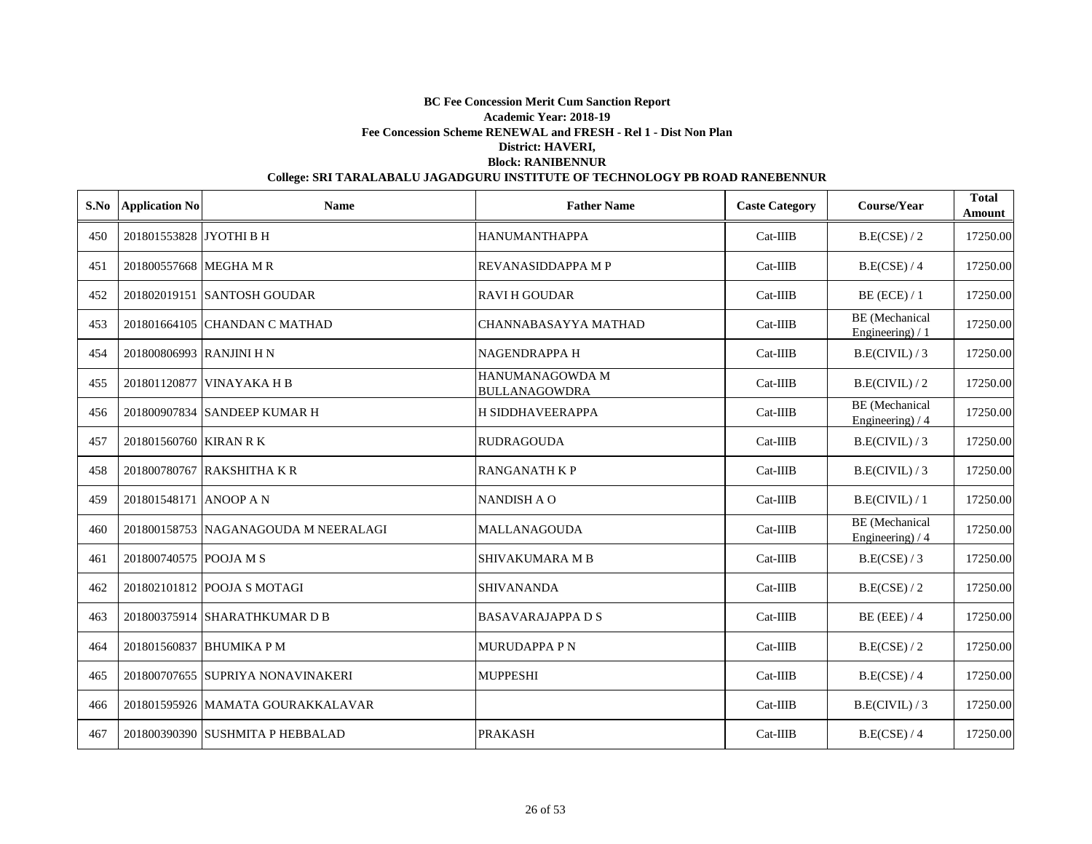|     | S.No Application No      | <b>Name</b>                          | <b>Father Name</b>                      | <b>Caste Category</b> | Course/Year                                | <b>Total</b><br>Amount |
|-----|--------------------------|--------------------------------------|-----------------------------------------|-----------------------|--------------------------------------------|------------------------|
| 450 | 201801553828 JYOTHI B H  |                                      | <b>HANUMANTHAPPA</b>                    | $Cat-IIIB$            | B.E(CSE) / 2                               | 17250.00               |
| 451 | 201800557668 MEGHA M R   |                                      | REVANASIDDAPPA M P                      | $Cat-IIIB$            | B.E(CSE) / 4                               | 17250.00               |
| 452 |                          | 201802019151 SANTOSH GOUDAR          | <b>RAVI H GOUDAR</b>                    | $Cat-IIIB$            | BE (ECE) / 1                               | 17250.00               |
| 453 |                          | 201801664105 CHANDAN C MATHAD        | CHANNABASAYYA MATHAD                    | $Cat-IIIB$            | BE (Mechanical<br>Engineering) / 1         | 17250.00               |
| 454 | 201800806993 RANJINI H N |                                      | NAGENDRAPPA H                           | $Cat-IIIB$            | B.E(CIVIL)/3                               | 17250.00               |
| 455 |                          | 201801120877 VINAYAKA H B            | HANUMANAGOWDA M<br><b>BULLANAGOWDRA</b> | $Cat-IIIB$            | B.E(CIVIL)/2                               | 17250.00               |
| 456 |                          | 201800907834 SANDEEP KUMAR H         | H SIDDHAVEERAPPA                        | $Cat-IIIB$            | <b>BE</b> (Mechanical<br>Engineering) $/4$ | 17250.00               |
| 457 | 201801560760 KIRAN R K   |                                      | <b>RUDRAGOUDA</b>                       | Cat-IIIB              | B.E(CIVIL)/3                               | 17250.00               |
| 458 |                          | 201800780767 RAKSHITHA KR            | <b>RANGANATH K P</b>                    | Cat-IIIB              | B.E(CIVIL)/3                               | 17250.00               |
| 459 | 201801548171 ANOOP A N   |                                      | <b>NANDISH A O</b>                      | Cat-IIIB              | B.E(CIVIL) / 1                             | 17250.00               |
| 460 |                          | 201800158753 NAGANAGOUDA M NEERALAGI | <b>MALLANAGOUDA</b>                     | Cat-IIIB              | <b>BE</b> (Mechanical<br>Engineering) $/4$ | 17250.00               |
| 461 | 201800740575 POOJA M S   |                                      | <b>SHIVAKUMARA M B</b>                  | Cat-IIIB              | B.E(CSE) / 3                               | 17250.00               |
| 462 |                          | 201802101812 POOJA S MOTAGI          | <b>SHIVANANDA</b>                       | Cat-IIIB              | B.E(CSE) / 2                               | 17250.00               |
| 463 |                          | 201800375914 SHARATHKUMAR D B        | <b>BASAVARAJAPPA D S</b>                | Cat-IIIB              | $BE$ (EEE) / 4                             | 17250.00               |
| 464 |                          | 201801560837 BHUMIKA P M             | <b>MURUDAPPA PN</b>                     | $Cat-IIIB$            | B.E(CSE) / 2                               | 17250.00               |
| 465 |                          | 201800707655 SUPRIYA NONAVINAKERI    | <b>MUPPESHI</b>                         | $Cat-IIIB$            | B.E(CSE) / 4                               | 17250.00               |
| 466 |                          | 201801595926 MAMATA GOURAKKALAVAR    |                                         | Cat-IIIB              | B.E(CIVIL)/3                               | 17250.00               |
| 467 |                          | 201800390390 SUSHMITA P HEBBALAD     | <b>PRAKASH</b>                          | $Cat-IIIB$            | B.E(CSE) / 4                               | 17250.00               |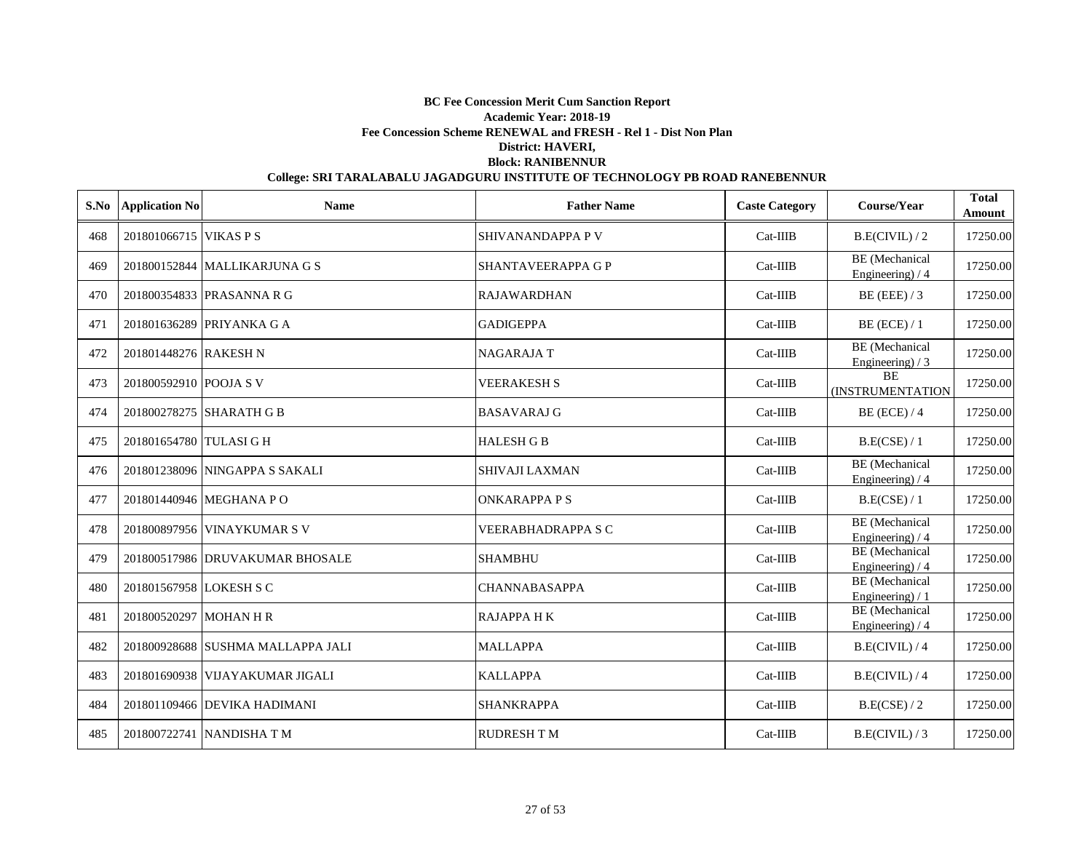| S.No | <b>Application No</b>   | <b>Name</b>                       | <b>Father Name</b>        | <b>Caste Category</b> | Course/Year                               | <b>Total</b><br>Amount |
|------|-------------------------|-----------------------------------|---------------------------|-----------------------|-------------------------------------------|------------------------|
| 468  | 201801066715 VIKAS P S  |                                   | SHIVANANDAPPA P V         | $Cat-IIIB$            | B.E(CIVIL)/2                              | 17250.00               |
| 469  |                         | 201800152844 MALLIKARJUNA G S     | <b>SHANTAVEERAPPA G P</b> | $Cat-IIIB$            | BE (Mechanical<br>Engineering) / 4        | 17250.00               |
| 470  |                         | 201800354833 PRASANNA R G         | <b>RAJAWARDHAN</b>        | $Cat-IIIB$            | BE (EEE) $/3$                             | 17250.00               |
| 471  |                         | 201801636289 PRIYANKA G A         | <b>GADIGEPPA</b>          | $Cat-IIIB$            | $BE$ (ECE) / 1                            | 17250.00               |
| 472  | 201801448276 RAKESH N   |                                   | <b>NAGARAJAT</b>          | $Cat-IIIB$            | BE (Mechanical<br>Engineering) $/3$       | 17250.00               |
| 473  | 201800592910 POOJA S V  |                                   | <b>VEERAKESH S</b>        | $Cat-IIIB$            | <b>BE</b><br>(INSTRUMENTATION             | 17250.00               |
| 474  |                         | 201800278275 SHARATH G B          | <b>BASAVARAJ G</b>        | $Cat-IIIB$            | $BE$ (ECE) / 4                            | 17250.00               |
| 475  | 201801654780 TULASI G H |                                   | <b>HALESH G B</b>         | $Cat-IIIB$            | B.E(CSE) / 1                              | 17250.00               |
| 476  |                         | 201801238096 NINGAPPA S SAKALI    | <b>SHIVAJI LAXMAN</b>     | $Cat-IIIB$            | <b>BE</b> (Mechanical<br>Engineering) / 4 | 17250.00               |
| 477  |                         | 201801440946 MEGHANA PO           | <b>ONKARAPPA P S</b>      | Cat-IIIB              | B.E(CSE) / 1                              | 17250.00               |
| 478  |                         | 201800897956 VINAYKUMAR S V       | VEERABHADRAPPA S C        | $Cat-IIIB$            | <b>BE</b> (Mechanical<br>Engineering) / 4 | 17250.00               |
| 479  |                         | 201800517986 DRUVAKUMAR BHOSALE   | <b>SHAMBHU</b>            | $Cat-IIIB$            | <b>BE</b> (Mechanical<br>Engineering) / 4 | 17250.00               |
| 480  | 201801567958 LOKESH S C |                                   | <b>CHANNABASAPPA</b>      | $Cat-IIIB$            | BE (Mechanical<br>Engineering) / 1        | 17250.00               |
| 481  | 201800520297 MOHAN H R  |                                   | <b>RAJAPPAHK</b>          | $Cat-IIIB$            | BE (Mechanical<br>Engineering) $/4$       | 17250.00               |
| 482  |                         | 201800928688 SUSHMA MALLAPPA JALI | <b>MALLAPPA</b>           | $Cat-IIIB$            | B.E(CIVIL) / 4                            | 17250.00               |
| 483  |                         | 201801690938 VIJAYAKUMAR JIGALI   | <b>KALLAPPA</b>           | $Cat-IIIB$            | B.E(CIVIL) / 4                            | 17250.00               |
| 484  |                         | 201801109466 DEVIKA HADIMANI      | <b>SHANKRAPPA</b>         | $Cat-IIIB$            | B.E(CSE)/2                                | 17250.00               |
| 485  |                         | 201800722741 NANDISHA T M         | <b>RUDRESH TM</b>         | $Cat-IIIB$            | B.E(CIVIL)/3                              | 17250.00               |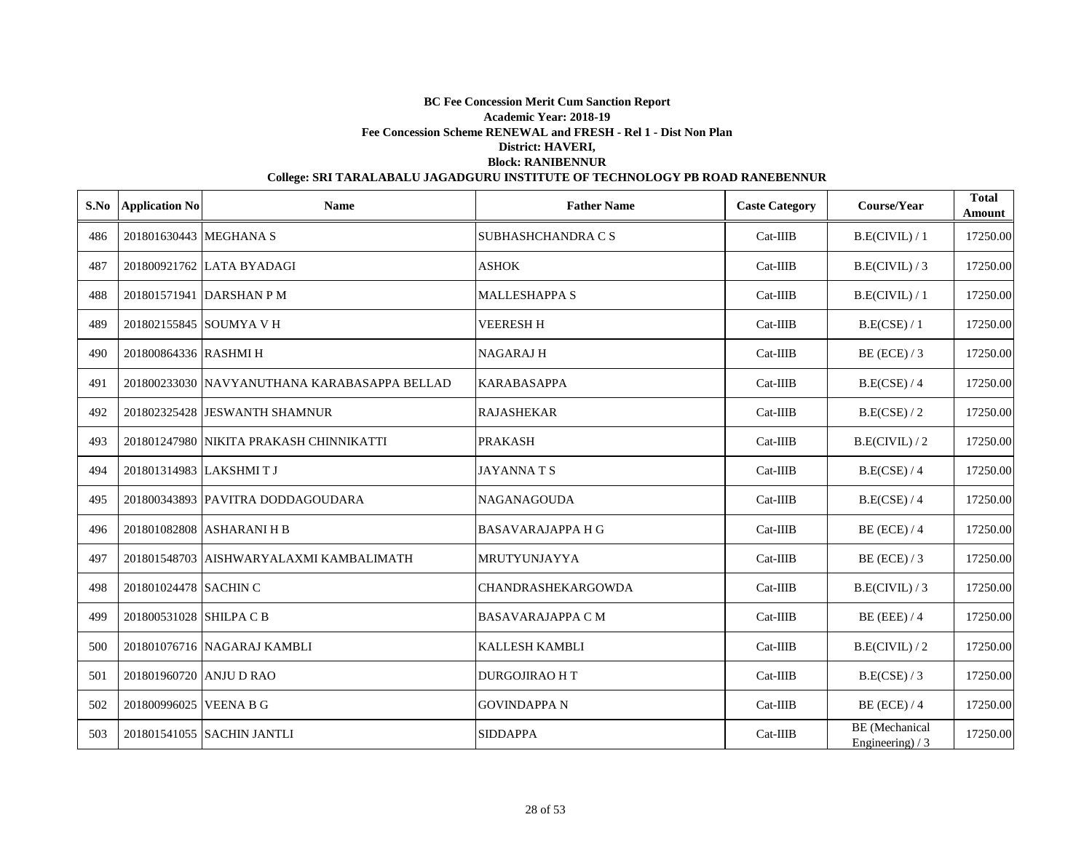| S.No | <b>Application No</b>   | <b>Name</b>                                  | <b>Father Name</b>        | <b>Caste Category</b> | Course/Year                                | <b>Total</b><br>Amount |
|------|-------------------------|----------------------------------------------|---------------------------|-----------------------|--------------------------------------------|------------------------|
| 486  | 201801630443 MEGHANA S  |                                              | SUBHASHCHANDRA C S        | $Cat-IIIB$            | B.E(CIVIL) / 1                             | 17250.00               |
| 487  |                         | 201800921762 LATA BYADAGI                    | <b>ASHOK</b>              | $Cat-IIIB$            | B.E(CIVIL)/3                               | 17250.00               |
| 488  |                         | 201801571941 DARSHAN P M                     | <b>MALLESHAPPA S</b>      | $Cat-IIIB$            | B.E(CIVIL) / 1                             | 17250.00               |
| 489  |                         | 201802155845 SOUMYA V H                      | <b>VEERESH H</b>          | $Cat-IIIB$            | B.E(CSE) / 1                               | 17250.00               |
| 490  | 201800864336 RASHMI H   |                                              | <b>NAGARAJH</b>           | $Cat-IIIB$            | $BE$ (ECE) / 3                             | 17250.00               |
| 491  |                         | 201800233030 NAVYANUTHANA KARABASAPPA BELLAD | <b>KARABASAPPA</b>        | $Cat-IIIB$            | B.E(CSE) / 4                               | 17250.00               |
| 492  |                         | 201802325428 JESWANTH SHAMNUR                | <b>RAJASHEKAR</b>         | $Cat-IIIB$            | B.E(CSE) / 2                               | 17250.00               |
| 493  |                         | 201801247980 NIKITA PRAKASH CHINNIKATTI      | <b>PRAKASH</b>            | $Cat-IIIB$            | B.E(CIVIL)/2                               | 17250.00               |
| 494  | 201801314983 LAKSHMITJ  |                                              | <b>JAYANNATS</b>          | $Cat-IIIB$            | B.E(CSE) / 4                               | 17250.00               |
| 495  |                         | 201800343893 PAVITRA DODDAGOUDARA            | <b>NAGANAGOUDA</b>        | $Cat-IIIB$            | B.E(CSE) / 4                               | 17250.00               |
| 496  |                         | 201801082808 ASHARANI H B                    | <b>BASAVARAJAPPA H G</b>  | $Cat-IIIB$            | $BE$ (ECE) / 4                             | 17250.00               |
| 497  |                         | 201801548703 AISHWARYALAXMI KAMBALIMATH      | MRUTYUNJAYYA              | $Cat-IIIB$            | $BE$ (ECE) / 3                             | 17250.00               |
| 498  | 201801024478 SACHIN C   |                                              | <b>CHANDRASHEKARGOWDA</b> | $Cat-IIIB$            | B.E(CIVIL)/3                               | 17250.00               |
| 499  | 201800531028 SHILPA C B |                                              | <b>BASAVARAJAPPA C M</b>  | $Cat-IIIB$            | $BE$ (EEE) / 4                             | 17250.00               |
| 500  |                         | 201801076716 NAGARAJ KAMBLI                  | <b>KALLESH KAMBLI</b>     | $Cat-IIIB$            | B.E(CIVIL)/2                               | 17250.00               |
| 501  | 201801960720 ANJU D RAO |                                              | <b>DURGOJIRAO HT</b>      | $Cat-IIIB$            | B.E(CSE) / 3                               | 17250.00               |
| 502  | 201800996025 VEENA B G  |                                              | <b>GOVINDAPPA N</b>       | $Cat-IIIB$            | $BE$ (ECE) / 4                             | 17250.00               |
| 503  |                         | 201801541055 SACHIN JANTLI                   | <b>SIDDAPPA</b>           | $Cat-IIIB$            | <b>BE</b> (Mechanical<br>Engineering) $/3$ | 17250.00               |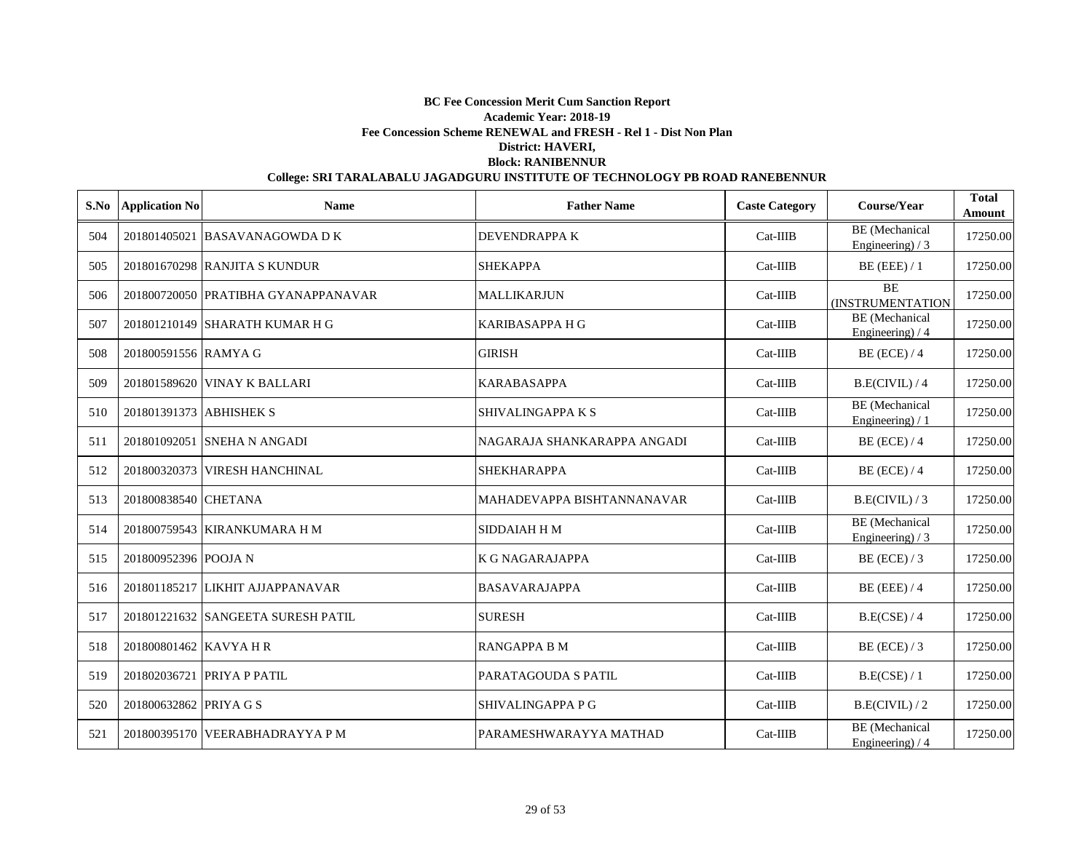| S.No | <b>Application No</b>   | <b>Name</b>                         | <b>Father Name</b>          | <b>Caste Category</b> | Course/Year                                | <b>Total</b><br>Amount |
|------|-------------------------|-------------------------------------|-----------------------------|-----------------------|--------------------------------------------|------------------------|
| 504  |                         | 201801405021 BASAVANAGOWDA D K      | <b>DEVENDRAPPA K</b>        | $Cat-IIIB$            | <b>BE</b> (Mechanical<br>Engineering) $/3$ | 17250.00               |
| 505  |                         | 201801670298 RANJITA S KUNDUR       | <b>SHEKAPPA</b>             | $Cat-IIIB$            | $BE$ (EEE) / 1                             | 17250.00               |
| 506  |                         | 201800720050 PRATIBHA GYANAPPANAVAR | <b>MALLIKARJUN</b>          | $Cat-IIIB$            | <b>BE</b><br>(INSTRUMENTATION              | 17250.00               |
| 507  |                         | 201801210149 SHARATH KUMAR H G      | <b>KARIBASAPPA H G</b>      | $Cat-IIIB$            | BE (Mechanical<br>Engineering) / 4         | 17250.00               |
| 508  | 201800591556 RAMYA G    |                                     | <b>GIRISH</b>               | $Cat-IIIB$            | $BE$ (ECE) / 4                             | 17250.00               |
| 509  |                         | 201801589620 VINAY K BALLARI        | <b>KARABASAPPA</b>          | $Cat-IIIB$            | B.E(CIVIL) / 4                             | 17250.00               |
| 510  | 201801391373 ABHISHEK S |                                     | SHIVALINGAPPA K S           | $Cat-IIIB$            | <b>BE</b> (Mechanical<br>Engineering $)/1$ | 17250.00               |
| 511  |                         | 201801092051 SNEHA N ANGADI         | NAGARAJA SHANKARAPPA ANGADI | $Cat-IIIB$            | $BE$ (ECE) / 4                             | 17250.00               |
| 512  |                         | 201800320373 VIRESH HANCHINAL       | <b>SHEKHARAPPA</b>          | $Cat-IIIB$            | $BE$ (ECE) / 4                             | 17250.00               |
| 513  | 201800838540 CHETANA    |                                     | MAHADEVAPPA BISHTANNANAVAR  | $Cat-IIIB$            | B.E(CIVIL)/3                               | 17250.00               |
| 514  |                         | 201800759543 KIRANKUMARA H M        | <b>SIDDAIAH H M</b>         | $Cat-IIIB$            | <b>BE</b> (Mechanical<br>Engineering) / 3  | 17250.00               |
| 515  | 201800952396 POOJA N    |                                     | <b>K G NAGARAJAPPA</b>      | $Cat-IIIB$            | $BE$ (ECE) / 3                             | 17250.00               |
| 516  |                         | 201801185217 LIKHIT AJJAPPANAVAR    | <b>BASAVARAJAPPA</b>        | $Cat-IIIB$            | $BE$ (EEE) / 4                             | 17250.00               |
| 517  |                         | 201801221632 SANGEETA SURESH PATIL  | <b>SURESH</b>               | $Cat-IIIB$            | B.E(CSE) / 4                               | 17250.00               |
| 518  | 201800801462 KAVYA H R  |                                     | <b>RANGAPPA B M</b>         | $Cat-IIIB$            | $BE$ (ECE) / 3                             | 17250.00               |
| 519  |                         | 201802036721 PRIYA P PATIL          | PARATAGOUDA S PATIL         | $Cat-IIIB$            | B.E(CSE) / 1                               | 17250.00               |
| 520  | 201800632862 PRIYA G S  |                                     | SHIVALINGAPPA P G           | $Cat-IIIB$            | B.E(CIVIL)/2                               | 17250.00               |
| 521  |                         | 201800395170 VEERABHADRAYYA P M     | PARAMESHWARAYYA MATHAD      | $Cat-IIIB$            | <b>BE</b> (Mechanical<br>Engineering) $/4$ | 17250.00               |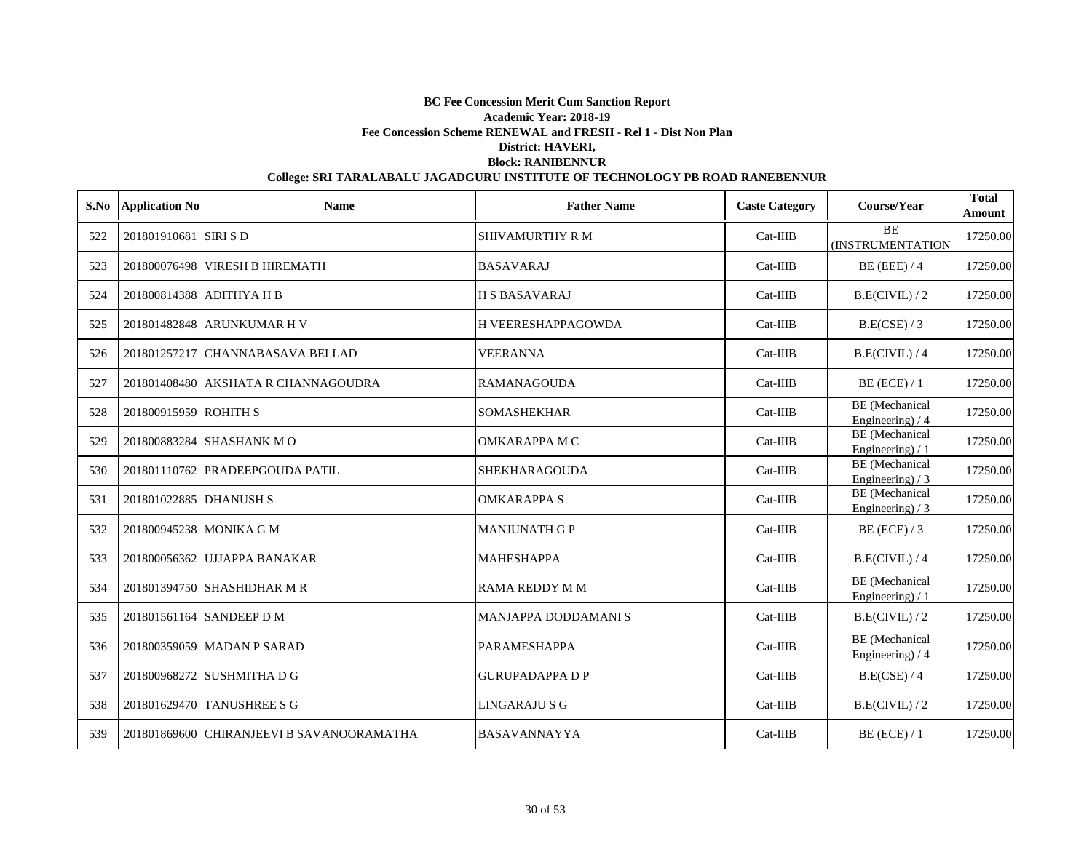|     | S.No Application No     | <b>Name</b>                               | <b>Father Name</b>     | <b>Caste Category</b> | Course/Year                                | <b>Total</b><br>Amount |
|-----|-------------------------|-------------------------------------------|------------------------|-----------------------|--------------------------------------------|------------------------|
| 522 | 201801910681 SIRI S D   |                                           | <b>SHIVAMURTHY R M</b> | $Cat-IIIB$            | <b>BE</b><br>(INSTRUMENTATION              | 17250.00               |
| 523 |                         | 201800076498 VIRESH B HIREMATH            | <b>BASAVARAJ</b>       | $Cat-IIIB$            | $BE$ (EEE) / 4                             | 17250.00               |
| 524 |                         | 201800814388 ADITHYA H B                  | <b>H S BASAVARAJ</b>   | $Cat-IIIB$            | B.E(CIVIL)/2                               | 17250.00               |
| 525 |                         | 201801482848 ARUNKUMAR H V                | H VEERESHAPPAGOWDA     | $Cat-IIIB$            | B.E(CSE) / 3                               | 17250.00               |
| 526 |                         | 201801257217 CHANNABASAVA BELLAD          | <b>VEERANNA</b>        | $Cat-IIIB$            | B.E(CIVIL)/4                               | 17250.00               |
| 527 |                         | 201801408480 AKSHATA R CHANNAGOUDRA       | <b>RAMANAGOUDA</b>     | $Cat-IIIB$            | $BE$ (ECE) / 1                             | 17250.00               |
| 528 | 201800915959 ROHITH S   |                                           | <b>SOMASHEKHAR</b>     | $Cat-IIIB$            | <b>BE</b> (Mechanical<br>Engineering) / 4  | 17250.00               |
| 529 |                         | 201800883284 SHASHANK MO                  | OMKARAPPA M C          | Cat-IIIB              | <b>BE</b> (Mechanical<br>Engineering) / 1  | 17250.00               |
| 530 |                         | 201801110762 PRADEEPGOUDA PATIL           | <b>SHEKHARAGOUDA</b>   | Cat-IIIB              | <b>BE</b> (Mechanical<br>Engineering) $/3$ | 17250.00               |
| 531 | 201801022885 DHANUSH S  |                                           | <b>OMKARAPPA S</b>     | Cat-IIIB              | BE (Mechanical<br>Engineering) $/3$        | 17250.00               |
| 532 | 201800945238 MONIKA G M |                                           | <b>MANJUNATH G P</b>   | $Cat-IIIB$            | $BE$ (ECE) / 3                             | 17250.00               |
| 533 |                         | 201800056362 UJJAPPA BANAKAR              | <b>MAHESHAPPA</b>      | $Cat-IIIB$            | B.E(CIVIL) / 4                             | 17250.00               |
| 534 |                         | 201801394750 SHASHIDHAR M R               | RAMA REDDY M M         | Cat-IIIB              | <b>BE</b> (Mechanical<br>Engineering $)/1$ | 17250.00               |
| 535 |                         | 201801561164 SANDEEP D M                  | MANJAPPA DODDAMANI S   | $Cat-IIIB$            | B.E(CIVIL)/2                               | 17250.00               |
| 536 |                         | 201800359059 MADAN P SARAD                | <b>PARAMESHAPPA</b>    | $Cat-IIIB$            | <b>BE</b> (Mechanical<br>Engineering) / 4  | 17250.00               |
| 537 |                         | 201800968272 SUSHMITHA D G                | <b>GURUPADAPPA D P</b> | $Cat-IIIB$            | B.E(CSE) / 4                               | 17250.00               |
| 538 |                         | 201801629470 TANUSHREE S G                | LINGARAJU S G          | $Cat-IIIB$            | B.E(CIVIL)/2                               | 17250.00               |
| 539 |                         | 201801869600 CHIRANJEEVI B SAVANOORAMATHA | <b>BASAVANNAYYA</b>    | $Cat-IIIB$            | $BE$ (ECE) / 1                             | 17250.00               |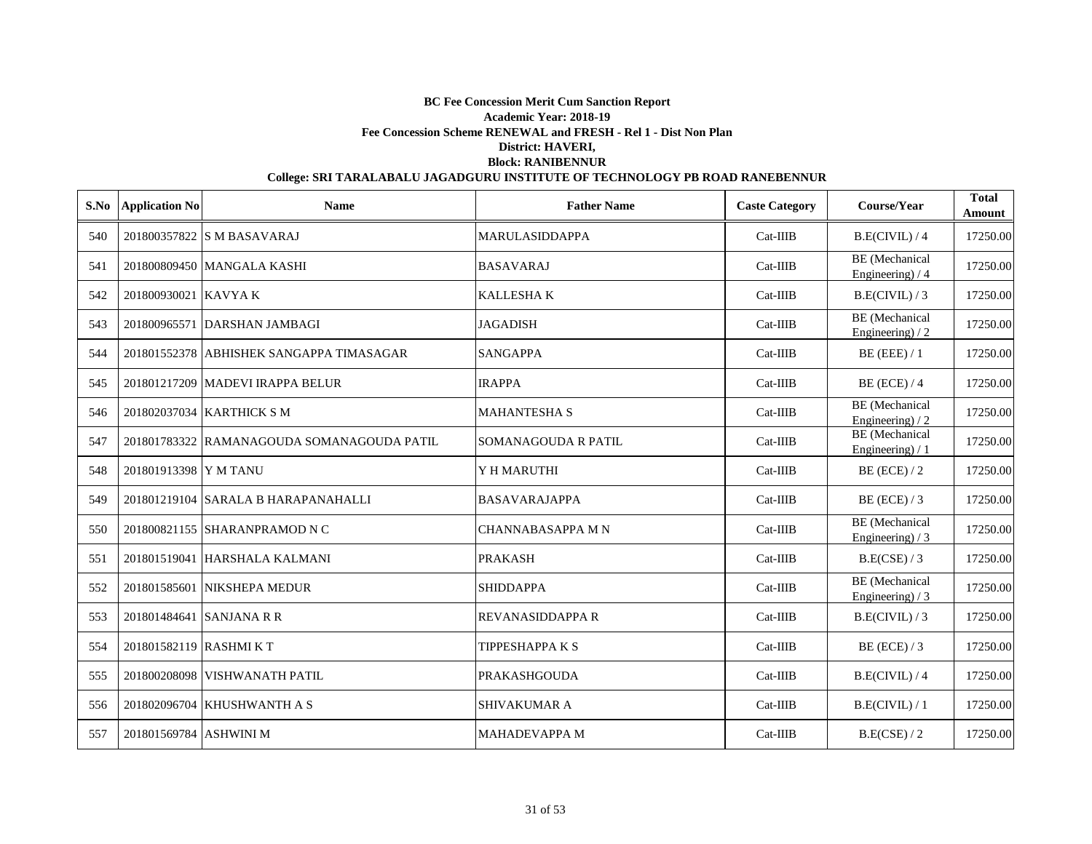|     | S.No Application No     | <b>Name</b>                                | <b>Father Name</b>       | <b>Caste Category</b> | Course/Year                                | <b>Total</b><br>Amount |
|-----|-------------------------|--------------------------------------------|--------------------------|-----------------------|--------------------------------------------|------------------------|
| 540 |                         | 201800357822 S M BASAVARAJ                 | <b>MARULASIDDAPPA</b>    | $Cat-IIIB$            | B.E(CIVIL) / 4                             | 17250.00               |
| 541 |                         | 201800809450 MANGALA KASHI                 | <b>BASAVARAJ</b>         | $Cat-IIIB$            | <b>BE</b> (Mechanical<br>Engineering) / 4  | 17250.00               |
| 542 | 201800930021 KAVYAK     |                                            | <b>KALLESHAK</b>         | $Cat-IIIB$            | B.E(CIVIL)/3                               | 17250.00               |
| 543 |                         | 201800965571 DARSHAN JAMBAGI               | <b>JAGADISH</b>          | $Cat-IIIB$            | <b>BE</b> (Mechanical<br>Engineering $/2$  | 17250.00               |
| 544 |                         | 201801552378 ABHISHEK SANGAPPA TIMASAGAR   | <b>SANGAPPA</b>          | $Cat-IIIB$            | $BE$ (EEE) / 1                             | 17250.00               |
| 545 |                         | 201801217209 MADEVI IRAPPA BELUR           | <b>IRAPPA</b>            | $Cat-IIIB$            | $BE$ (ECE) / 4                             | 17250.00               |
| 546 |                         | 201802037034 KARTHICK S M                  | <b>MAHANTESHA S</b>      | $Cat-IIIB$            | <b>BE</b> (Mechanical<br>Engineering) $/2$ | 17250.00               |
| 547 |                         | 201801783322 RAMANAGOUDA SOMANAGOUDA PATIL | SOMANAGOUDA R PATIL      | $Cat-IIIB$            | BE (Mechanical<br>Engineering) / 1         | 17250.00               |
| 548 | 201801913398 Y M TANU   |                                            | Y H MARUTHI              | $Cat-IIIB$            | $BE$ (ECE) / 2                             | 17250.00               |
| 549 |                         | 201801219104 SARALA B HARAPANAHALLI        | <b>BASAVARAJAPPA</b>     | Cat-IIIB              | $BE$ (ECE) / 3                             | 17250.00               |
| 550 |                         | 201800821155 SHARANPRAMOD N C              | <b>CHANNABASAPPA M N</b> | $Cat-IIIB$            | <b>BE</b> (Mechanical<br>Engineering) $/3$ | 17250.00               |
| 551 |                         | 201801519041 HARSHALA KALMANI              | <b>PRAKASH</b>           | $Cat-IIIB$            | B.E(CSE) / 3                               | 17250.00               |
| 552 |                         | 201801585601 NIKSHEPA MEDUR                | <b>SHIDDAPPA</b>         | $Cat-IIIB$            | <b>BE</b> (Mechanical<br>Engineering) / 3  | 17250.00               |
| 553 |                         | 201801484641 SANJANA R R                   | <b>REVANASIDDAPPA R</b>  | $Cat-IIIB$            | B.E(CIVIL)/3                               | 17250.00               |
| 554 | 201801582119 RASHMI K T |                                            | <b>TIPPESHAPPAKS</b>     | $Cat-IIIB$            | $BE$ (ECE) / 3                             | 17250.00               |
| 555 |                         | 201800208098 VISHWANATH PATIL              | <b>PRAKASHGOUDA</b>      | $Cat-IIIB$            | B.E(CIVIL) / 4                             | 17250.00               |
| 556 |                         | 201802096704 KHUSHWANTH A S                | <b>SHIVAKUMAR A</b>      | $Cat-IIIB$            | B.E(CIVIL)/1                               | 17250.00               |
| 557 | 201801569784 ASHWINI M  |                                            | <b>MAHADEVAPPA M</b>     | $Cat-IIIB$            | B.E(CSE) / 2                               | 17250.00               |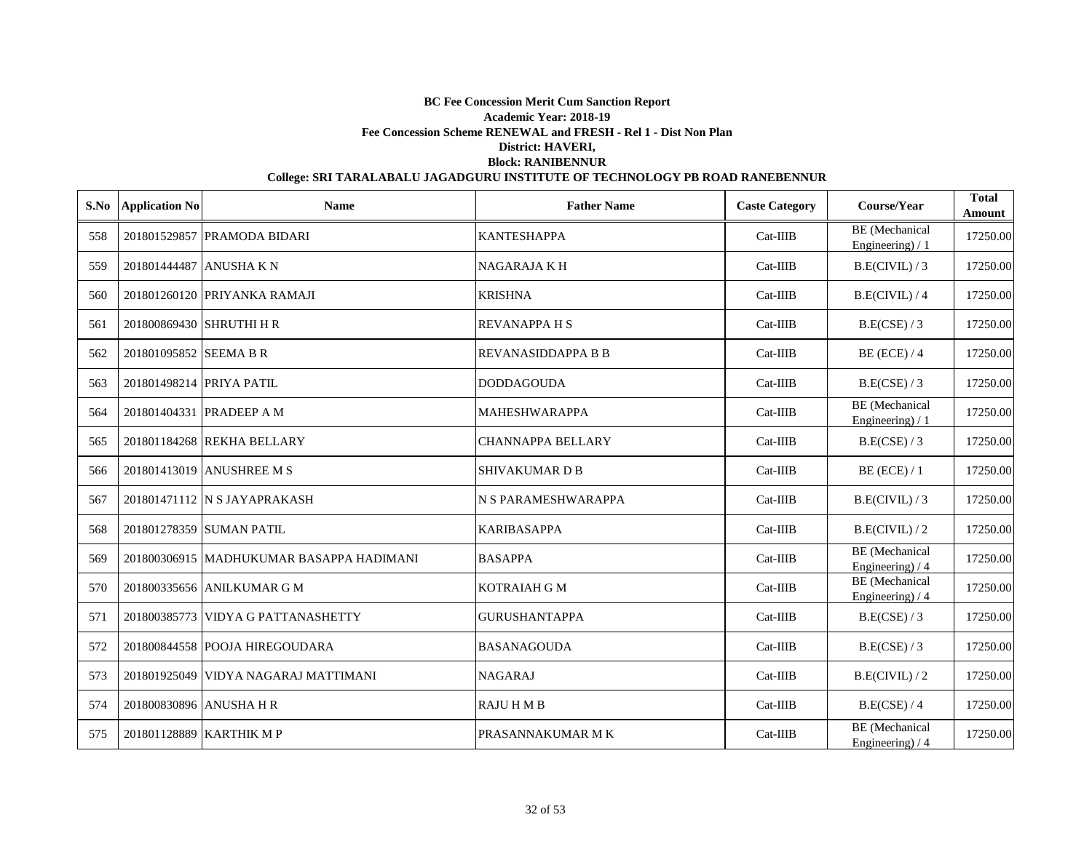| S.No | <b>Application No</b>    | <b>Name</b>                                | <b>Father Name</b>        | <b>Caste Category</b> | Course/Year                                | <b>Total</b><br>Amount |
|------|--------------------------|--------------------------------------------|---------------------------|-----------------------|--------------------------------------------|------------------------|
| 558  |                          | 201801529857 PRAMODA BIDARI                | <b>KANTESHAPPA</b>        | $Cat-IIIB$            | <b>BE</b> (Mechanical<br>Engineering $)/1$ | 17250.00               |
| 559  | 201801444487 ANUSHA K N  |                                            | <b>NAGARAJA K H</b>       | $Cat-IIIB$            | B.E(CIVIL)/3                               | 17250.00               |
| 560  |                          | 201801260120 PRIYANKA RAMAJI               | <b>KRISHNA</b>            | $Cat-IIIB$            | B.E(CIVIL) / 4                             | 17250.00               |
| 561  | 201800869430 SHRUTHI H R |                                            | <b>REVANAPPA H S</b>      | $Cat-IIIB$            | B.E(CSE) / 3                               | 17250.00               |
| 562  | 201801095852 SEEMA B R   |                                            | <b>REVANASIDDAPPA B B</b> | $Cat-IIIB$            | $BE$ (ECE) / 4                             | 17250.00               |
| 563  | 201801498214 PRIYA PATIL |                                            | <b>DODDAGOUDA</b>         | $Cat-IIIB$            | B.E(CSE) / 3                               | 17250.00               |
| 564  |                          | 201801404331 PRADEEP A M                   | <b>MAHESHWARAPPA</b>      | $Cat-IIIB$            | <b>BE</b> (Mechanical<br>Engineering $)/1$ | 17250.00               |
| 565  |                          | 201801184268 REKHA BELLARY                 | <b>CHANNAPPA BELLARY</b>  | $Cat-IIIB$            | B.E(CSE) / 3                               | 17250.00               |
| 566  |                          | 201801413019 ANUSHREE M S                  | <b>SHIVAKUMARDB</b>       | Cat-IIIB              | $BE$ (ECE) / 1                             | 17250.00               |
| 567  |                          | 201801471112 IN S JAYAPRAKASH              | N S PARAMESHWARAPPA       | $Cat-IIIB$            | B.E(CIVIL)/3                               | 17250.00               |
| 568  |                          | 201801278359 SUMAN PATIL                   | <b>KARIBASAPPA</b>        | $Cat-IIIB$            | B.E(CIVIL)/2                               | 17250.00               |
| 569  |                          | 201800306915   MADHUKUMAR BASAPPA HADIMANI | <b>BASAPPA</b>            | $Cat-IIIB$            | <b>BE</b> (Mechanical<br>Engineering) / 4  | 17250.00               |
| 570  |                          | 201800335656 ANILKUMAR G M                 | <b>KOTRAIAH G M</b>       | $Cat-IIIB$            | <b>BE</b> (Mechanical<br>Engineering) $/4$ | 17250.00               |
| 571  |                          | 201800385773 VIDYA G PATTANASHETTY         | <b>GURUSHANTAPPA</b>      | $Cat-IIIB$            | B.E(CSE)/3                                 | 17250.00               |
| 572  |                          | 201800844558 POOJA HIREGOUDARA             | <b>BASANAGOUDA</b>        | $Cat-IIIB$            | B.E(CSE) / 3                               | 17250.00               |
| 573  |                          | 201801925049 VIDYA NAGARAJ MATTIMANI       | <b>NAGARAJ</b>            | $Cat-IIIB$            | B.E(CIVIL)/2                               | 17250.00               |
| 574  | 201800830896 ANUSHA H R  |                                            | <b>RAJUHMB</b>            | $Cat-IIIB$            | B.E(CSE) / 4                               | 17250.00               |
| 575  |                          | 201801128889 KARTHIK M P                   | PRASANNAKUMAR M K         | $Cat-IIIB$            | <b>BE</b> (Mechanical<br>Engineering) / 4  | 17250.00               |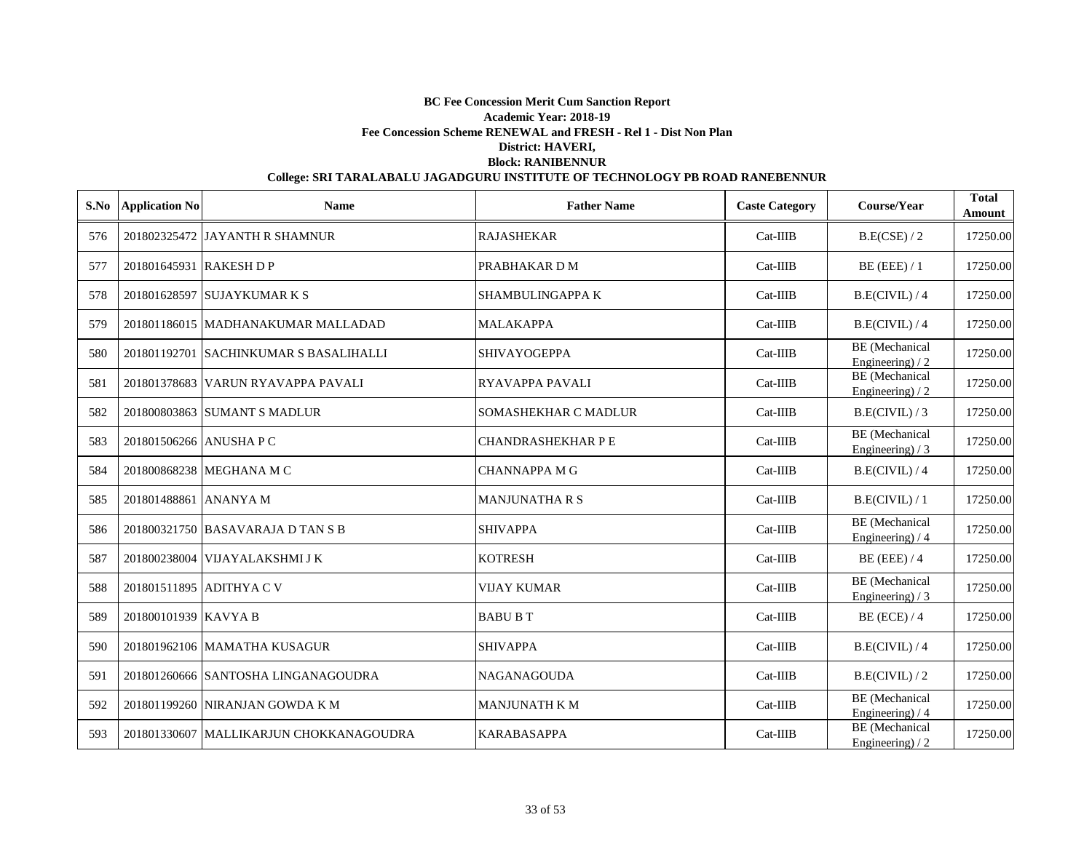|     | S.No Application No     | <b>Name</b>                             | <b>Father Name</b>        | <b>Caste Category</b> | Course/Year                               | <b>Total</b><br>Amount |
|-----|-------------------------|-----------------------------------------|---------------------------|-----------------------|-------------------------------------------|------------------------|
| 576 |                         | 201802325472 JAYANTH R SHAMNUR          | <b>RAJASHEKAR</b>         | $Cat-IIIB$            | B.E(CSE) / 2                              | 17250.00               |
| 577 | 201801645931 RAKESH D P |                                         | PRABHAKAR D M             | $Cat-IIIB$            | $BE$ (EEE) / 1                            | 17250.00               |
| 578 |                         | 201801628597 SUJAYKUMAR K S             | <b>SHAMBULINGAPPA K</b>   | $Cat-IIIB$            | B.E(CIVIL) / 4                            | 17250.00               |
| 579 |                         | 201801186015 MADHANAKUMAR MALLADAD      | <b>MALAKAPPA</b>          | $Cat-IIIB$            | B.E(CIVIL)/4                              | 17250.00               |
| 580 |                         | 201801192701 SACHINKUMAR S BASALIHALLI  | <b>SHIVAYOGEPPA</b>       | $Cat-IIIB$            | BE (Mechanical<br>Engineering) $/2$       | 17250.00               |
| 581 |                         | 201801378683 VARUN RYAVAPPA PAVALI      | <b>RYAVAPPA PAVALI</b>    | $Cat-IIIB$            | <b>BE</b> (Mechanical<br>Engineering $/2$ | 17250.00               |
| 582 |                         | 201800803863 SUMANT S MADLUR            | SOMASHEKHAR C MADLUR      | $Cat-IIIB$            | B.E(CIVIL)/3                              | 17250.00               |
| 583 | 201801506266 ANUSHA P C |                                         | <b>CHANDRASHEKHAR P E</b> | $Cat-IIIB$            | <b>BE</b> (Mechanical<br>Engineering) / 3 | 17250.00               |
| 584 |                         | 201800868238 MEGHANA M C                | <b>CHANNAPPA M G</b>      | Cat-IIIB              | B.E(CIVIL)/4                              | 17250.00               |
| 585 | 201801488861 ANANYA M   |                                         | <b>MANJUNATHA R S</b>     | Cat-IIIB              | B.E(CIVIL) / 1                            | 17250.00               |
| 586 |                         | 201800321750 BASAVARAJA D TAN S B       | <b>SHIVAPPA</b>           | $Cat-IIIB$            | <b>BE</b> (Mechanical<br>Engineering) / 4 | 17250.00               |
| 587 |                         | 201800238004 VIJAYALAKSHMI J K          | <b>KOTRESH</b>            | $Cat-IIIB$            | $BE$ (EEE) / 4                            | 17250.00               |
| 588 |                         | 201801511895 ADITHYA C V                | VIJAY KUMAR               | $Cat-IIIB$            | BE (Mechanical<br>Engineering) $/3$       | 17250.00               |
| 589 | 201800101939 KAVYA B    |                                         | <b>BABU B T</b>           | $Cat-IIIB$            | $BE$ (ECE) / 4                            | 17250.00               |
| 590 |                         | 201801962106 MAMATHA KUSAGUR            | <b>SHIVAPPA</b>           | $Cat-IIIB$            | B.E(CIVIL) / 4                            | 17250.00               |
| 591 |                         | 201801260666 SANTOSHA LINGANAGOUDRA     | <b>NAGANAGOUDA</b>        | $Cat-IIIB$            | B.E(CIVIL)/2                              | 17250.00               |
| 592 |                         | 201801199260 NIRANJAN GOWDA K M         | <b>MANJUNATH K M</b>      | $Cat-IIIB$            | <b>BE</b> (Mechanical<br>Engineering) / 4 | 17250.00               |
| 593 |                         | 201801330607 MALLIKARJUN CHOKKANAGOUDRA | <b>KARABASAPPA</b>        | $Cat-IIIB$            | BE (Mechanical<br>Engineering) $/2$       | 17250.00               |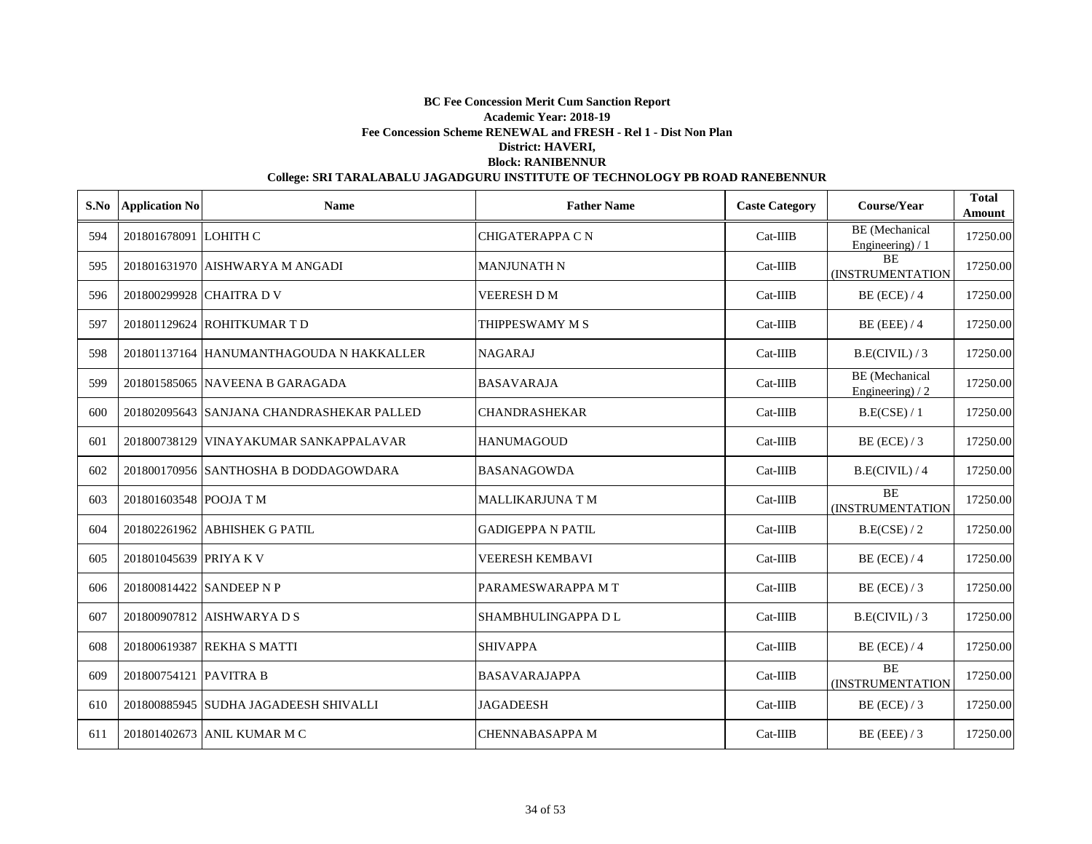|     | S.No Application No    | <b>Name</b>                               | <b>Father Name</b>       | <b>Caste Category</b> | Course/Year                                | <b>Total</b><br>Amount |
|-----|------------------------|-------------------------------------------|--------------------------|-----------------------|--------------------------------------------|------------------------|
| 594 | 201801678091 LOHITH C  |                                           | <b>CHIGATERAPPA CN</b>   | $Cat-IIIB$            | <b>BE</b> (Mechanical<br>Engineering $)/1$ | 17250.00               |
| 595 |                        | 201801631970 AISHWARYA M ANGADI           | <b>MANJUNATH N</b>       | Cat-IIIB              | <b>BE</b><br>(INSTRUMENTATION              | 17250.00               |
| 596 |                        | 201800299928 CHAITRA D V                  | VEERESH D M              | Cat-IIIB              | $BE$ (ECE) / 4                             | 17250.00               |
| 597 |                        | 201801129624 ROHITKUMAR T D               | THIPPESWAMY M S          | $Cat-IIIB$            | $BE$ (EEE) / 4                             | 17250.00               |
| 598 |                        | 201801137164 HANUMANTHAGOUDA N HAKKALLER  | <b>NAGARAJ</b>           | $Cat-IIIB$            | B.E(CIVIL)/3                               | 17250.00               |
| 599 |                        | 201801585065 NAVEENA B GARAGADA           | <b>BASAVARAJA</b>        | $Cat-IIIB$            | <b>BE</b> (Mechanical<br>Engineering) $/2$ | 17250.00               |
| 600 |                        | 201802095643 SANJANA CHANDRASHEKAR PALLED | <b>CHANDRASHEKAR</b>     | $Cat-IIIB$            | B.E(CSE) / 1                               | 17250.00               |
| 601 |                        | 201800738129 VINAYAKUMAR SANKAPPALAVAR    | <b>HANUMAGOUD</b>        | $Cat-IIIB$            | $BE$ (ECE) / 3                             | 17250.00               |
| 602 |                        | 201800170956 SANTHOSHA B DODDAGOWDARA     | <b>BASANAGOWDA</b>       | Cat-IIIB              | B.E(CIVIL) / 4                             | 17250.00               |
| 603 | 201801603548 POOJA T M |                                           | <b>MALLIKARJUNA T M</b>  | $Cat-IIIB$            | <b>BE</b><br><b>(INSTRUMENTATION</b>       | 17250.00               |
| 604 |                        | 201802261962 ABHISHEK G PATIL             | <b>GADIGEPPA N PATIL</b> | $Cat-IIIB$            | B.E(CSE) / 2                               | 17250.00               |
| 605 | 201801045639 PRIYA K V |                                           | VEERESH KEMBAVI          | Cat-IIIB              | $BE$ (ECE) / 4                             | 17250.00               |
| 606 |                        | 201800814422 SANDEEP N P                  | PARAMESWARAPPA MT        | $Cat-IIIB$            | $BE$ (ECE) / 3                             | 17250.00               |
| 607 |                        | 201800907812 AISHWARYA D S                | SHAMBHULINGAPPA D L      | $Cat-IIIB$            | B.E(CIVIL)/3                               | 17250.00               |
| 608 |                        | 201800619387 REKHA S MATTI                | <b>SHIVAPPA</b>          | $Cat-IIIB$            | $BE$ (ECE) / 4                             | 17250.00               |
| 609 | 201800754121 PAVITRA B |                                           | <b>BASAVARAJAPPA</b>     | $Cat-IIIB$            | <b>BE</b><br><b>(INSTRUMENTATION</b>       | 17250.00               |
| 610 |                        | 201800885945 SUDHA JAGADEESH SHIVALLI     | <b>JAGADEESH</b>         | $Cat-IIIB$            | $BE$ (ECE) / 3                             | 17250.00               |
| 611 |                        | 201801402673 ANIL KUMAR M C               | <b>CHENNABASAPPA M</b>   | $Cat-IIIB$            | $BE$ (EEE) / 3                             | 17250.00               |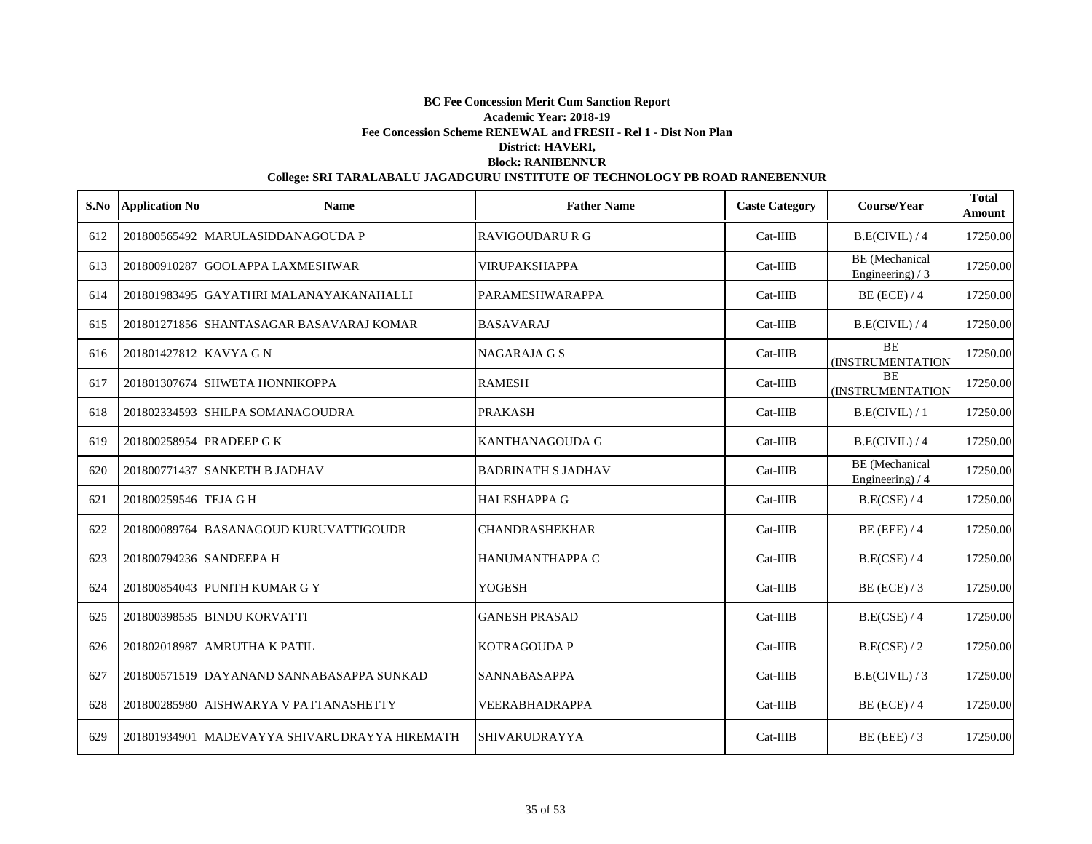| S.No | <b>Application No</b>   | <b>Name</b>                                   | <b>Father Name</b>        | <b>Caste Category</b> | Course/Year                                | <b>Total</b><br>Amount |
|------|-------------------------|-----------------------------------------------|---------------------------|-----------------------|--------------------------------------------|------------------------|
| 612  |                         | 201800565492 MARULASIDDANAGOUDA P             | <b>RAVIGOUDARU R G</b>    | $Cat-IIIB$            | B.E(CIVIL) / 4                             | 17250.00               |
| 613  |                         | 201800910287 GOOLAPPA LAXMESHWAR              | <b>VIRUPAKSHAPPA</b>      | $Cat-IIIB$            | <b>BE</b> (Mechanical<br>Engineering) $/3$ | 17250.00               |
| 614  |                         | 201801983495 GAYATHRI MALANAYAKANAHALLI       | PARAMESHWARAPPA           | $Cat-IIIB$            | $BE$ (ECE) / 4                             | 17250.00               |
| 615  |                         | 201801271856 SHANTASAGAR BASAVARAJ KOMAR      | <b>BASAVARAJ</b>          | $Cat-IIIB$            | B.E(CIVIL)/4                               | 17250.00               |
| 616  | 201801427812 KAVYA G N  |                                               | <b>NAGARAJA G S</b>       | Cat-IIIB              | <b>BE</b><br>(INSTRUMENTATION              | 17250.00               |
| 617  |                         | 201801307674 SHWETA HONNIKOPPA                | <b>RAMESH</b>             | $Cat-IIIB$            | <b>BE</b><br><b>(INSTRUMENTATION</b>       | 17250.00               |
| 618  |                         | 201802334593 SHILPA SOMANAGOUDRA              | <b>PRAKASH</b>            | $Cat-IIIB$            | B.E(CIVIL)/1                               | 17250.00               |
| 619  |                         | 201800258954 PRADEEP G K                      | KANTHANAGOUDA G           | $Cat-IIIB$            | B.E(CIVIL) / 4                             | 17250.00               |
| 620  |                         | 201800771437 SANKETH B JADHAV                 | <b>BADRINATH S JADHAV</b> | $Cat-IIIB$            | <b>BE</b> (Mechanical<br>Engineering) $/4$ | 17250.00               |
| 621  | 201800259546 TEJA G H   |                                               | <b>HALESHAPPA G</b>       | $Cat-IIIB$            | B.E(CSE) / 4                               | 17250.00               |
| 622  |                         | 201800089764 BASANAGOUD KURUVATTIGOUDR        | <b>CHANDRASHEKHAR</b>     | $Cat-IIIB$            | $BE$ (EEE) / 4                             | 17250.00               |
| 623  | 201800794236 SANDEEPA H |                                               | HANUMANTHAPPA C           | Cat-IIIB              | B.E(CSE) / 4                               | 17250.00               |
| 624  |                         | 201800854043 PUNITH KUMAR G Y                 | <b>YOGESH</b>             | $Cat-IIIB$            | $BE$ (ECE) / 3                             | 17250.00               |
| 625  |                         | 201800398535 BINDU KORVATTI                   | <b>GANESH PRASAD</b>      | $Cat-IIIB$            | B.E(CSE) / 4                               | 17250.00               |
| 626  |                         | 201802018987 AMRUTHA K PATIL                  | <b>KOTRAGOUDA P</b>       | Cat-IIIB              | B.E(CSE) / 2                               | 17250.00               |
| 627  |                         | 201800571519 DAYANAND SANNABASAPPA SUNKAD     | <b>SANNABASAPPA</b>       | $Cat-IIIB$            | B.E(CIVIL)/3                               | 17250.00               |
| 628  |                         | 201800285980 AISHWARYA V PATTANASHETTY        | <b>VEERABHADRAPPA</b>     | $Cat-IIIB$            | $BE$ (ECE) / 4                             | 17250.00               |
| 629  |                         | 201801934901 MADEVAYYA SHIVARUDRAYYA HIREMATH | <b>SHIVARUDRAYYA</b>      | $Cat-IIIB$            | $BE$ (EEE) / 3                             | 17250.00               |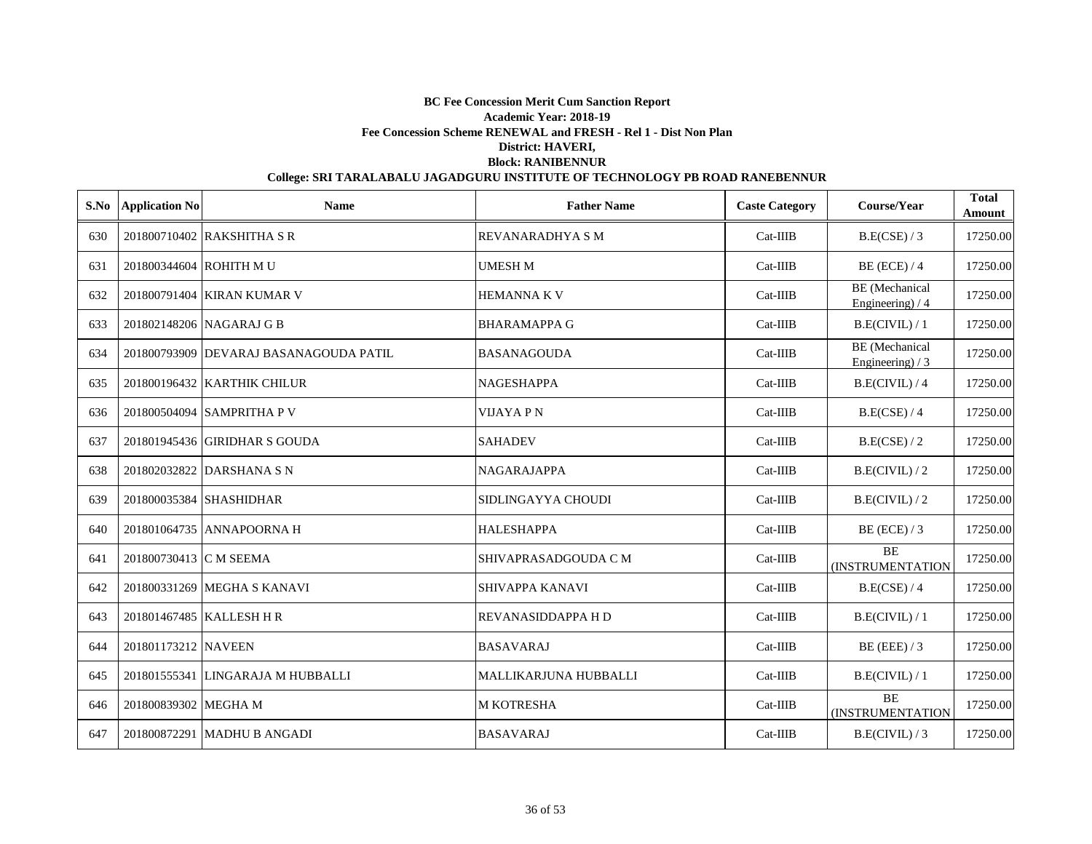| S.No | <b>Application No</b>   | <b>Name</b>                            | <b>Father Name</b>           | <b>Caste Category</b> | Course/Year                                | <b>Total</b><br>Amount |
|------|-------------------------|----------------------------------------|------------------------------|-----------------------|--------------------------------------------|------------------------|
| 630  |                         | 201800710402 RAKSHITHA S R             | REVANARADHYA S M             | $Cat-IIIB$            | B.E(CSE) / 3                               | 17250.00               |
| 631  | 201800344604 ROHITH M U |                                        | <b>UMESH M</b>               | $Cat-IIIB$            | $BE$ (ECE) / 4                             | 17250.00               |
| 632  |                         | 201800791404 KIRAN KUMAR V             | <b>HEMANNA K V</b>           | $Cat-IIIB$            | <b>BE</b> (Mechanical<br>Engineering) / 4  | 17250.00               |
| 633  |                         | 201802148206 NAGARAJ G B               | <b>BHARAMAPPA G</b>          | $Cat-IIIB$            | B.E(CIVIL) / 1                             | 17250.00               |
| 634  |                         | 201800793909 DEVARAJ BASANAGOUDA PATIL | <b>BASANAGOUDA</b>           | $Cat-IIIB$            | <b>BE</b> (Mechanical<br>Engineering) $/3$ | 17250.00               |
| 635  |                         | 201800196432 KARTHIK CHILUR            | <b>NAGESHAPPA</b>            | $Cat-IIIB$            | B.E(CIVIL) / 4                             | 17250.00               |
| 636  |                         | 201800504094 SAMPRITHA P V             | <b>VIJAYA PN</b>             | Cat-IIIB              | B.E(CSE) / 4                               | 17250.00               |
| 637  |                         | 201801945436 GIRIDHAR S GOUDA          | <b>SAHADEV</b>               | Cat-IIIB              | B.E(CSE) / 2                               | 17250.00               |
| 638  |                         | 201802032822 DARSHANA S N              | <b>NAGARAJAPPA</b>           | $Cat-IIIB$            | B.E(CIVIL)/2                               | 17250.00               |
| 639  |                         | 201800035384 SHASHIDHAR                | SIDLINGAYYA CHOUDI           | $Cat-IIIB$            | B.E(CIVIL)/2                               | 17250.00               |
| 640  |                         | 201801064735 ANNAPOORNA H              | <b>HALESHAPPA</b>            | $Cat-IIIB$            | $BE$ (ECE) / 3                             | 17250.00               |
| 641  | 201800730413 C M SEEMA  |                                        | SHIVAPRASADGOUDA C M         | $Cat-IIIB$            | <b>BE</b><br><b>(INSTRUMENTATION</b>       | 17250.00               |
| 642  |                         | 201800331269 MEGHA S KANAVI            | <b>SHIVAPPA KANAVI</b>       | $Cat-IIIB$            | B.E(CSE) / 4                               | 17250.00               |
| 643  |                         | 201801467485 KALLESH H R               | REVANASIDDAPPA H D           | $Cat-IIIB$            | B.E(CIVIL) / 1                             | 17250.00               |
| 644  | 201801173212 NAVEEN     |                                        | <b>BASAVARAJ</b>             | $Cat-IIIB$            | BE (EEE) $/3$                              | 17250.00               |
| 645  |                         | 201801555341 LINGARAJA M HUBBALLI      | <b>MALLIKARJUNA HUBBALLI</b> | $Cat-IIIB$            | B.E(CIVIL) / 1                             | 17250.00               |
| 646  | 201800839302 MEGHA M    |                                        | M KOTRESHA                   | $Cat-IIIB$            | <b>BE</b><br>(INSTRUMENTATION              | 17250.00               |
| 647  |                         | 201800872291 MADHU B ANGADI            | <b>BASAVARAJ</b>             | $Cat-IIIB$            | B.E(CIVIL)/3                               | 17250.00               |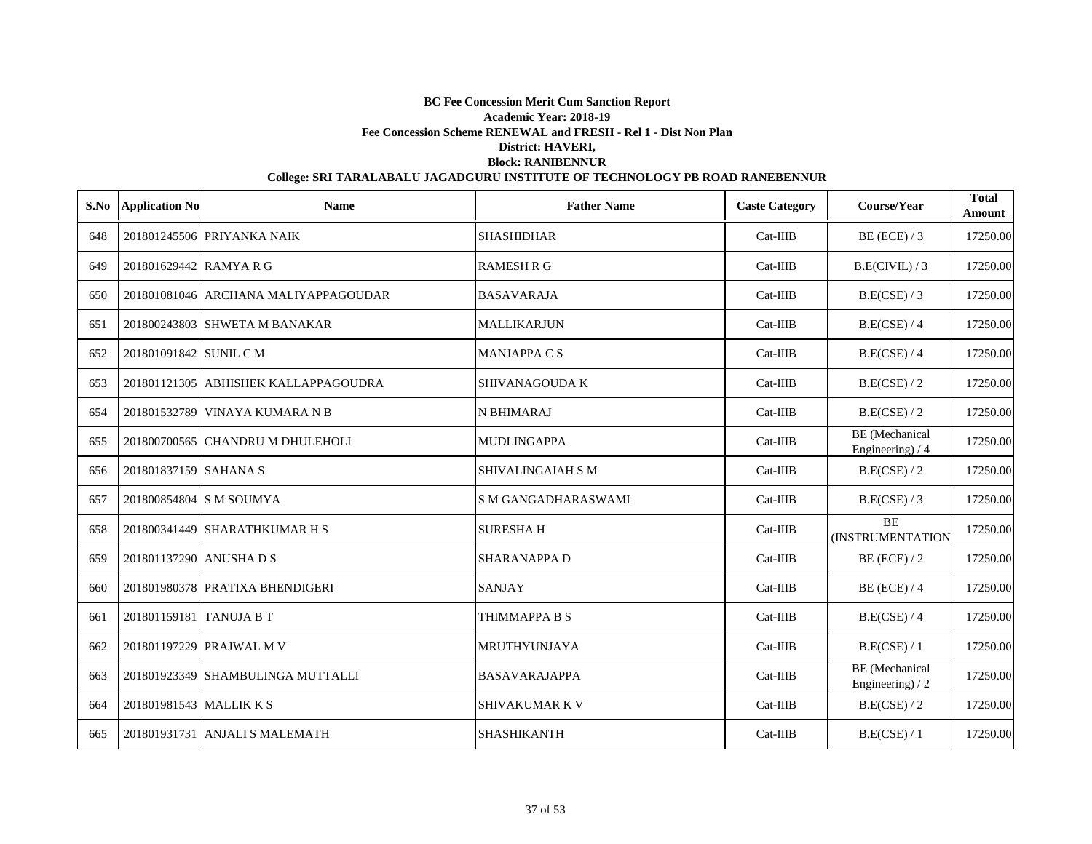|     | S.No Application No     | <b>Name</b>                          | <b>Father Name</b>    | <b>Caste Category</b> | Course/Year                               | <b>Total</b><br><b>Amount</b> |
|-----|-------------------------|--------------------------------------|-----------------------|-----------------------|-------------------------------------------|-------------------------------|
| 648 |                         | 201801245506 PRIYANKA NAIK           | <b>SHASHIDHAR</b>     | Cat-IIIB              | $BE$ (ECE) / 3                            | 17250.00                      |
| 649 | 201801629442 RAMYARG    |                                      | <b>RAMESH R G</b>     | $Cat-IIIB$            | B.E(CIVIL)/3                              | 17250.00                      |
| 650 |                         | 201801081046 ARCHANA MALIYAPPAGOUDAR | <b>BASAVARAJA</b>     | $Cat-IIIB$            | B.E(CSE) / 3                              | 17250.00                      |
| 651 |                         | 201800243803 SHWETA M BANAKAR        | <b>MALLIKARJUN</b>    | Cat-IIIB              | B.E(CSE) / 4                              | 17250.00                      |
| 652 | 201801091842 SUNIL C M  |                                      | <b>MANJAPPA C S</b>   | $Cat-IIIB$            | B.E(CSE) / 4                              | 17250.00                      |
| 653 |                         | 201801121305 ABHISHEK KALLAPPAGOUDRA | SHIVANAGOUDA K        | Cat-IIIB              | B.E(CSE) / 2                              | 17250.00                      |
| 654 |                         | 201801532789 VINAYA KUMARA N B       | <b>N BHIMARAJ</b>     | $Cat-IIIB$            | B.E(CSE) / 2                              | 17250.00                      |
| 655 |                         | 201800700565 CHANDRU M DHULEHOLI     | <b>MUDLINGAPPA</b>    | Cat-IIIB              | <b>BE</b> (Mechanical<br>Engineering) / 4 | 17250.00                      |
| 656 | 201801837159 SAHANA S   |                                      | SHIVALINGAIAH S M     | Cat-IIIB              | B.E(CSE)/2                                | 17250.00                      |
| 657 |                         | 201800854804 S M SOUMYA              | S M GANGADHARASWAMI   | Cat-IIIB              | B.E(CSE) / 3                              | 17250.00                      |
| 658 |                         | 201800341449 SHARATHKUMAR H S        | <b>SURESHAH</b>       | $Cat-IIIB$            | <b>BE</b><br>(INSTRUMENTATION             | 17250.00                      |
| 659 | 201801137290 ANUSHA D S |                                      | <b>SHARANAPPA D</b>   | Cat-IIIB              | $BE$ (ECE) / 2                            | 17250.00                      |
| 660 |                         | 201801980378 PRATIXA BHENDIGERI      | <b>SANJAY</b>         | Cat-IIIB              | $BE$ (ECE) / 4                            | 17250.00                      |
| 661 | 201801159181 TANUJA B T |                                      | THIMMAPPA B S         | Cat-IIIB              | B.E(CSE) / 4                              | 17250.00                      |
| 662 |                         | 201801197229 PRAJWAL M V             | MRUTHYUNJAYA          | $Cat-IIIB$            | B.E(CSE) / 1                              | 17250.00                      |
| 663 |                         | 201801923349 SHAMBULINGA MUTTALLI    | <b>BASAVARAJAPPA</b>  | Cat-IIIB              | BE (Mechanical<br>Engineering) $/2$       | 17250.00                      |
| 664 | 201801981543 MALLIK K S |                                      | <b>SHIVAKUMAR K V</b> | Cat-IIIB              | B.E(CSE) / 2                              | 17250.00                      |
| 665 |                         | 201801931731 ANJALI S MALEMATH       | <b>SHASHIKANTH</b>    | $Cat-IIIB$            | B.E(CSE) / 1                              | 17250.00                      |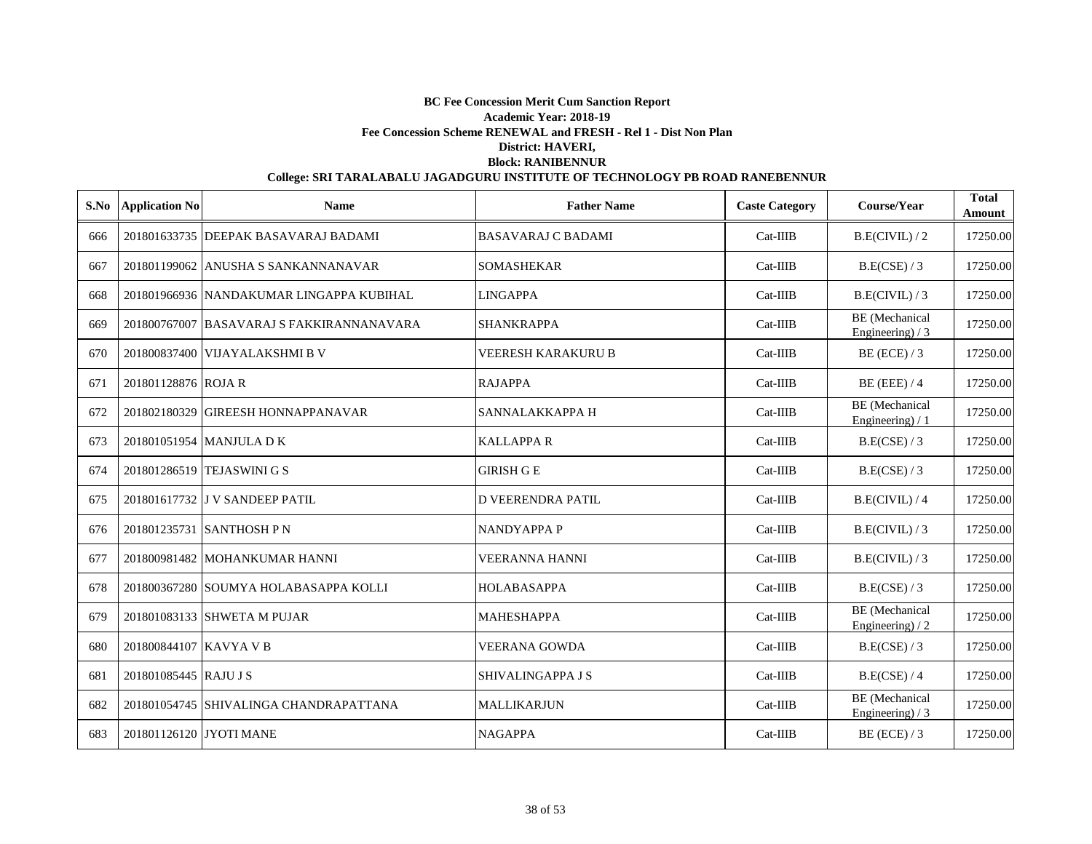| S.No | <b>Application No</b>   | <b>Name</b>                               | <b>Father Name</b>        | <b>Caste Category</b> | Course/Year                                | <b>Total</b><br>Amount |
|------|-------------------------|-------------------------------------------|---------------------------|-----------------------|--------------------------------------------|------------------------|
| 666  |                         | 201801633735 DEEPAK BASAVARAJ BADAMI      | <b>BASAVARAJ C BADAMI</b> | $Cat-IIIB$            | B.E(CIVIL)/2                               | 17250.00               |
| 667  |                         | 201801199062 ANUSHA S SANKANNANAVAR       | <b>SOMASHEKAR</b>         | $Cat-IIIB$            | B.E(CSE)/3                                 | 17250.00               |
| 668  |                         | 201801966936 NANDAKUMAR LINGAPPA KUBIHAL  | <b>LINGAPPA</b>           | $Cat-IIIB$            | B.E(CIVIL)/3                               | 17250.00               |
| 669  |                         | 201800767007 BASAVARAJ S FAKKIRANNANAVARA | <b>SHANKRAPPA</b>         | $Cat-IIIB$            | <b>BE</b> (Mechanical<br>Engineering) $/3$ | 17250.00               |
| 670  |                         | 201800837400 VIJAYALAKSHMI B V            | <b>VEERESH KARAKURU B</b> | $Cat-IIIB$            | $BE$ (ECE) / 3                             | 17250.00               |
| 671  | 201801128876 ROJA R     |                                           | <b>RAJAPPA</b>            | $Cat-IIIB$            | $BE$ (EEE) / 4                             | 17250.00               |
| 672  |                         | 201802180329 GIREESH HONNAPPANAVAR        | SANNALAKKAPPA H           | $Cat-IIIB$            | <b>BE</b> (Mechanical<br>Engineering) / 1  | 17250.00               |
| 673  |                         | 201801051954 MANJULA D K                  | <b>KALLAPPA R</b>         | $Cat-IIIB$            | B.E(CSE) / 3                               | 17250.00               |
| 674  |                         | 201801286519 TEJASWINI G S                | <b>GIRISH G E</b>         | $Cat-IIIB$            | B.E(CSE) / 3                               | 17250.00               |
| 675  |                         | 201801617732 JJ V SANDEEP PATIL           | <b>D VEERENDRA PATIL</b>  | $Cat-IIIB$            | B.E(CIVIL) / 4                             | 17250.00               |
| 676  |                         | 201801235731 SANTHOSH P N                 | <b>NANDYAPPA P</b>        | $Cat-IIIB$            | B.E(CIVIL)/3                               | 17250.00               |
| 677  |                         | 201800981482 MOHANKUMAR HANNI             | VEERANNA HANNI            | $Cat-IIIB$            | B.E(CIVIL)/3                               | 17250.00               |
| 678  |                         | 201800367280 SOUMYA HOLABASAPPA KOLLI     | <b>HOLABASAPPA</b>        | $Cat-IIIB$            | B.E(CSE)/3                                 | 17250.00               |
| 679  |                         | 201801083133 SHWETA M PUJAR               | <b>MAHESHAPPA</b>         | $Cat-IIIB$            | BE (Mechanical<br>Engineering) / 2         | 17250.00               |
| 680  | 201800844107 KAVYA V B  |                                           | <b>VEERANA GOWDA</b>      | $Cat-IIIB$            | B.E(CSE)/3                                 | 17250.00               |
| 681  | 201801085445 RAJU J S   |                                           | SHIVALINGAPPA J S         | $Cat-IIIB$            | B.E(CSE) / 4                               | 17250.00               |
| 682  |                         | 201801054745 SHIVALINGA CHANDRAPATTANA    | <b>MALLIKARJUN</b>        | $Cat-IIIB$            | BE (Mechanical<br>Engineering) $/3$        | 17250.00               |
| 683  | 201801126120 JYOTI MANE |                                           | <b>NAGAPPA</b>            | $Cat-IIIB$            | $BE$ (ECE) / 3                             | 17250.00               |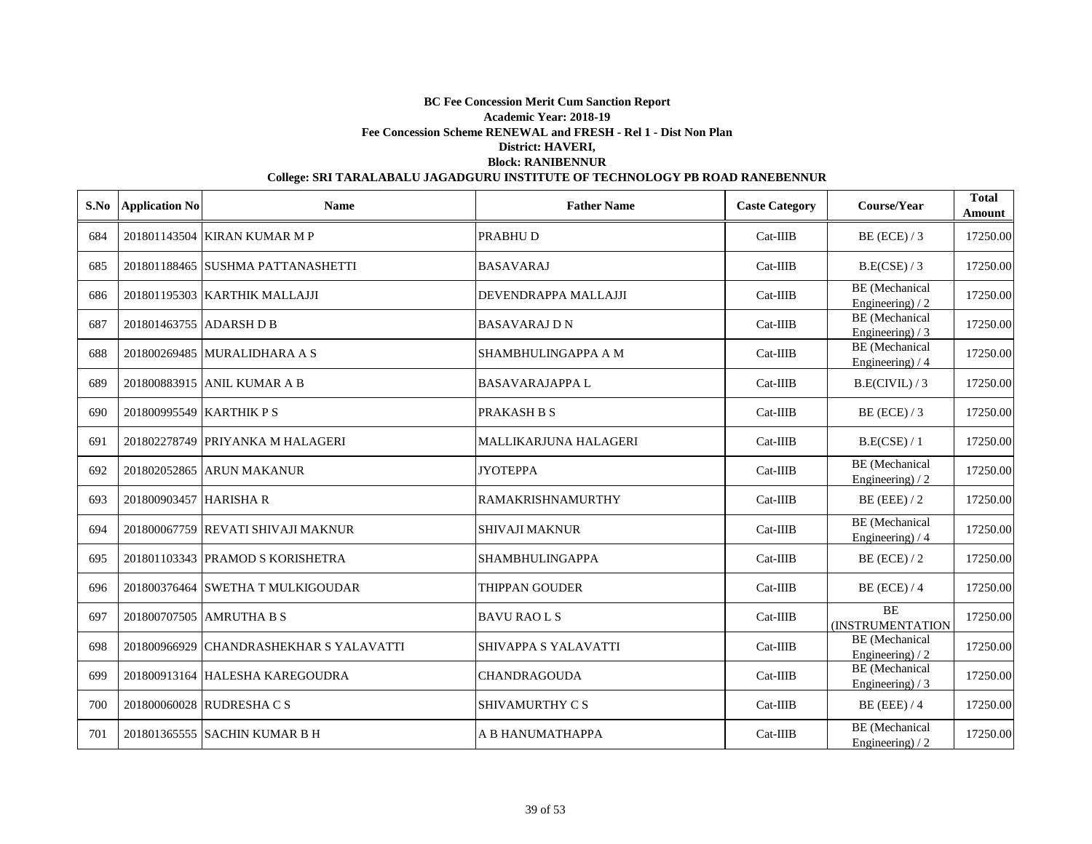|     | <b>S.No</b> Application No | <b>Name</b>                             | <b>Father Name</b>           | <b>Caste Category</b> | Course/Year                                | <b>Total</b><br>Amount |
|-----|----------------------------|-----------------------------------------|------------------------------|-----------------------|--------------------------------------------|------------------------|
| 684 |                            | 201801143504 KIRAN KUMAR M P            | PRABHU D                     | $Cat-IIIB$            | $BE$ (ECE) / 3                             | 17250.00               |
| 685 |                            | 201801188465 SUSHMA PATTANASHETTI       | <b>BASAVARAJ</b>             | $Cat-IIIB$            | B.E(CSE) / 3                               | 17250.00               |
| 686 |                            | 201801195303 KARTHIK MALLAJJI           | DEVENDRAPPA MALLAJJI         | $Cat-IIIB$            | BE (Mechanical<br>Engineering) $/2$        | 17250.00               |
| 687 | 201801463755 ADARSH D B    |                                         | <b>BASAVARAJ D N</b>         | $Cat-IIIB$            | BE (Mechanical<br>Engineering) $/3$        | 17250.00               |
| 688 |                            | 201800269485 MURALIDHARA A S            | SHAMBHULINGAPPA A M          | $Cat-IIIB$            | BE (Mechanical<br>Engineering) $/4$        | 17250.00               |
| 689 |                            | 201800883915 ANIL KUMAR A B             | <b>BASAVARAJAPPAL</b>        | $Cat-IIIB$            | B.E(CIVIL)/3                               | 17250.00               |
| 690 | 201800995549 KARTHIK P S   |                                         | <b>PRAKASH B S</b>           | $Cat-IIIB$            | $BE$ (ECE) / 3                             | 17250.00               |
| 691 |                            | 201802278749 PRIYANKA M HALAGERI        | <b>MALLIKARJUNA HALAGERI</b> | $Cat-IIIB$            | B.E(CSE) / 1                               | 17250.00               |
| 692 |                            | 201802052865 ARUN MAKANUR               | <b>JYOTEPPA</b>              | Cat-IIIB              | <b>BE</b> (Mechanical<br>Engineering) $/2$ | 17250.00               |
| 693 | 201800903457 HARISHA R     |                                         | <b>RAMAKRISHNAMURTHY</b>     | $Cat-IIIB$            | $BE$ (EEE) / 2                             | 17250.00               |
| 694 |                            | 201800067759 REVATI SHIVAJI MAKNUR      | <b>SHIVAJI MAKNUR</b>        | $Cat-IIIB$            | <b>BE</b> (Mechanical<br>Engineering) / 4  | 17250.00               |
| 695 |                            | 201801103343 PRAMOD S KORISHETRA        | <b>SHAMBHULINGAPPA</b>       | $Cat-IIIB$            | $BE$ (ECE) / 2                             | 17250.00               |
| 696 |                            | 201800376464 SWETHA T MULKIGOUDAR       | <b>THIPPAN GOUDER</b>        | $Cat-IIIB$            | $BE$ (ECE) / 4                             | 17250.00               |
| 697 |                            | 201800707505 AMRUTHA B S                | <b>BAVU RAOLS</b>            | $Cat-IIIB$            | <b>BE</b><br>(INSTRUMENTATION              | 17250.00               |
| 698 |                            | 201800966929 CHANDRASHEKHAR S YALAVATTI | <b>SHIVAPPA S YALAVATTI</b>  | $Cat-IIIB$            | <b>BE</b> (Mechanical<br>Engineering) $/2$ | 17250.00               |
| 699 |                            | 201800913164 HALESHA KAREGOUDRA         | <b>CHANDRAGOUDA</b>          | $Cat-IIIB$            | BE (Mechanical<br>Engineering) $/3$        | 17250.00               |
| 700 |                            | 201800060028 RUDRESHA C S               | SHIVAMURTHY C S              | $Cat-IIIB$            | $BE$ (EEE) / 4                             | 17250.00               |
| 701 |                            | 201801365555 SACHIN KUMAR B H           | A B HANUMATHAPPA             | $Cat-IIIB$            | <b>BE</b> (Mechanical<br>Engineering) $/2$ | 17250.00               |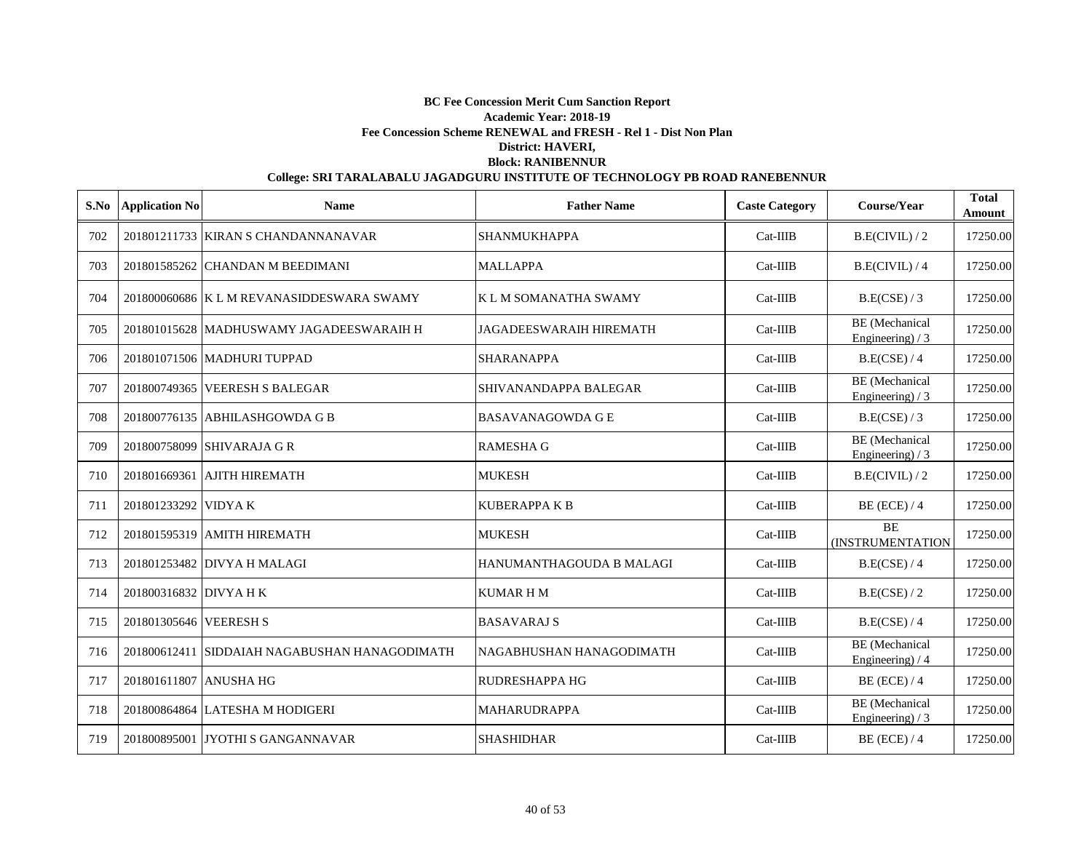|     | S.No Application No    | <b>Name</b>                                   | <b>Father Name</b>             | <b>Caste Category</b> | Course/Year                                | <b>Total</b><br>Amount |
|-----|------------------------|-----------------------------------------------|--------------------------------|-----------------------|--------------------------------------------|------------------------|
| 702 |                        | 201801211733 KIRAN S CHANDANNANAVAR           | <b>SHANMUKHAPPA</b>            | $Cat-IIIB$            | B.E(CIVIL)/2                               | 17250.00               |
| 703 |                        | 201801585262 CHANDAN M BEEDIMANI              | <b>MALLAPPA</b>                | $Cat-IIIB$            | B.E(CIVIL) / 4                             | 17250.00               |
| 704 |                        | 201800060686 K L M REVANASIDDESWARA SWAMY     | K L M SOMANATHA SWAMY          | $Cat-IIIB$            | B.E(CSE) / 3                               | 17250.00               |
| 705 |                        | 201801015628 MADHUSWAMY JAGADEESWARAIH H      | <b>JAGADEESWARAIH HIREMATH</b> | Cat-IIIB              | <b>BE</b> (Mechanical<br>Engineering) $/3$ | 17250.00               |
| 706 |                        | 201801071506 MADHURI TUPPAD                   | <b>SHARANAPPA</b>              | $Cat-IIIB$            | B.E(CSE) / 4                               | 17250.00               |
| 707 |                        | 201800749365 VEERESH S BALEGAR                | SHIVANANDAPPA BALEGAR          | $Cat-IIIB$            | <b>BE</b> (Mechanical<br>Engineering) / 3  | 17250.00               |
| 708 |                        | 201800776135 ABHILASHGOWDA G B                | <b>BASAVANAGOWDA G E</b>       | $Cat-IIIB$            | B.E(CSE) / 3                               | 17250.00               |
| 709 |                        | 201800758099 SHIVARAJA G R                    | <b>RAMESHA G</b>               | $Cat-IIIB$            | BE (Mechanical<br>Engineering) / 3         | 17250.00               |
| 710 |                        | 201801669361 AJITH HIREMATH                   | <b>MUKESH</b>                  | $Cat-IIIB$            | B.E(CIVIL)/2                               | 17250.00               |
| 711 | 201801233292 VIDYAK    |                                               | <b>KUBERAPPA K B</b>           | $Cat-IIIB$            | $BE$ (ECE) / 4                             | 17250.00               |
| 712 |                        | 201801595319 AMITH HIREMATH                   | <b>MUKESH</b>                  | $Cat-IIIB$            | <b>BE</b><br>(INSTRUMENTATION              | 17250.00               |
| 713 |                        | 201801253482 DIVYA H MALAGI                   | HANUMANTHAGOUDA B MALAGI       | $Cat-IIIB$            | B.E(CSE) / 4                               | 17250.00               |
| 714 | 201800316832 DIVYA H K |                                               | <b>KUMARHM</b>                 | $Cat-IIIB$            | B.E(CSE) / 2                               | 17250.00               |
| 715 | 201801305646 VEERESH S |                                               | <b>BASAVARAJ S</b>             | $Cat-IIIB$            | B.E(CSE) / 4                               | 17250.00               |
| 716 |                        | 201800612411 SIDDAIAH NAGABUSHAN HANAGODIMATH | NAGABHUSHAN HANAGODIMATH       | $Cat-IIIB$            | <b>BE</b> (Mechanical<br>Engineering) $/4$ | 17250.00               |
| 717 | 201801611807 ANUSHA HG |                                               | RUDRESHAPPA HG                 | Cat-IIIB              | $BE$ (ECE) / 4                             | 17250.00               |
| 718 |                        | 201800864864 LATESHA M HODIGERI               | <b>MAHARUDRAPPA</b>            | $Cat-IIIB$            | <b>BE</b> (Mechanical<br>Engineering) $/3$ | 17250.00               |
| 719 |                        | 201800895001 JYOTHI S GANGANNAVAR             | <b>SHASHIDHAR</b>              | $Cat-IIIB$            | $BE$ (ECE) / 4                             | 17250.00               |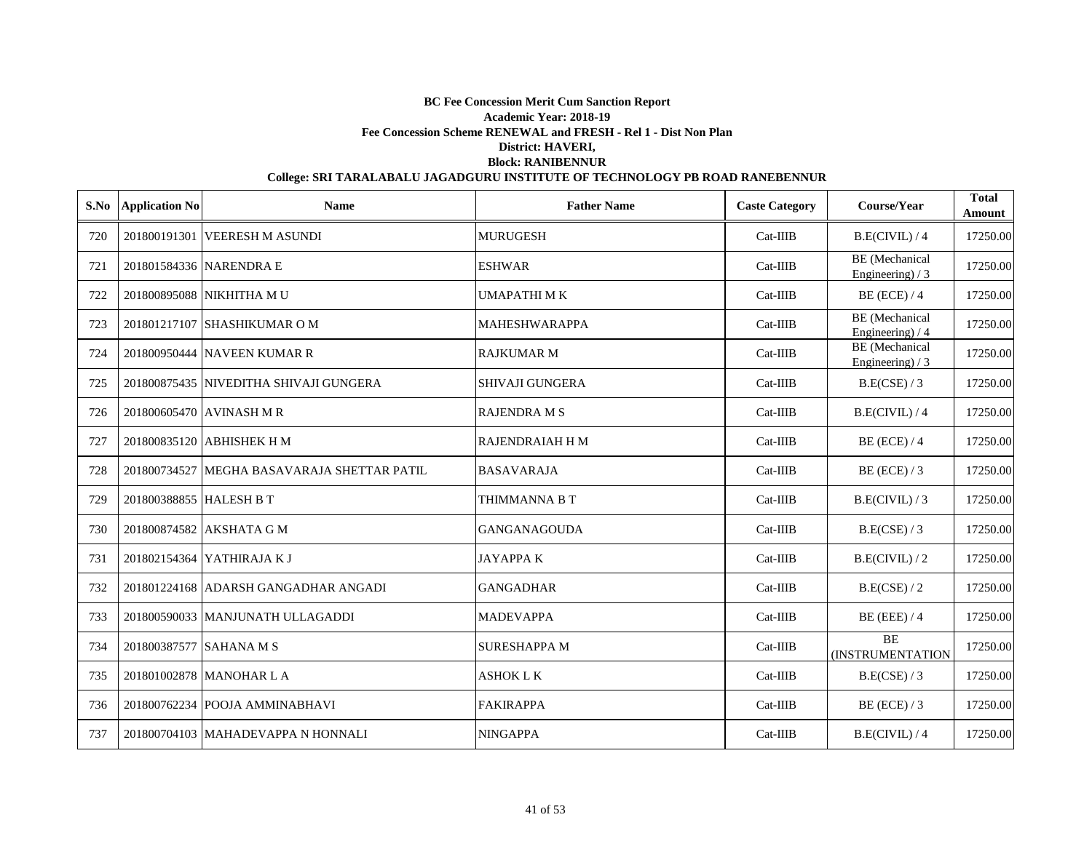|     | S.No Application No     | <b>Name</b>                                 | <b>Father Name</b>     | <b>Caste Category</b> | Course/Year                                | <b>Total</b><br>Amount |
|-----|-------------------------|---------------------------------------------|------------------------|-----------------------|--------------------------------------------|------------------------|
| 720 |                         | 201800191301 VEERESH M ASUNDI               | <b>MURUGESH</b>        | $Cat-IIIB$            | B.E(CIVIL)/4                               | 17250.00               |
| 721 |                         | 201801584336 NARENDRA E                     | <b>ESHWAR</b>          | $Cat-IIIB$            | <b>BE</b> (Mechanical<br>Engineering) $/3$ | 17250.00               |
| 722 |                         | 201800895088 NIKHITHA MU                    | <b>UMAPATHIMK</b>      | $Cat-IIIB$            | $BE$ (ECE) / 4                             | 17250.00               |
| 723 |                         | 201801217107 SHASHIKUMAR O M                | <b>MAHESHWARAPPA</b>   | $Cat-IIIB$            | <b>BE</b> (Mechanical<br>Engineering) / 4  | 17250.00               |
| 724 |                         | 201800950444 NAVEEN KUMAR R                 | <b>RAJKUMAR M</b>      | $Cat-IIIB$            | <b>BE</b> (Mechanical<br>Engineering) $/3$ | 17250.00               |
| 725 |                         | 201800875435 NIVEDITHA SHIVAJI GUNGERA      | SHIVAJI GUNGERA        | $Cat-IIIB$            | B.E(CSE) / 3                               | 17250.00               |
| 726 |                         | 201800605470 AVINASH M R                    | <b>RAJENDRA M S</b>    | Cat-IIIB              | B.E(CIVIL)/4                               | 17250.00               |
| 727 |                         | 201800835120 ABHISHEK H M                   | <b>RAJENDRAIAH H M</b> | $Cat-IIIB$            | $BE$ (ECE) / 4                             | 17250.00               |
| 728 |                         | 201800734527 MEGHA BASAVARAJA SHETTAR PATIL | <b>BASAVARAJA</b>      | $Cat-IIIB$            | $BE$ (ECE) / 3                             | 17250.00               |
| 729 | 201800388855 HALESH B T |                                             | THIMMANNA B T          | $Cat-IIIB$            | B.E(CIVIL)/3                               | 17250.00               |
| 730 |                         | 201800874582 AKSHATA G M                    | <b>GANGANAGOUDA</b>    | $Cat-IIIB$            | B.E(CSE) / 3                               | 17250.00               |
| 731 |                         | 201802154364 YATHIRAJA K J                  | <b>JAYAPPAK</b>        | $Cat-IIIB$            | B.E(CIVIL)/2                               | 17250.00               |
| 732 |                         | 201801224168 ADARSH GANGADHAR ANGADI        | <b>GANGADHAR</b>       | $Cat-IIIB$            | B.E(CSE) / 2                               | 17250.00               |
| 733 |                         | 201800590033 MANJUNATH ULLAGADDI            | <b>MADEVAPPA</b>       | $Cat-IIIB$            | $BE$ (EEE) / 4                             | 17250.00               |
| 734 | 201800387577 SAHANA M S |                                             | <b>SURESHAPPA M</b>    | $Cat-IIIB$            | <b>BE</b><br>(INSTRUMENTATION              | 17250.00               |
| 735 |                         | 201801002878 MANOHAR L A                    | <b>ASHOK L K</b>       | $Cat-IIIB$            | B.E(CSE) / 3                               | 17250.00               |
| 736 |                         | 201800762234 POOJA AMMINABHAVI              | <b>FAKIRAPPA</b>       | $Cat-IIIB$            | $BE$ (ECE) / 3                             | 17250.00               |
| 737 |                         | 201800704103 MAHADEVAPPA N HONNALI          | <b>NINGAPPA</b>        | $Cat-IIIB$            | B.E(CIVIL)/4                               | 17250.00               |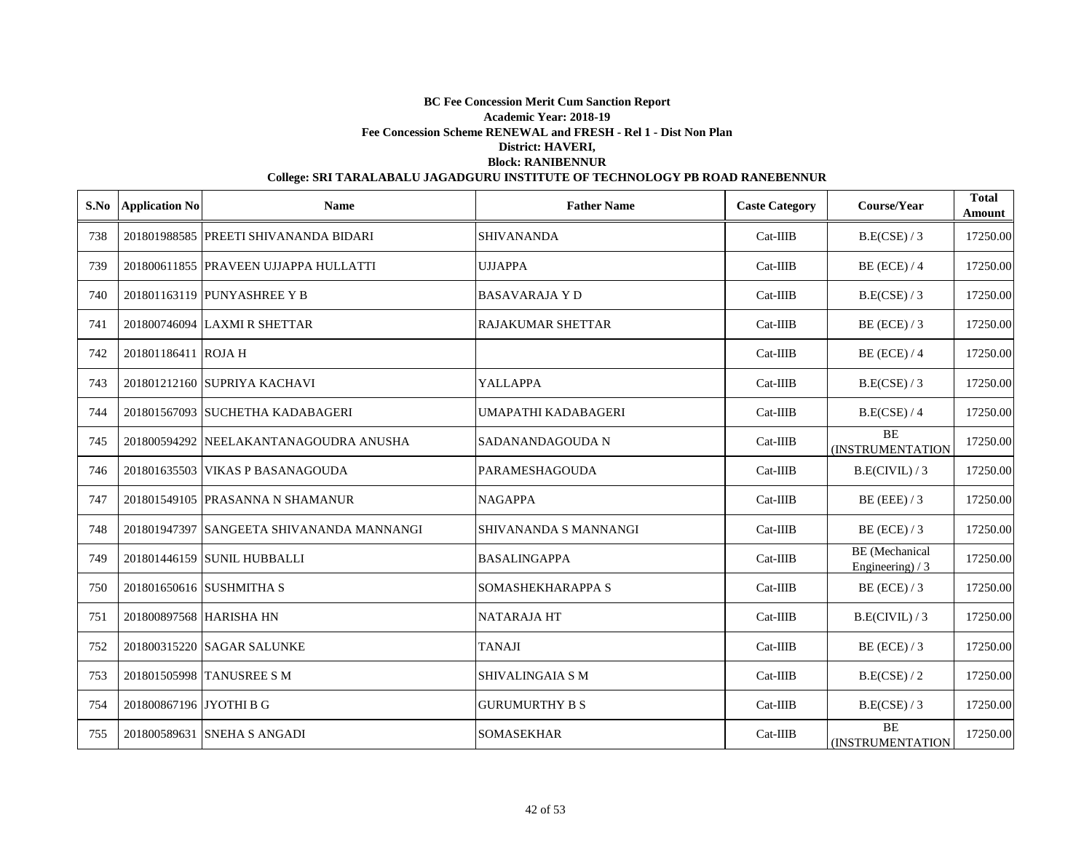| S.No | <b>Application No</b>   | <b>Name</b>                               | <b>Father Name</b>       | <b>Caste Category</b> | Course/Year                               | <b>Total</b><br>Amount |
|------|-------------------------|-------------------------------------------|--------------------------|-----------------------|-------------------------------------------|------------------------|
| 738  |                         | 201801988585 PREETI SHIVANANDA BIDARI     | <b>SHIVANANDA</b>        | $Cat-IIIB$            | B.E(CSE) / 3                              | 17250.00               |
| 739  |                         | 201800611855 PRAVEEN UJJAPPA HULLATTI     | <b>UJJAPPA</b>           | $Cat-IIIB$            | $BE$ (ECE) / 4                            | 17250.00               |
| 740  |                         | 201801163119 PUNYASHREE Y B               | <b>BASAVARAJA Y D</b>    | $Cat-IIIB$            | B.E(CSE) / 3                              | 17250.00               |
| 741  |                         | 201800746094 LAXMI R SHETTAR              | <b>RAJAKUMAR SHETTAR</b> | $Cat-IIIB$            | BE (ECE) $/3$                             | 17250.00               |
| 742  | 201801186411 ROJA H     |                                           |                          | $Cat-IIIB$            | $BE$ (ECE) / 4                            | 17250.00               |
| 743  |                         | 201801212160 SUPRIYA KACHAVI              | <b>YALLAPPA</b>          | $Cat-IIIB$            | B.E(CSE) / 3                              | 17250.00               |
| 744  |                         | 201801567093 SUCHETHA KADABAGERI          | UMAPATHI KADABAGERI      | $Cat-IIIB$            | B.E(CSE) / 4                              | 17250.00               |
| 745  |                         | 201800594292 NEELAKANTANAGOUDRA ANUSHA    | SADANANDAGOUDA N         | $Cat-IIIB$            | <b>BE</b><br>(INSTRUMENTATION             | 17250.00               |
| 746  |                         | 201801635503 VIKAS P BASANAGOUDA          | PARAMESHAGOUDA           | $Cat-IIIB$            | B.E(CIVIL)/3                              | 17250.00               |
| 747  |                         | 201801549105 PRASANNA N SHAMANUR          | <b>NAGAPPA</b>           | $Cat-IIIB$            | $BE$ (EEE) / 3                            | 17250.00               |
| 748  |                         | 201801947397 SANGEETA SHIVANANDA MANNANGI | SHIVANANDA S MANNANGI    | $Cat-IIIB$            | $BE$ (ECE) / 3                            | 17250.00               |
| 749  |                         | 201801446159 SUNIL HUBBALLI               | <b>BASALINGAPPA</b>      | $Cat-IIIB$            | <b>BE</b> (Mechanical<br>Engineering) / 3 | 17250.00               |
| 750  |                         | 201801650616 SUSHMITHA S                  | SOMASHEKHARAPPA S        | $Cat-IIIB$            | $BE$ (ECE) / 3                            | 17250.00               |
| 751  | 201800897568 HARISHA HN |                                           | <b>NATARAJA HT</b>       | $Cat-IIIB$            | B.E(CIVIL)/3                              | 17250.00               |
| 752  |                         | 201800315220 SAGAR SALUNKE                | <b>TANAJI</b>            | $Cat-IIIB$            | $BE$ (ECE) / 3                            | 17250.00               |
| 753  |                         | 201801505998 TANUSREE S M                 | <b>SHIVALINGAIA S M</b>  | $Cat-IIIB$            | B.E(CSE) / 2                              | 17250.00               |
| 754  | 201800867196 JYOTHI B G |                                           | <b>GURUMURTHY B S</b>    | $Cat-IIIB$            | B.E(CSE) / 3                              | 17250.00               |
| 755  |                         | 201800589631 SNEHA S ANGADI               | <b>SOMASEKHAR</b>        | $Cat-IIIB$            | <b>BE</b><br><b>(INSTRUMENTATION</b>      | 17250.00               |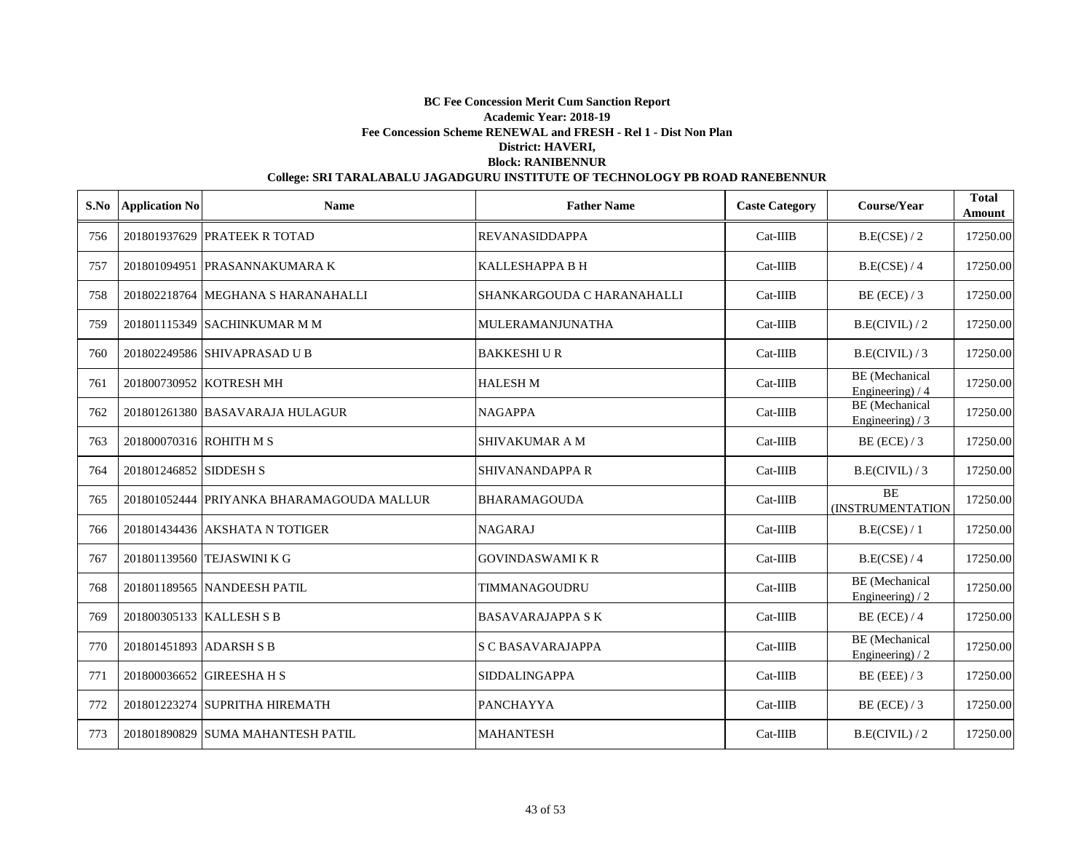|     | S.No Application No     | <b>Name</b>                               | <b>Father Name</b>         | <b>Caste Category</b> | Course/Year                                | <b>Total</b><br>Amount |
|-----|-------------------------|-------------------------------------------|----------------------------|-----------------------|--------------------------------------------|------------------------|
| 756 |                         | 201801937629 PRATEEK R TOTAD              | <b>REVANASIDDAPPA</b>      | $Cat-IIIB$            | B.E(CSE) / 2                               | 17250.00               |
| 757 |                         | 201801094951 PRASANNAKUMARA K             | <b>KALLESHAPPA B H</b>     | $Cat-IIIB$            | B.E(CSE) / 4                               | 17250.00               |
| 758 |                         | 201802218764 MEGHANA S HARANAHALLI        | SHANKARGOUDA C HARANAHALLI | $Cat-IIIB$            | $BE$ (ECE) / 3                             | 17250.00               |
| 759 |                         | 201801115349 SACHINKUMAR M M              | <b>MULERAMANJUNATHA</b>    | $Cat-IIIB$            | B.E(CIVIL)/2                               | 17250.00               |
| 760 |                         | 201802249586 SHIVAPRASAD U B              | <b>BAKKESHIUR</b>          | $Cat-IIIB$            | B.E(CIVIL)/3                               | 17250.00               |
| 761 |                         | 201800730952 KOTRESH MH                   | <b>HALESH M</b>            | $Cat-IIIB$            | <b>BE</b> (Mechanical<br>Engineering) / 4  | 17250.00               |
| 762 |                         | 201801261380 BASAVARAJA HULAGUR           | <b>NAGAPPA</b>             | $Cat-IIIB$            | <b>BE</b> (Mechanical<br>Engineering) / 3  | 17250.00               |
| 763 | 201800070316 ROHITH M S |                                           | SHIVAKUMAR A M             | Cat-IIIB              | $BE$ (ECE) / 3                             | 17250.00               |
| 764 | 201801246852 SIDDESH S  |                                           | SHIVANANDAPPA R            | Cat-IIIB              | B.E(CIVIL)/3                               | 17250.00               |
| 765 |                         | 201801052444 PRIYANKA BHARAMAGOUDA MALLUR | <b>BHARAMAGOUDA</b>        | Cat-IIIB              | <b>BE</b><br><b>(INSTRUMENTATION</b>       | 17250.00               |
| 766 |                         | 201801434436 AKSHATA N TOTIGER            | <b>NAGARAJ</b>             | Cat-IIIB              | B.E(CSE) / 1                               | 17250.00               |
| 767 |                         | 201801139560 TEJASWINI K G                | <b>GOVINDASWAMI K R</b>    | $Cat-IIIB$            | B.E(CSE) / 4                               | 17250.00               |
| 768 |                         | 201801189565 NANDEESH PATIL               | TIMMANAGOUDRU              | $Cat-IIIB$            | <b>BE</b> (Mechanical<br>Engineering) $/2$ | 17250.00               |
| 769 |                         | 201800305133 KALLESH S B                  | <b>BASAVARAJAPPA SK</b>    | $Cat-IIIB$            | $BE$ (ECE) / 4                             | 17250.00               |
| 770 | 201801451893 ADARSH S B |                                           | <b>S C BASAVARAJAPPA</b>   | $Cat-IIIB$            | <b>BE</b> (Mechanical<br>Engineering) $/2$ | 17250.00               |
| 771 |                         | 201800036652 GIREESHA H S                 | <b>SIDDALINGAPPA</b>       | $Cat-IIIB$            | $BE$ (EEE) / 3                             | 17250.00               |
| 772 |                         | 201801223274 SUPRITHA HIREMATH            | <b>PANCHAYYA</b>           | $Cat-IIIB$            | $BE$ (ECE) / 3                             | 17250.00               |
| 773 |                         | 201801890829 SUMA MAHANTESH PATIL         | <b>MAHANTESH</b>           | $Cat-IIIB$            | B.E(CIVIL)/2                               | 17250.00               |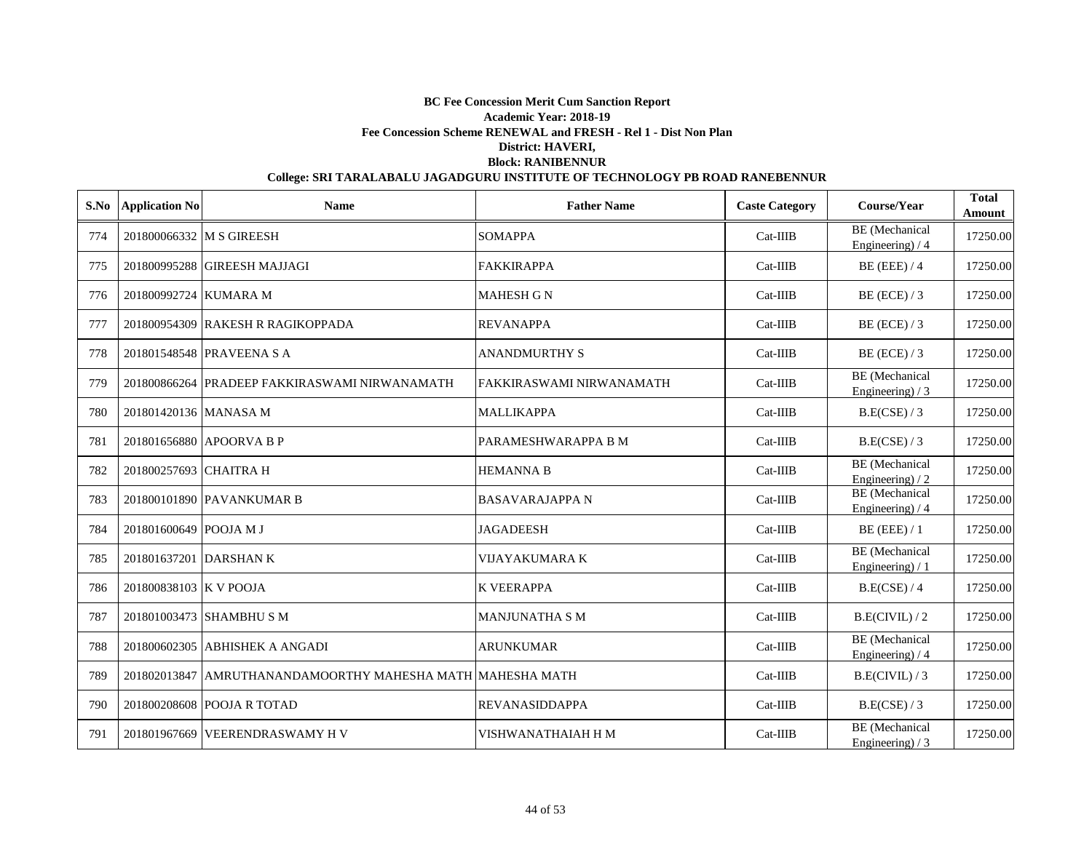| S.No | <b>Application No</b>    | <b>Name</b>                                                | <b>Father Name</b>       | <b>Caste Category</b> | Course/Year                                | <b>Total</b><br>Amount |
|------|--------------------------|------------------------------------------------------------|--------------------------|-----------------------|--------------------------------------------|------------------------|
| 774  | 201800066332 M S GIREESH |                                                            | <b>SOMAPPA</b>           | $Cat-IIIB$            | <b>BE</b> (Mechanical<br>Engineering) / 4  | 17250.00               |
| 775  |                          | 201800995288 GIREESH MAJJAGI                               | <b>FAKKIRAPPA</b>        | $Cat-IIIB$            | $BE$ (EEE) / 4                             | 17250.00               |
| 776  | 201800992724 KUMARA M    |                                                            | <b>MAHESH G N</b>        | $Cat-IIIB$            | BE (ECE) $/3$                              | 17250.00               |
| 777  |                          | 201800954309 RAKESH R RAGIKOPPADA                          | <b>REVANAPPA</b>         | $Cat-IIIB$            | $BE$ (ECE) / 3                             | 17250.00               |
| 778  |                          | 201801548548 PRAVEENA S A                                  | <b>ANANDMURTHY S</b>     | $Cat-IIIB$            | $BE$ (ECE) / 3                             | 17250.00               |
| 779  |                          | 201800866264 PRADEEP FAKKIRASWAMI NIRWANAMATH              | FAKKIRASWAMI NIRWANAMATH | $Cat-IIIB$            | BE (Mechanical<br>Engineering) $/3$        | 17250.00               |
| 780  | 201801420136 MANASA M    |                                                            | <b>MALLIKAPPA</b>        | $Cat-IIIB$            | B.E(CSE) / 3                               | 17250.00               |
| 781  |                          | 201801656880 APOORVA B P                                   | PARAMESHWARAPPA B M      | $Cat-IIIB$            | B.E(CSE) / 3                               | 17250.00               |
| 782  | 201800257693 CHAITRA H   |                                                            | <b>HEMANNA B</b>         | $Cat-IIIB$            | <b>BE</b> (Mechanical<br>Engineering $)/2$ | 17250.00               |
| 783  |                          | 201800101890 PAVANKUMAR B                                  | <b>BASAVARAJAPPA N</b>   | Cat-IIIB              | <b>BE</b> (Mechanical<br>Engineering) / 4  | 17250.00               |
| 784  | 201801600649 POOJA M J   |                                                            | <b>JAGADEESH</b>         | $Cat-IIIB$            | $BE$ (EEE) / 1                             | 17250.00               |
| 785  | 201801637201 DARSHAN K   |                                                            | VIJAYAKUMARA K           | Cat-IIIB              | BE (Mechanical<br>Engineering) / 1         | 17250.00               |
| 786  | 201800838103 K V POOJA   |                                                            | <b>K VEERAPPA</b>        | $Cat-IIIB$            | B.E(CSE) / 4                               | 17250.00               |
| 787  |                          | 201801003473 SHAMBHU S M                                   | <b>MANJUNATHA S M</b>    | $Cat-IIIB$            | B.E(CIVIL)/2                               | 17250.00               |
| 788  |                          | 201800602305 ABHISHEK A ANGADI                             | <b>ARUNKUMAR</b>         | $Cat-IIIB$            | BE (Mechanical<br>Engineering) / 4         | 17250.00               |
| 789  |                          | 201802013847 AMRUTHANANDAMOORTHY MAHESHA MATH MAHESHA MATH |                          | $Cat-IIIB$            | B.E(CIVIL)/3                               | 17250.00               |
| 790  |                          | 201800208608 POOJA R TOTAD                                 | <b>REVANASIDDAPPA</b>    | $Cat-IIIB$            | B.E(CSE) / 3                               | 17250.00               |
| 791  |                          | 201801967669 VEERENDRASWAMY H V                            | VISHWANATHAIAH H M       | $Cat-IIIB$            | <b>BE</b> (Mechanical<br>Engineering) $/3$ | 17250.00               |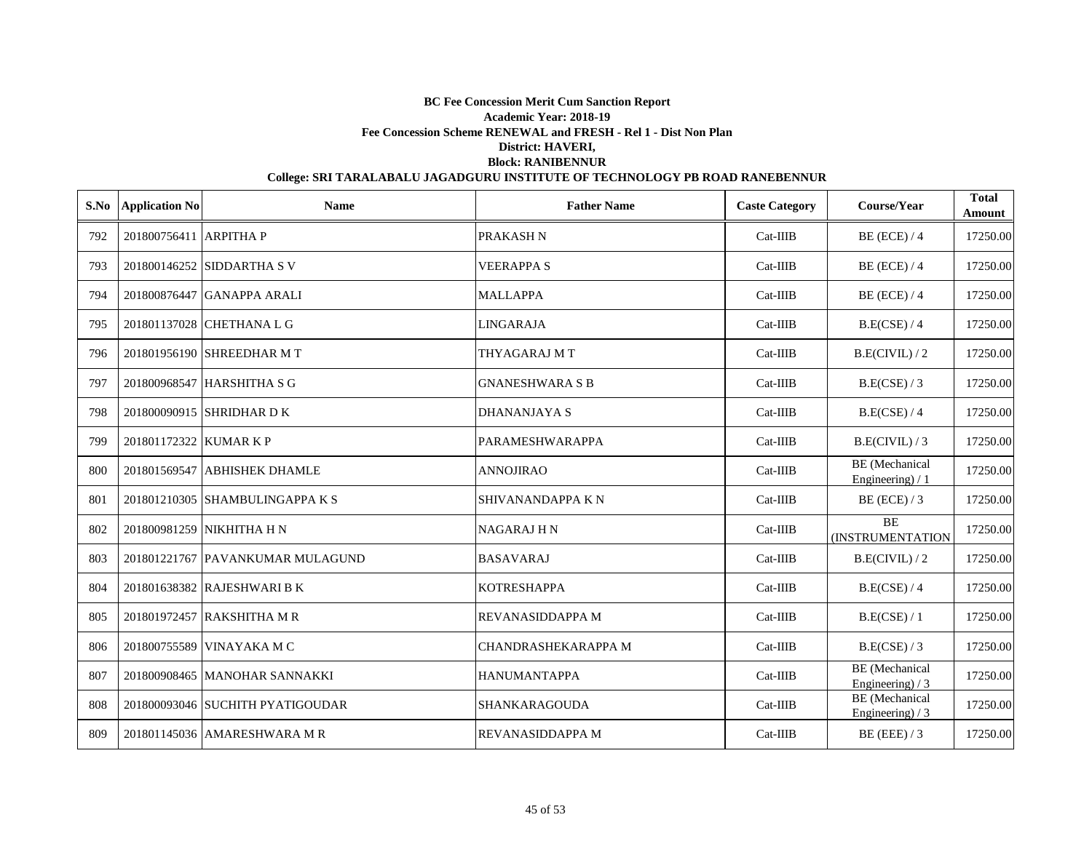| S.No | <b>Application No</b>  | <b>Name</b>                      | <b>Father Name</b>         | <b>Caste Category</b> | Course/Year                               | <b>Total</b><br>Amount |
|------|------------------------|----------------------------------|----------------------------|-----------------------|-------------------------------------------|------------------------|
| 792  | 201800756411 ARPITHA P |                                  | PRAKASH <sub>N</sub>       | $Cat-IIIB$            | $BE$ (ECE) / 4                            | 17250.00               |
| 793  |                        | 201800146252 SIDDARTHA S V       | <b>VEERAPPA S</b>          | $Cat-IIIB$            | $BE$ (ECE) / 4                            | 17250.00               |
| 794  |                        | 201800876447 GANAPPA ARALI       | <b>MALLAPPA</b>            | $Cat-IIIB$            | $BE$ (ECE) / 4                            | 17250.00               |
| 795  |                        | 201801137028 CHETHANA L G        | <b>LINGARAJA</b>           | $Cat-IIIB$            | B.E(CSE) / 4                              | 17250.00               |
| 796  |                        | 201801956190 SHREEDHAR MT        | THYAGARAJ MT               | $Cat-IIIB$            | B.E(CIVIL)/2                              | 17250.00               |
| 797  |                        | 201800968547 HARSHITHA S G       | <b>GNANESHWARA S B</b>     | $Cat-IIIB$            | B.E(CSE) / 3                              | 17250.00               |
| 798  |                        | 201800090915 SHRIDHAR D K        | <b>DHANANJAYA S</b>        | Cat-IIIB              | B.E(CSE) / 4                              | 17250.00               |
| 799  | 201801172322 KUMAR K P |                                  | PARAMESHWARAPPA            | Cat-IIIB              | B.E(CIVIL)/3                              | 17250.00               |
| 800  |                        | 201801569547 ABHISHEK DHAMLE     | <b>ANNOJIRAO</b>           | $Cat-IIIB$            | <b>BE</b> (Mechanical<br>Engineering) / 1 | 17250.00               |
| 801  |                        | 201801210305 SHAMBULINGAPPA K S  | SHIVANANDAPPA KN           | $Cat-IIIB$            | BE (ECE) $/3$                             | 17250.00               |
| 802  |                        | 201800981259 NIKHITHA H N        | <b>NAGARAJHN</b>           | $Cat-IIIB$            | <b>BE</b><br><b>(INSTRUMENTATION</b>      | 17250.00               |
| 803  |                        | 201801221767 PAVANKUMAR MULAGUND | <b>BASAVARAJ</b>           | $Cat-IIIB$            | B.E(CIVIL)/2                              | 17250.00               |
| 804  |                        | 201801638382 RAJESHWARI B K      | <b>KOTRESHAPPA</b>         | $Cat-IIIB$            | B.E(CSE) / 4                              | 17250.00               |
| 805  |                        | 201801972457 RAKSHITHA M R       | REVANASIDDAPPA M           | $Cat-IIIB$            | B.E(CSE) / 1                              | 17250.00               |
| 806  |                        | 201800755589 VINAYAKA M C        | <b>CHANDRASHEKARAPPA M</b> | $Cat-IIIB$            | B.E(CSE) / 3                              | 17250.00               |
| 807  |                        | 201800908465 MANOHAR SANNAKKI    | <b>HANUMANTAPPA</b>        | $Cat-IIIB$            | BE (Mechanical<br>Engineering) $/3$       | 17250.00               |
| 808  |                        | 201800093046 SUCHITH PYATIGOUDAR | SHANKARAGOUDA              | $Cat-IIIB$            | BE (Mechanical<br>Engineering) / 3        | 17250.00               |
| 809  |                        | 201801145036 AMARESHWARA M R     | REVANASIDDAPPA M           | $Cat-IIIB$            | $BE$ (EEE) / 3                            | 17250.00               |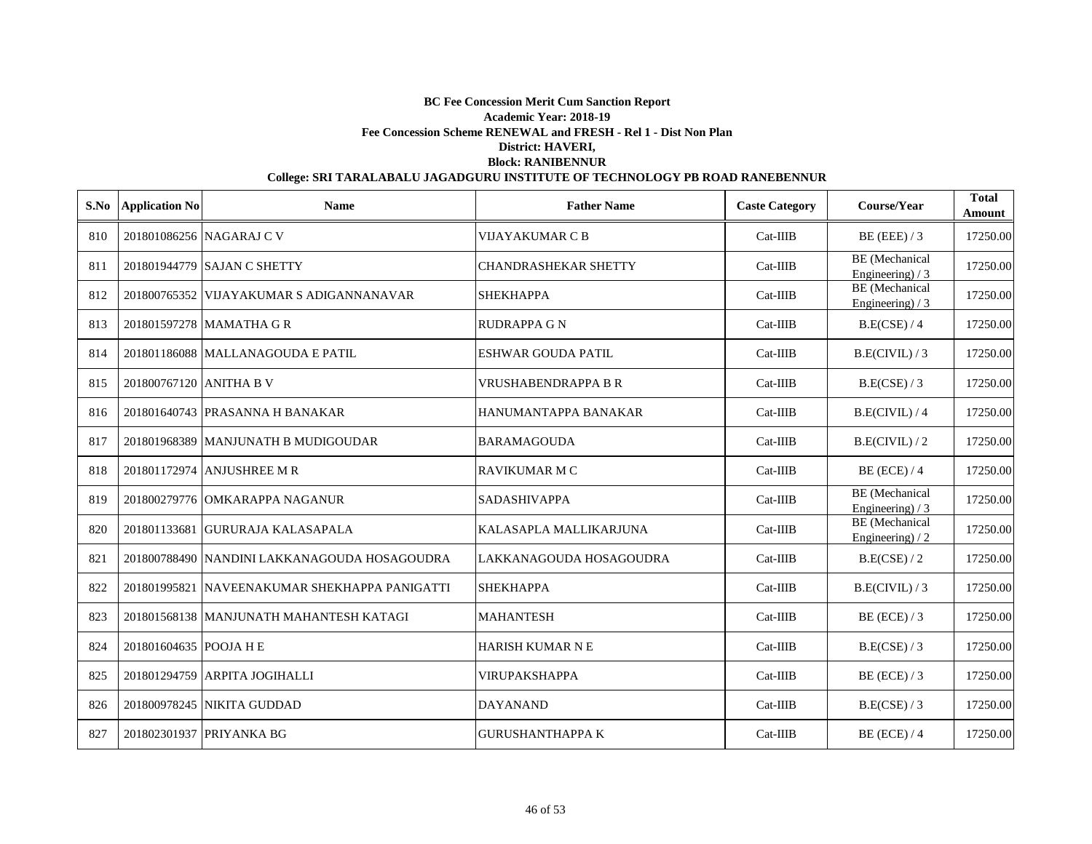| S.No | <b>Application No</b>   | <b>Name</b>                                   | <b>Father Name</b>          | <b>Caste Category</b> | Course/Year                                | <b>Total</b><br>Amount |
|------|-------------------------|-----------------------------------------------|-----------------------------|-----------------------|--------------------------------------------|------------------------|
| 810  |                         | 201801086256 NAGARAJ C V                      | <b>VIJAYAKUMAR C B</b>      | $Cat-IIIB$            | $BE$ (EEE) / 3                             | 17250.00               |
| 811  |                         | 201801944779 SAJAN C SHETTY                   | <b>CHANDRASHEKAR SHETTY</b> | $Cat-IIIB$            | BE (Mechanical<br>Engineering) $/3$        | 17250.00               |
| 812  |                         | 201800765352 VIJAYAKUMAR S ADIGANNANAVAR      | <b>SHEKHAPPA</b>            | $Cat-IIIB$            | <b>BE</b> (Mechanical<br>Engineering) / 3  | 17250.00               |
| 813  |                         | 201801597278 MAMATHA G R                      | <b>RUDRAPPA G N</b>         | $Cat-IIIB$            | B.E(CSE) / 4                               | 17250.00               |
| 814  |                         | 201801186088 MALLANAGOUDA E PATIL             | <b>ESHWAR GOUDA PATIL</b>   | $Cat-IIIB$            | B.E(CIVIL) / 3                             | 17250.00               |
| 815  | 201800767120 ANITHA B V |                                               | <b>VRUSHABENDRAPPA B R</b>  | $Cat-IIIB$            | B.E(CSE) / 3                               | 17250.00               |
| 816  |                         | 201801640743 PRASANNA H BANAKAR               | HANUMANTAPPA BANAKAR        | $Cat-IIIB$            | B.E(CIVIL) / 4                             | 17250.00               |
| 817  |                         | 201801968389 MANJUNATH B MUDIGOUDAR           | <b>BARAMAGOUDA</b>          | Cat-IIIB              | B.E(CIVIL)/2                               | 17250.00               |
| 818  |                         | 201801172974 ANJUSHREE M R                    | <b>RAVIKUMAR M C</b>        | $Cat-IIIB$            | $BE$ (ECE) / 4                             | 17250.00               |
| 819  |                         | 201800279776 OMKARAPPA NAGANUR                | <b>SADASHIVAPPA</b>         | $Cat-IIIB$            | <b>BE</b> (Mechanical<br>Engineering) $/3$ | 17250.00               |
| 820  |                         | 201801133681 GURURAJA KALASAPALA              | KALASAPLA MALLIKARJUNA      | $Cat-IIIB$            | <b>BE</b> (Mechanical<br>Engineering $)/2$ | 17250.00               |
| 821  |                         | 201800788490 NANDINI LAKKANAGOUDA HOSAGOUDRA  | LAKKANAGOUDA HOSAGOUDRA     | Cat-IIIB              | B.E(CSE) / 2                               | 17250.00               |
| 822  |                         | 201801995821 NAVEENAKUMAR SHEKHAPPA PANIGATTI | <b>SHEKHAPPA</b>            | $Cat-IIIB$            | B.E(CIVIL)/3                               | 17250.00               |
| 823  |                         | 201801568138 MANJUNATH MAHANTESH KATAGI       | <b>MAHANTESH</b>            | $Cat-IIIB$            | $BE$ (ECE) / 3                             | 17250.00               |
| 824  | 201801604635 POOJA H E  |                                               | <b>HARISH KUMAR N E</b>     | $Cat-IIIB$            | B.E(CSE) / 3                               | 17250.00               |
| 825  |                         | 201801294759 ARPITA JOGIHALLI                 | <b>VIRUPAKSHAPPA</b>        | $Cat-IIIB$            | $BE$ (ECE) / 3                             | 17250.00               |
| 826  |                         | 201800978245 NIKITA GUDDAD                    | <b>DAYANAND</b>             | $Cat-IIIB$            | B.E(CSE) / 3                               | 17250.00               |
| 827  |                         | 201802301937 PRIYANKA BG                      | <b>GURUSHANTHAPPA K</b>     | $Cat-IIIB$            | $BE$ (ECE) / 4                             | 17250.00               |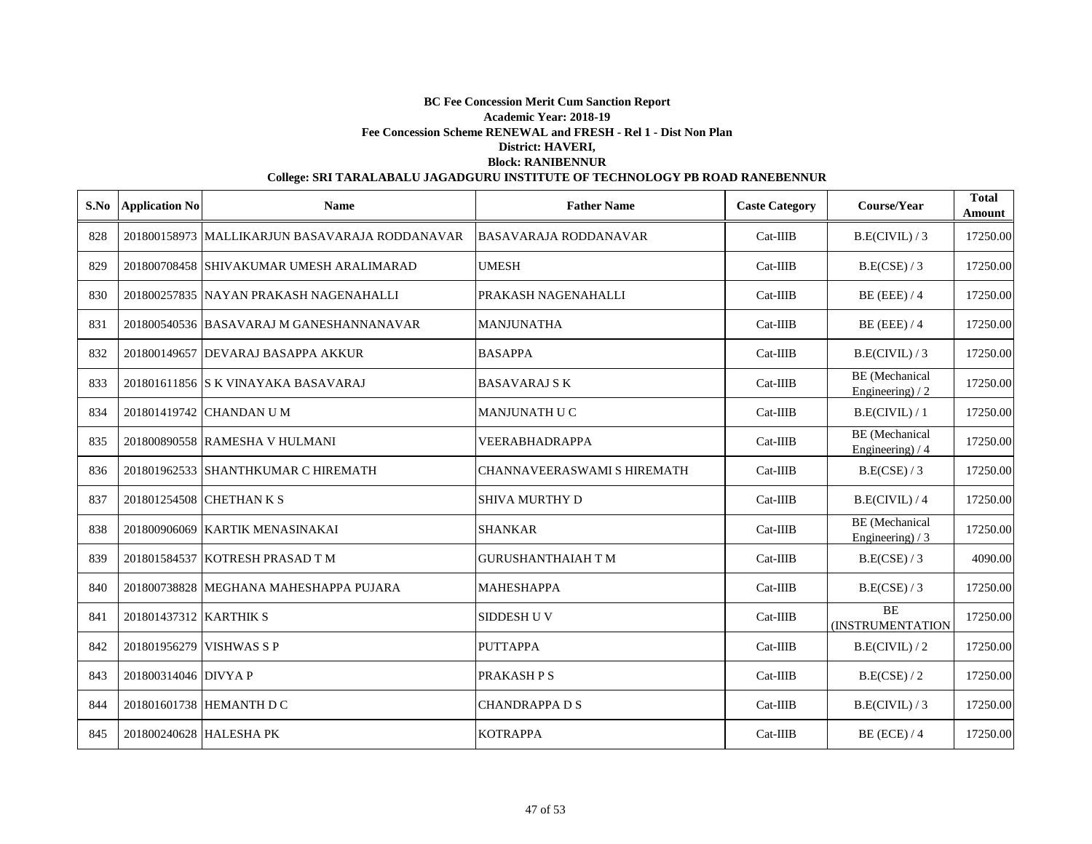| S.No | <b>Application No</b>    | <b>Name</b>                                    | <b>Father Name</b>                 | <b>Caste Category</b> | Course/Year                         | <b>Total</b><br>Amount |
|------|--------------------------|------------------------------------------------|------------------------------------|-----------------------|-------------------------------------|------------------------|
| 828  |                          | 201800158973 MALLIKARJUN BASAVARAJA RODDANAVAR | <b>BASAVARAJA RODDANAVAR</b>       | $Cat-IIIB$            | B.E(CIVIL)/3                        | 17250.00               |
| 829  |                          | 201800708458 SHIVAKUMAR UMESH ARALIMARAD       | <b>UMESH</b>                       | $Cat-IIIB$            | B.E(CSE) / 3                        | 17250.00               |
| 830  |                          | 201800257835 NAYAN PRAKASH NAGENAHALLI         | PRAKASH NAGENAHALLI                | $Cat-IIIB$            | $BE$ (EEE) / 4                      | 17250.00               |
| 831  |                          | 201800540536 BASAVARAJ M GANESHANNANAVAR       | <b>MANJUNATHA</b>                  | $Cat-IIIB$            | $BE$ (EEE) / 4                      | 17250.00               |
| 832  |                          | 201800149657 DEVARAJ BASAPPA AKKUR             | <b>BASAPPA</b>                     | $Cat-IIIB$            | B.E(CIVIL)/3                        | 17250.00               |
| 833  |                          | 201801611856 S K VINAYAKA BASAVARAJ            | <b>BASAVARAJ S K</b>               | $Cat-IIIB$            | BE (Mechanical<br>Engineering) $/2$ | 17250.00               |
| 834  |                          | 201801419742 CHANDAN U M                       | <b>MANJUNATH U C</b>               | $Cat-IIIB$            | B.E(CIVIL) / 1                      | 17250.00               |
| 835  |                          | 201800890558 RAMESHA V HULMANI                 | <b>VEERABHADRAPPA</b>              | $Cat-IIIB$            | BE (Mechanical<br>Engineering) / 4  | 17250.00               |
| 836  |                          | 201801962533 SHANTHKUMAR C HIREMATH            | <b>CHANNAVEERASWAMI S HIREMATH</b> | $Cat-IIIB$            | B.E(CSE) / 3                        | 17250.00               |
| 837  |                          | 201801254508 CHETHAN K S                       | <b>SHIVA MURTHY D</b>              | Cat-IIIB              | B.E(CIVIL) / 4                      | 17250.00               |
| 838  |                          | 201800906069 KARTIK MENASINAKAI                | <b>SHANKAR</b>                     | Cat-IIIB              | BE (Mechanical<br>Engineering) $/3$ | 17250.00               |
| 839  |                          | 201801584537 KOTRESH PRASAD T M                | <b>GURUSHANTHAIAH T M</b>          | Cat-IIIB              | B.E(CSE)/3                          | 4090.00                |
| 840  |                          | 201800738828 MEGHANA MAHESHAPPA PUJARA         | <b>MAHESHAPPA</b>                  | $Cat-IIIB$            | B.E(CSE) / 3                        | 17250.00               |
| 841  | 201801437312 KARTHIK S   |                                                | <b>SIDDESH U V</b>                 | $Cat-IIIB$            | <b>BE</b><br>(INSTRUMENTATION       | 17250.00               |
| 842  | 201801956279 VISHWAS S P |                                                | <b>PUTTAPPA</b>                    | $Cat-IIIB$            | B.E(CIVIL)/2                        | 17250.00               |
| 843  | 201800314046 DIVYA P     |                                                | PRAKASH P S                        | $Cat-IIIB$            | B.E(CSE) / 2                        | 17250.00               |
| 844  |                          | 201801601738 HEMANTH D C                       | <b>CHANDRAPPA D S</b>              | $Cat-IIIB$            | B.E(CIVIL)/3                        | 17250.00               |
| 845  | 201800240628 HALESHA PK  |                                                | <b>KOTRAPPA</b>                    | $Cat-IIIB$            | $BE$ (ECE) / 4                      | 17250.00               |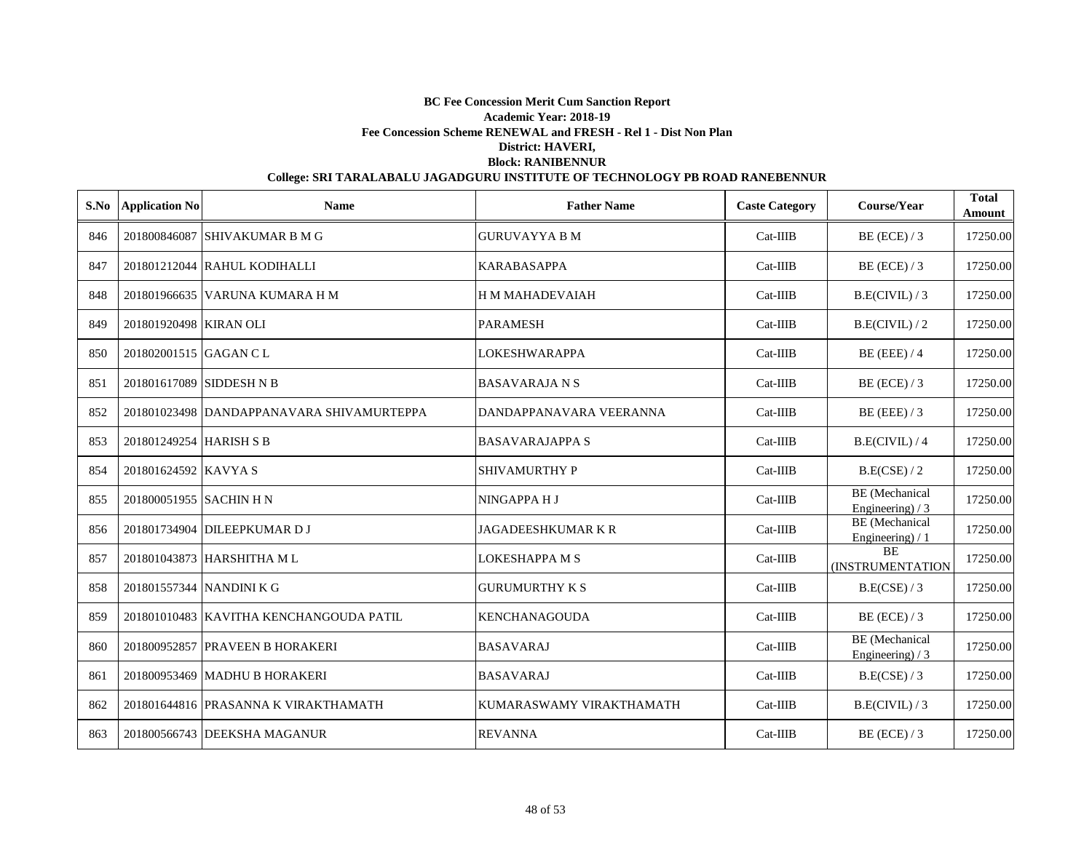| S.No | <b>Application No</b>    | <b>Name</b>                               | <b>Father Name</b>        | <b>Caste Category</b> | Course/Year                                | <b>Total</b><br>Amount |
|------|--------------------------|-------------------------------------------|---------------------------|-----------------------|--------------------------------------------|------------------------|
| 846  |                          | 201800846087 SHIVAKUMAR B M G             | <b>GURUVAYYA B M</b>      | $Cat-IIIB$            | BE (ECE) / 3                               | 17250.00               |
| 847  |                          | 201801212044 RAHUL KODIHALLI              | <b>KARABASAPPA</b>        | $Cat-IIIB$            | $BE$ (ECE) / 3                             | 17250.00               |
| 848  |                          | 201801966635 VARUNA KUMARA H M            | <b>HMMAHADEVAIAH</b>      | $Cat-IIIB$            | B.E(CIVIL)/3                               | 17250.00               |
| 849  | 201801920498 KIRAN OLI   |                                           | <b>PARAMESH</b>           | $Cat-IIIB$            | B.E(CIVIL)/2                               | 17250.00               |
| 850  | 201802001515 GAGAN C L   |                                           | <b>LOKESHWARAPPA</b>      | $Cat-IIIB$            | $BE$ (EEE) / 4                             | 17250.00               |
| 851  | 201801617089 SIDDESH N B |                                           | <b>BASAVARAJA N S</b>     | $Cat-IIIB$            | BE (ECE) $/3$                              | 17250.00               |
| 852  |                          | 201801023498 DANDAPPANAVARA SHIVAMURTEPPA | DANDAPPANAVARA VEERANNA   | $Cat-IIIB$            | BE (EEE) $/3$                              | 17250.00               |
| 853  | 201801249254 HARISH S B  |                                           | <b>BASAVARAJAPPA S</b>    | $Cat-IIIB$            | B.E(CIVIL) / 4                             | 17250.00               |
| 854  | 201801624592 KAVYA S     |                                           | <b>SHIVAMURTHY P</b>      | Cat-IIIB              | B.E(CSE) / 2                               | 17250.00               |
| 855  | 201800051955 SACHIN H N  |                                           | NINGAPPA H J              | $Cat-IIIB$            | BE (Mechanical<br>Engineering) $/3$        | 17250.00               |
| 856  |                          | 201801734904 DILEEPKUMAR D J              | <b>JAGADEESHKUMAR K R</b> | $Cat-IIIB$            | <b>BE</b> (Mechanical<br>Engineering) / 1  | 17250.00               |
| 857  |                          | 201801043873 HARSHITHA ML                 | <b>LOKESHAPPA M S</b>     | Cat-IIIB              | <b>BE</b><br><b>(INSTRUMENTATION</b>       | 17250.00               |
| 858  | 201801557344 NANDINI K G |                                           | <b>GURUMURTHY K S</b>     | $Cat-IIIB$            | B.E(CSE) / 3                               | 17250.00               |
| 859  |                          | 201801010483 KAVITHA KENCHANGOUDA PATIL   | <b>KENCHANAGOUDA</b>      | $Cat-IIIB$            | $BE$ (ECE) / 3                             | 17250.00               |
| 860  |                          | 201800952857 PRAVEEN B HORAKERI           | <b>BASAVARAJ</b>          | $Cat-IIIB$            | <b>BE</b> (Mechanical<br>Engineering) $/3$ | 17250.00               |
| 861  |                          | 201800953469 MADHU B HORAKERI             | <b>BASAVARAJ</b>          | $Cat-IIIB$            | B.E(CSE) / 3                               | 17250.00               |
| 862  |                          | 201801644816 PRASANNA K VIRAKTHAMATH      | KUMARASWAMY VIRAKTHAMATH  | $Cat-IIIB$            | B.E(CIVIL)/3                               | 17250.00               |
| 863  |                          | 201800566743 DEEKSHA MAGANUR              | <b>REVANNA</b>            | $Cat-IIIB$            | $BE$ (ECE) / 3                             | 17250.00               |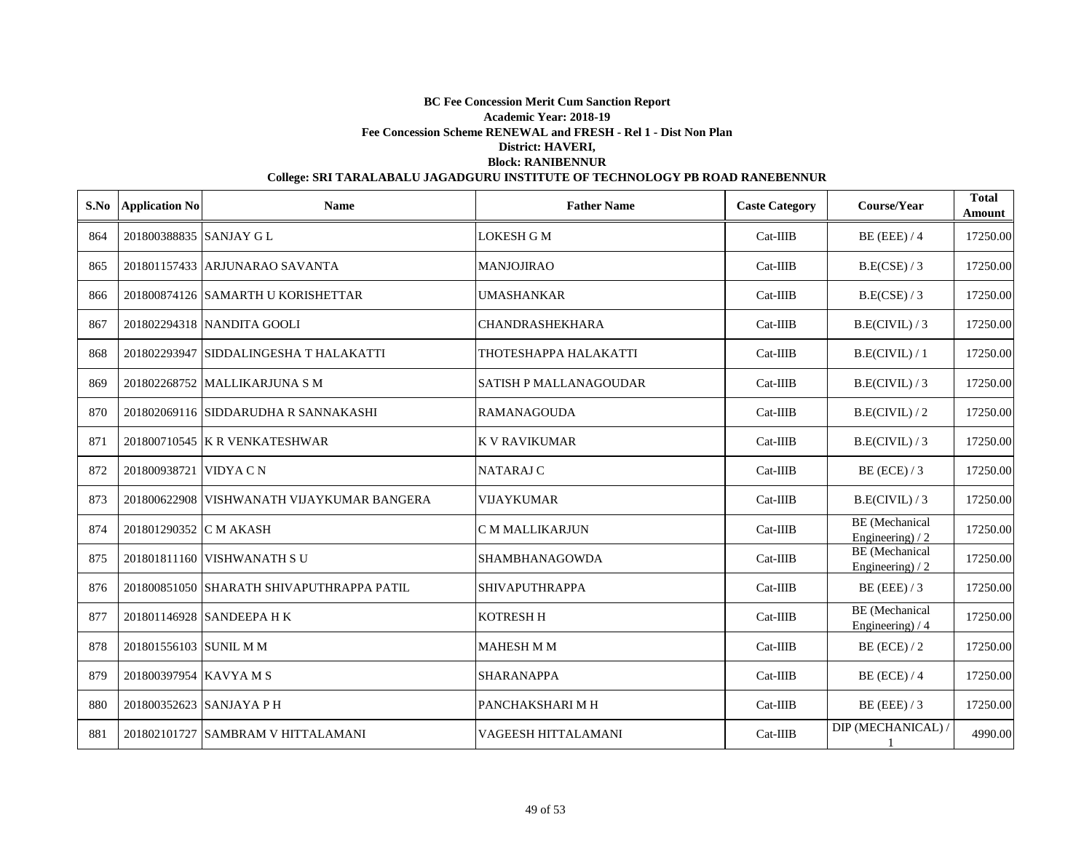| S.No | <b>Application No</b>    | <b>Name</b>                                | <b>Father Name</b>            | <b>Caste Category</b> | Course/Year                                | <b>Total</b><br>Amount |
|------|--------------------------|--------------------------------------------|-------------------------------|-----------------------|--------------------------------------------|------------------------|
| 864  | 201800388835 SANJAY G L  |                                            | <b>LOKESH G M</b>             | $Cat-IIIB$            | $BE$ (EEE) / 4                             | 17250.00               |
| 865  |                          | 201801157433 ARJUNARAO SAVANTA             | <b>MANJOJIRAO</b>             | $Cat-IIIB$            | B.E(CSE) / 3                               | 17250.00               |
| 866  |                          | 201800874126 SAMARTH U KORISHETTAR         | <b>UMASHANKAR</b>             | $Cat-IIIB$            | B.E(CSE) / 3                               | 17250.00               |
| 867  |                          | 201802294318 NANDITA GOOLI                 | <b>CHANDRASHEKHARA</b>        | $Cat-IIIB$            | B.E(CIVIL)/3                               | 17250.00               |
| 868  |                          | 201802293947 SIDDALINGESHA T HALAKATTI     | THOTESHAPPA HALAKATTI         | $Cat-IIIB$            | B.E(CIVIL)/1                               | 17250.00               |
| 869  |                          | 201802268752 MALLIKARJUNA S M              | <b>SATISH P MALLANAGOUDAR</b> | $Cat-IIIB$            | B.E(CIVIL)/3                               | 17250.00               |
| 870  |                          | 201802069116 SIDDARUDHA R SANNAKASHI       | <b>RAMANAGOUDA</b>            | $Cat-IIIB$            | B.E(CIVIL)/2                               | 17250.00               |
| 871  |                          | 201800710545 K R VENKATESHWAR              | <b>K V RAVIKUMAR</b>          | $Cat-IIIB$            | B.E(CIVIL)/3                               | 17250.00               |
| 872  | 201800938721 VIDYA C N   |                                            | <b>NATARAJ C</b>              | $Cat-IIIB$            | $BE$ (ECE) / 3                             | 17250.00               |
| 873  |                          | 201800622908 VISHWANATH VIJAYKUMAR BANGERA | <b>VIJAYKUMAR</b>             | Cat-IIIB              | B.E(CIVIL)/3                               | 17250.00               |
| 874  | 201801290352 C M AKASH   |                                            | <b>C M MALLIKARJUN</b>        | Cat-IIIB              | BE (Mechanical<br>Engineering) / 2         | 17250.00               |
| 875  |                          | 201801811160 VISHWANATH SU                 | SHAMBHANAGOWDA                | Cat-IIIB              | <b>BE</b> (Mechanical<br>Engineering) $/2$ | 17250.00               |
| 876  |                          | 201800851050 SHARATH SHIVAPUTHRAPPA PATIL  | <b>SHIVAPUTHRAPPA</b>         | $Cat-IIIB$            | $BE$ (EEE) / 3                             | 17250.00               |
| 877  |                          | 201801146928 SANDEEPA H K                  | <b>KOTRESH H</b>              | $Cat-IIIB$            | BE (Mechanical<br>Engineering) $/4$        | 17250.00               |
| 878  | 201801556103 SUNIL M M   |                                            | <b>MAHESH M M</b>             | $Cat-IIIB$            | $BE$ (ECE) / 2                             | 17250.00               |
| 879  | 201800397954 KAVYAMS     |                                            | <b>SHARANAPPA</b>             | $Cat-IIIB$            | $BE$ (ECE) / 4                             | 17250.00               |
| 880  | 201800352623 SANJAYA P H |                                            | PANCHAKSHARI M H              | $Cat-IIIB$            | $BE$ (EEE) / 3                             | 17250.00               |
| 881  |                          | 201802101727 SAMBRAM V HITTALAMANI         | VAGEESH HITTALAMANI           | $Cat-IIIB$            | DIP (MECHANICAL) /                         | 4990.00                |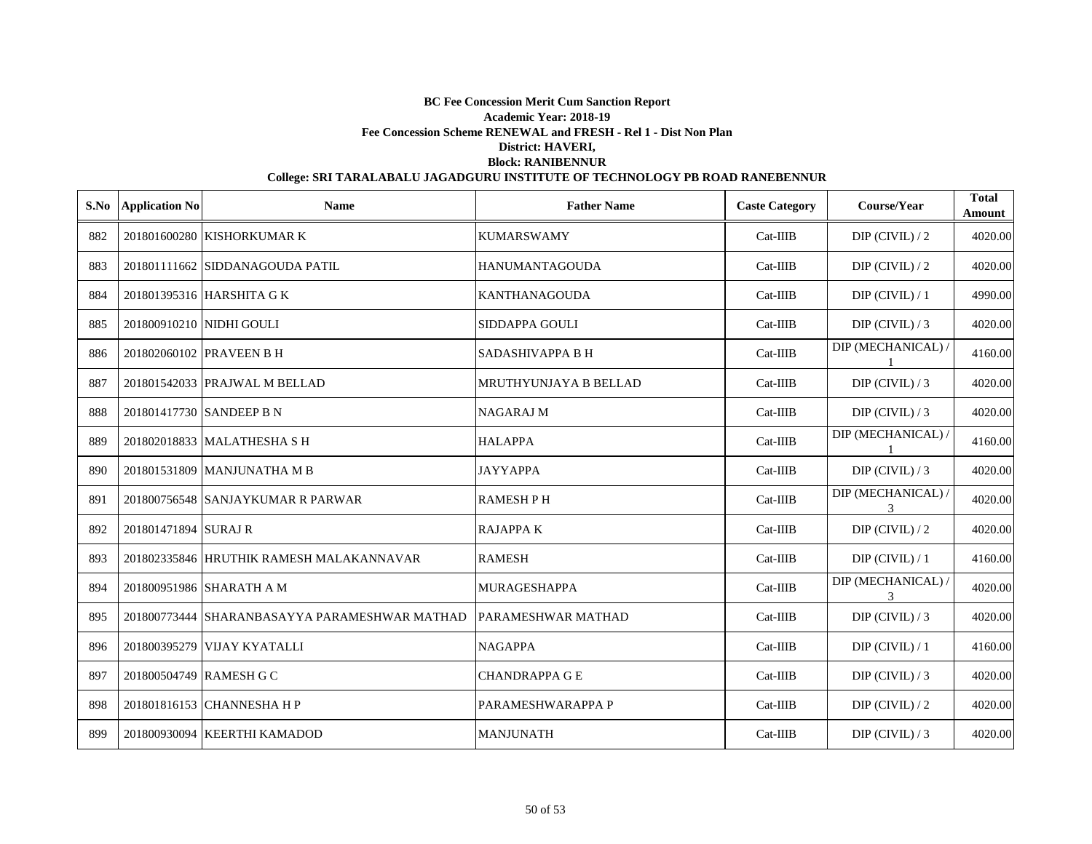|     | S.No Application No      | <b>Name</b>                                   | <b>Father Name</b>    | <b>Caste Category</b> | Course/Year                         | <b>Total</b><br>Amount |
|-----|--------------------------|-----------------------------------------------|-----------------------|-----------------------|-------------------------------------|------------------------|
| 882 |                          | 201801600280 KISHORKUMAR K                    | KUMARSWAMY            | Cat-IIIB              | $DIP$ (CIVIL) / 2                   | 4020.00                |
| 883 |                          | 201801111662 SIDDANAGOUDA PATIL               | <b>HANUMANTAGOUDA</b> | Cat-IIIB              | $DIP$ (CIVIL) / 2                   | 4020.00                |
| 884 |                          | 201801395316 HARSHITA G K                     | <b>KANTHANAGOUDA</b>  | Cat-IIIB              | $DIP$ (CIVIL) / 1                   | 4990.00                |
| 885 | 201800910210 NIDHI GOULI |                                               | SIDDAPPA GOULI        | $Cat-IIIB$            | $DIP$ (CIVIL) / 3                   | 4020.00                |
| 886 |                          | 201802060102 PRAVEEN B H                      | SADASHIVAPPA B H      | $Cat-IIIB$            | DIP (MECHANICAL) /                  | 4160.00                |
| 887 |                          | 201801542033 PRAJWAL M BELLAD                 | MRUTHYUNJAYA B BELLAD | $Cat-IIIB$            | $DIP$ (CIVIL) / 3                   | 4020.00                |
| 888 |                          | 201801417730 SANDEEP B N                      | <b>NAGARAJ M</b>      | Cat-IIIB              | $DIP$ (CIVIL) / 3                   | 4020.00                |
| 889 |                          | 201802018833 MALATHESHA S H                   | <b>HALAPPA</b>        | $Cat-IIIB$            | DIP (MECHANICAL) /                  | 4160.00                |
| 890 |                          | 201801531809 MANJUNATHA M B                   | <b>JAYYAPPA</b>       | Cat-IIIB              | DIP (CIVIL) $/3$                    | 4020.00                |
| 891 |                          | 201800756548 SANJAYKUMAR R PARWAR             | <b>RAMESH PH</b>      | $Cat-IIIB$            | DIP (MECHANICAL) /<br>$\mathcal{F}$ | 4020.00                |
| 892 | 201801471894 SURAJ R     |                                               | <b>RAJAPPAK</b>       | Cat-IIIB              | $DIP$ (CIVIL) / 2                   | 4020.00                |
| 893 |                          | 201802335846 HRUTHIK RAMESH MALAKANNAVAR      | <b>RAMESH</b>         | Cat-IIIB              | $DIP$ (CIVIL) / 1                   | 4160.00                |
| 894 |                          | 201800951986 SHARATH A M                      | <b>MURAGESHAPPA</b>   | Cat-IIIB              | DIP (MECHANICAL) /<br>3             | 4020.00                |
| 895 |                          | 201800773444 SHARANBASAYYA PARAMESHWAR MATHAD | PARAMESHWAR MATHAD    | $Cat-IIIB$            | DIP (CIVIL) $/3$                    | 4020.00                |
| 896 |                          | 201800395279 VIJAY KYATALLI                   | <b>NAGAPPA</b>        | $Cat-IIIB$            | $DIP$ (CIVIL) / 1                   | 4160.00                |
| 897 | 201800504749 RAMESH G C  |                                               | <b>CHANDRAPPA GE</b>  | $Cat-IIIB$            | $DIP$ (CIVIL) / 3                   | 4020.00                |
| 898 |                          | 201801816153 CHANNESHA H P                    | PARAMESHWARAPPA P     | $Cat-IIIB$            | $DIP$ (CIVIL) / 2                   | 4020.00                |
| 899 |                          | 201800930094 KEERTHI KAMADOD                  | <b>MANJUNATH</b>      | $Cat-IIIB$            | $DIP$ (CIVIL) / 3                   | 4020.00                |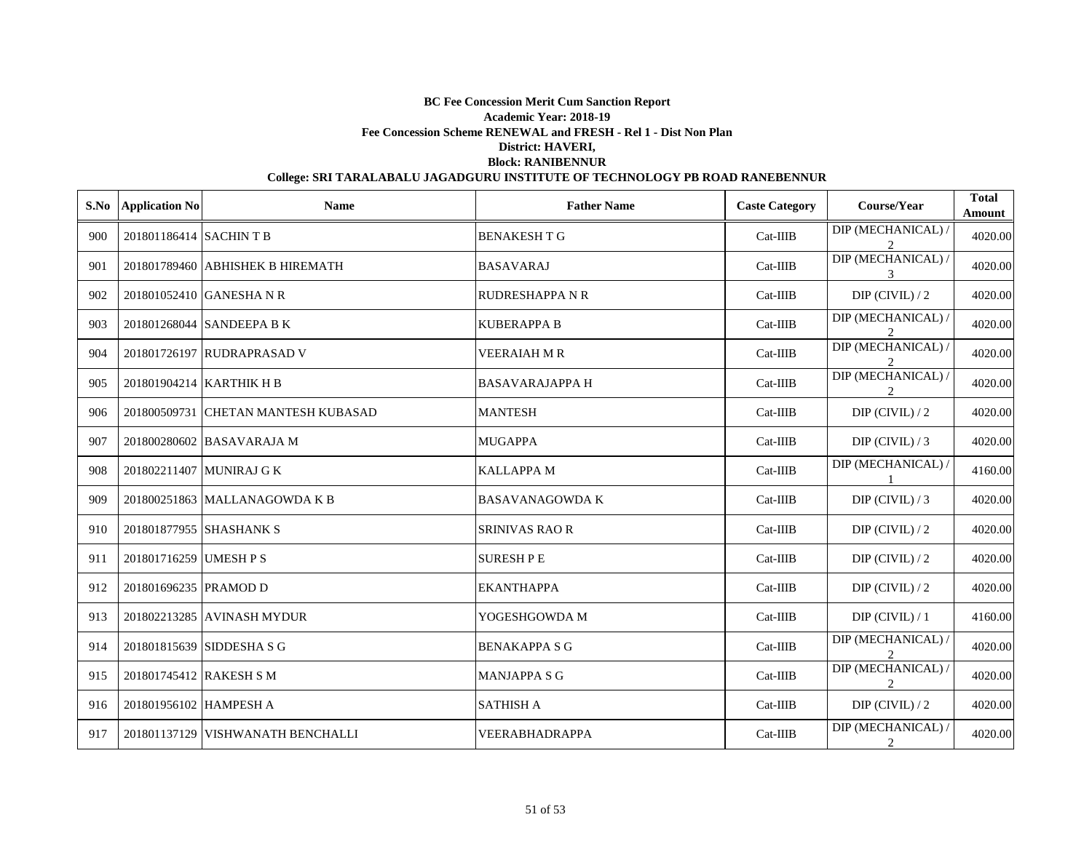| S.No | <b>Application No</b>    | <b>Name</b>                         | <b>Father Name</b>     | <b>Caste Category</b> | Course/Year                                         | <b>Total</b><br>Amount |
|------|--------------------------|-------------------------------------|------------------------|-----------------------|-----------------------------------------------------|------------------------|
| 900  | 201801186414 SACHINT B   |                                     | <b>BENAKESH T G</b>    | $Cat-IIIB$            | DIP (MECHANICAL) /                                  | 4020.00                |
| 901  |                          | 201801789460 ABHISHEK B HIREMATH    | <b>BASAVARAJ</b>       | $Cat-IIIB$            | DIP (MECHANICAL) /                                  | 4020.00                |
| 902  |                          | 201801052410 GANESHA N R            | <b>RUDRESHAPPA N R</b> | $Cat-IIIB$            | $DIP$ (CIVIL) / 2                                   | 4020.00                |
| 903  |                          | 201801268044 SANDEEPA B K           | <b>KUBERAPPA B</b>     | $Cat-IIIB$            | DIP (MECHANICAL) /                                  | 4020.00                |
| 904  |                          | 201801726197 RUDRAPRASAD V          | <b>VEERAIAH M R</b>    | $Cat-IIIB$            | DIP (MECHANICAL) /                                  | 4020.00                |
| 905  | 201801904214 KARTHIK H B |                                     | <b>BASAVARAJAPPA H</b> | $Cat-IIIB$            | DIP (MECHANICAL) /<br>$\mathcal{D}_{\alpha}$        | 4020.00                |
| 906  |                          | 201800509731 CHETAN MANTESH KUBASAD | <b>MANTESH</b>         | $Cat-IIIB$            | $DIP$ (CIVIL) / 2                                   | 4020.00                |
| 907  |                          | 201800280602 BASAVARAJA M           | <b>MUGAPPA</b>         | Cat-IIIB              | $DIP$ (CIVIL) / 3                                   | 4020.00                |
| 908  |                          | 201802211407 MUNIRAJ G K            | <b>KALLAPPA M</b>      | $Cat-IIIB$            | DIP (MECHANICAL) /                                  | 4160.00                |
| 909  |                          | 201800251863 MALLANAGOWDA K B       | <b>BASAVANAGOWDA K</b> | Cat-IIIB              | DIP (CIVIL) $/3$                                    | 4020.00                |
| 910  | 201801877955 SHASHANK S  |                                     | <b>SRINIVAS RAO R</b>  | Cat-IIIB              | $DIP$ (CIVIL) / 2                                   | 4020.00                |
| 911  | 201801716259 UMESH P S   |                                     | <b>SURESH PE</b>       | Cat-IIIB              | $DIP$ (CIVIL) / 2                                   | 4020.00                |
| 912  | 201801696235 PRAMOD D    |                                     | <b>EKANTHAPPA</b>      | $Cat-IIIB$            | $DIP$ (CIVIL) / 2                                   | 4020.00                |
| 913  |                          | 201802213285 AVINASH MYDUR          | YOGESHGOWDA M          | Cat-IIIB              | $DIP$ (CIVIL) / 1                                   | 4160.00                |
| 914  |                          | 201801815639 SIDDESHA S G           | <b>BENAKAPPA S G</b>   | $Cat-IIIB$            | DIP (MECHANICAL) /<br>$\mathfrak{D}_{\mathfrak{p}}$ | 4020.00                |
| 915  | 201801745412 RAKESH S M  |                                     | <b>MANJAPPA S G</b>    | $Cat-IIIB$            | DIP (MECHANICAL) /<br>$\overline{2}$                | 4020.00                |
| 916  | 201801956102 HAMPESH A   |                                     | <b>SATHISH A</b>       | $Cat-IIIB$            | $DIP$ (CIVIL) / 2                                   | 4020.00                |
| 917  |                          | 201801137129 VISHWANATH BENCHALLI   | VEERABHADRAPPA         | $Cat-IIIB$            | DIP (MECHANICAL) /<br>2                             | 4020.00                |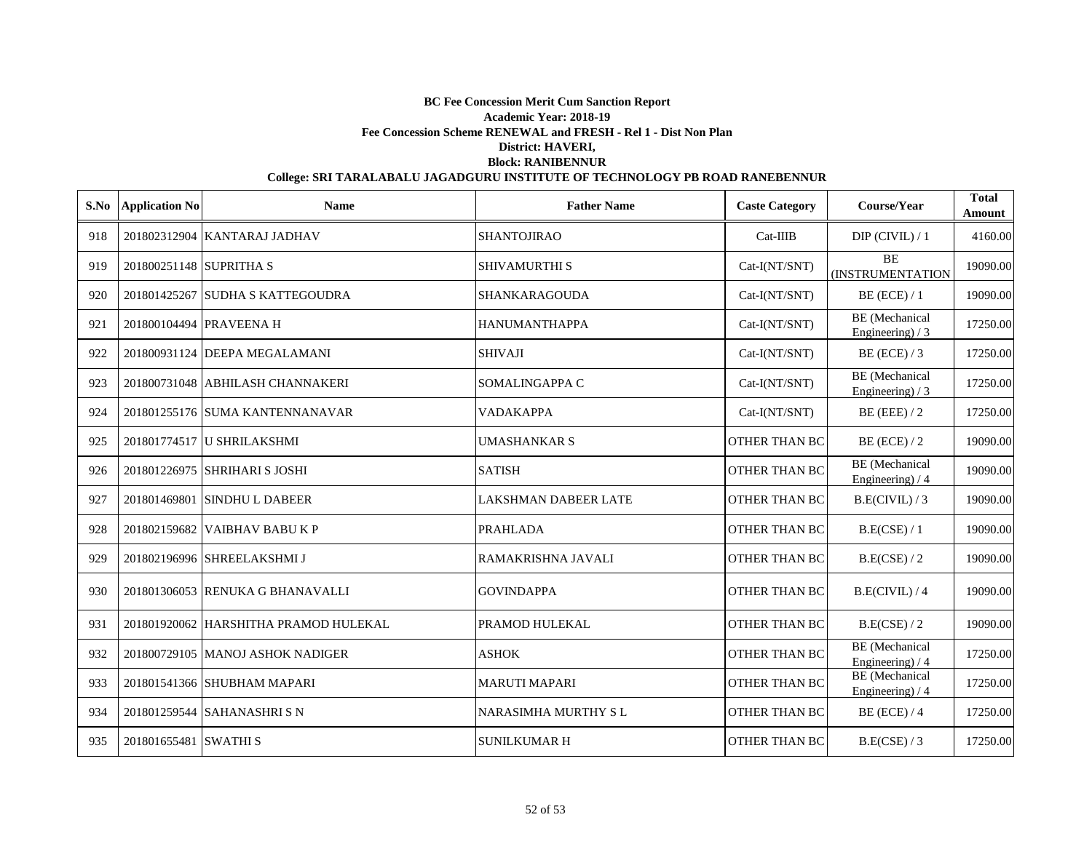| S.No | <b>Application No</b>   | <b>Name</b>                           | <b>Father Name</b>         | <b>Caste Category</b> | Course/Year                                | <b>Total</b><br>Amount |
|------|-------------------------|---------------------------------------|----------------------------|-----------------------|--------------------------------------------|------------------------|
| 918  |                         | 201802312904 KANTARAJ JADHAV          | <b>SHANTOJIRAO</b>         | $Cat-IIIB$            | $DIP$ (CIVIL) / 1                          | 4160.00                |
| 919  | 201800251148 SUPRITHA S |                                       | <b>SHIVAMURTHI S</b>       | Cat-I(NT/SNT)         | <b>BE</b><br>(INSTRUMENTATION              | 19090.00               |
| 920  |                         | 201801425267 SUDHA S KATTEGOUDRA      | SHANKARAGOUDA              | Cat-I(NT/SNT)         | $BE$ (ECE) / 1                             | 19090.00               |
| 921  |                         | 201800104494 PRAVEENA H               | <b>HANUMANTHAPPA</b>       | Cat-I(NT/SNT)         | <b>BE</b> (Mechanical<br>Engineering) $/3$ | 17250.00               |
| 922  |                         | 201800931124 DEEPA MEGALAMANI         | <b>SHIVAJI</b>             | Cat-I(NT/SNT)         | BE (ECE) $/3$                              | 17250.00               |
| 923  |                         | 201800731048 ABHILASH CHANNAKERI      | SOMALINGAPPA C             | Cat-I(NT/SNT)         | BE (Mechanical<br>Engineering) $/3$        | 17250.00               |
| 924  |                         | 201801255176 SUMA KANTENNANAVAR       | VADAKAPPA                  | Cat-I(NT/SNT)         | $BE$ (EEE) / 2                             | 17250.00               |
| 925  |                         | 201801774517 U SHRILAKSHMI            | <b>UMASHANKAR S</b>        | <b>OTHER THAN BC</b>  | $BE$ (ECE) / 2                             | 19090.00               |
| 926  |                         | 201801226975 SHRIHARI S JOSHI         | <b>SATISH</b>              | <b>OTHER THAN BC</b>  | BE (Mechanical<br>Engineering) / 4         | 19090.00               |
| 927  |                         | 201801469801 SINDHU L DABEER          | LAKSHMAN DABEER LATE       | OTHER THAN BC         | B.E(CIVIL)/3                               | 19090.00               |
| 928  |                         | 201802159682 VAIBHAV BABU K P         | <b>PRAHLADA</b>            | <b>OTHER THAN BC</b>  | B.E(CSE) / 1                               | 19090.00               |
| 929  |                         | 201802196996 SHREELAKSHMI J           | RAMAKRISHNA JAVALI         | <b>OTHER THAN BC</b>  | B.E(CSE) / 2                               | 19090.00               |
| 930  |                         | 201801306053 RENUKA G BHANAVALLI      | <b>GOVINDAPPA</b>          | <b>OTHER THAN BC</b>  | B.E(CIVIL)/4                               | 19090.00               |
| 931  |                         | 201801920062 HARSHITHA PRAMOD HULEKAL | PRAMOD HULEKAL             | <b>OTHER THAN BC</b>  | B.E(CSE)/2                                 | 19090.00               |
| 932  |                         | 201800729105 MANOJ ASHOK NADIGER      | <b>ASHOK</b>               | <b>OTHER THAN BC</b>  | BE (Mechanical<br>Engineering) / 4         | 17250.00               |
| 933  |                         | 201801541366 SHUBHAM MAPARI           | <b>MARUTI MAPARI</b>       | OTHER THAN BC         | <b>BE</b> (Mechanical<br>Engineering) / 4  | 17250.00               |
| 934  |                         | 201801259544 SAHANASHRI S N           | <b>NARASIMHA MURTHY SL</b> | OTHER THAN BC         | $BE$ (ECE) / 4                             | 17250.00               |
| 935  | 201801655481 SWATHI S   |                                       | <b>SUNILKUMAR H</b>        | <b>OTHER THAN BC</b>  | B.E(CSE)/3                                 | 17250.00               |